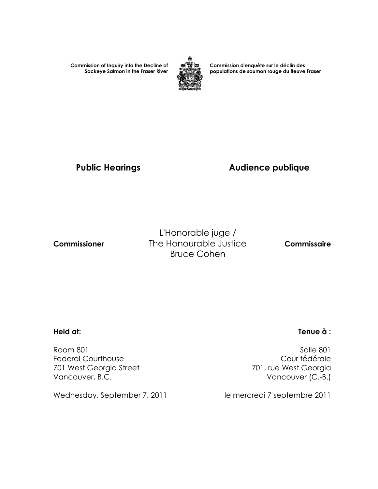**Commission of Inquiry into the Decline of Sockeye Salmon in the Fraser River**



**Commission d'enquête sur le déclin des populations de saumon rouge du fleuve Fraser** 

# Public Hearings **Audience publique**

L'Honorable juge /  **Commissioner** The Honourable Justice **Commissaire** Bruce Cohen

 Room 801 Salle 801 Federal Courthouse Cour fédérale 701 West Georgia Street Vancouver, B.C. **Vancouver (C.-B.)** 

Wednesday, September 7, 2011 le mercredi 7 septembre 2011

#### **Held at: Tenue à :**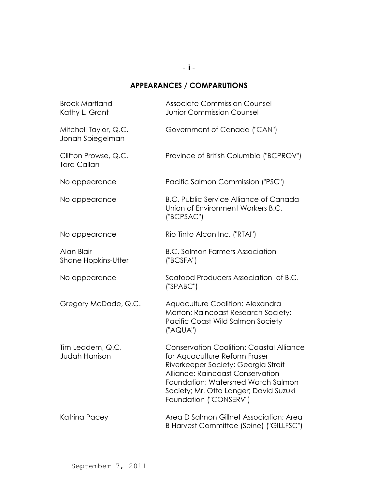## **APPEARANCES / COMPARUTIONS**

| <b>Brock Martland</b><br>Kathy L. Grant    | <b>Associate Commission Counsel</b><br><b>Junior Commission Counsel</b>                                                                                                                                                                                               |
|--------------------------------------------|-----------------------------------------------------------------------------------------------------------------------------------------------------------------------------------------------------------------------------------------------------------------------|
| Mitchell Taylor, Q.C.<br>Jonah Spiegelman  | Government of Canada ("CAN")                                                                                                                                                                                                                                          |
| Clifton Prowse, Q.C.<br><b>Tara Callan</b> | Province of British Columbia ("BCPROV")                                                                                                                                                                                                                               |
| No appearance                              | Pacific Salmon Commission ("PSC")                                                                                                                                                                                                                                     |
| No appearance                              | <b>B.C. Public Service Alliance of Canada</b><br>Union of Environment Workers B.C.<br>("BCPSAC")                                                                                                                                                                      |
| No appearance                              | Rio Tinto Alcan Inc. ("RTAI")                                                                                                                                                                                                                                         |
| Alan Blair<br><b>Shane Hopkins-Utter</b>   | <b>B.C. Salmon Farmers Association</b><br>('BCSFA")                                                                                                                                                                                                                   |
| No appearance                              | Seafood Producers Association of B.C.<br>('SPABC")                                                                                                                                                                                                                    |
| Gregory McDade, Q.C.                       | Aquaculture Coalition: Alexandra<br>Morton; Raincoast Research Society;<br>Pacific Coast Wild Salmon Society<br>("AQUA")                                                                                                                                              |
| Tim Leadem, Q.C.<br><b>Judah Harrison</b>  | <b>Conservation Coalition: Coastal Alliance</b><br>for Aquaculture Reform Fraser<br>Riverkeeper Society; Georgia Strait<br>Alliance; Raincoast Conservation<br>Foundation; Watershed Watch Salmon<br>Society; Mr. Otto Langer; David Suzuki<br>Foundation ("CONSERV") |
| Katrina Pacey                              | Area D Salmon Gillnet Association; Area<br>B Harvest Committee (Seine) ("GILLFSC")                                                                                                                                                                                    |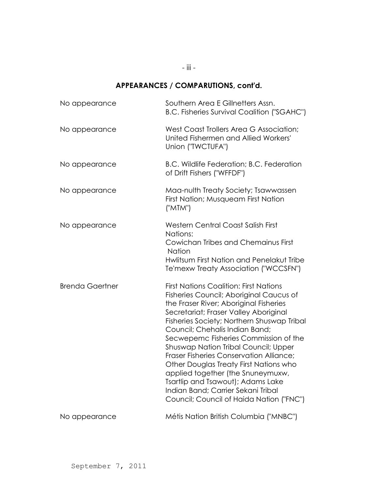- iii -

## **APPEARANCES / COMPARUTIONS, cont'd.**

| No appearance          | Southern Area E Gillnetters Assn.<br><b>B.C. Fisheries Survival Coalition ("SGAHC")</b>                                                                                                                                                                                                                                                                                                                                                                                                                                                                                                              |
|------------------------|------------------------------------------------------------------------------------------------------------------------------------------------------------------------------------------------------------------------------------------------------------------------------------------------------------------------------------------------------------------------------------------------------------------------------------------------------------------------------------------------------------------------------------------------------------------------------------------------------|
| No appearance          | West Coast Trollers Area G Association;<br>United Fishermen and Allied Workers'<br>Union ("TWCTUFA")                                                                                                                                                                                                                                                                                                                                                                                                                                                                                                 |
| No appearance          | B.C. Wildlife Federation; B.C. Federation<br>of Drift Fishers ("WFFDF")                                                                                                                                                                                                                                                                                                                                                                                                                                                                                                                              |
| No appearance          | Maa-nulth Treaty Society; Tsawwassen<br>First Nation; Musqueam First Nation<br>("MTM")                                                                                                                                                                                                                                                                                                                                                                                                                                                                                                               |
| No appearance          | <b>Western Central Coast Salish First</b><br>Nations:<br>Cowichan Tribes and Chemainus First<br>Nation<br>Hwlitsum First Nation and Penelakut Tribe<br>Te'mexw Treaty Association ("WCCSFN")                                                                                                                                                                                                                                                                                                                                                                                                         |
| <b>Brenda Gaertner</b> | <b>First Nations Coalition: First Nations</b><br>Fisheries Council; Aboriginal Caucus of<br>the Fraser River; Aboriginal Fisheries<br>Secretariat; Fraser Valley Aboriginal<br>Fisheries Society; Northern Shuswap Tribal<br>Council; Chehalis Indian Band;<br>Secwepemc Fisheries Commission of the<br><b>Shuswap Nation Tribal Council; Upper</b><br>Fraser Fisheries Conservation Alliance;<br>Other Douglas Treaty First Nations who<br>applied together (the Snuneymuxw,<br>Tsartlip and Tsawout); Adams Lake<br>Indian Band; Carrier Sekani Tribal<br>Council; Council of Haida Nation ("FNC") |
| No appearance          | Métis Nation British Columbia ("MNBC")                                                                                                                                                                                                                                                                                                                                                                                                                                                                                                                                                               |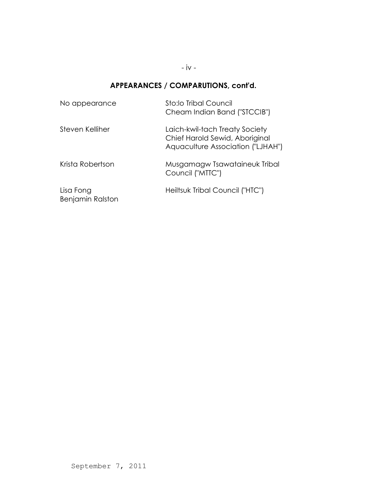- iv -

# **APPEARANCES / COMPARUTIONS, cont'd.**

| No appearance                        | Sto:lo Tribal Council<br>Cheam Indian Band ("STCCIB")                                                 |
|--------------------------------------|-------------------------------------------------------------------------------------------------------|
| Steven Kelliher                      | Laich-kwil-tach Treaty Society<br>Chief Harold Sewid, Aboriginal<br>Aquaculture Association ("LJHAH") |
| Krista Robertson                     | Musgamagw Tsawataineuk Tribal<br>Council ("MTTC")                                                     |
| Lisa Fong<br><b>Benjamin Ralston</b> | Heiltsuk Tribal Council ("HTC")                                                                       |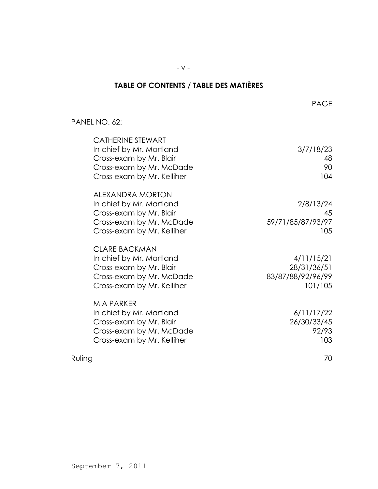# **TABLE OF CONTENTS / TABLE DES MATIÈRES**

#### PANEL NO. 62:

| <b>CATHERINE STEWART</b><br>In chief by Mr. Martland<br>Cross-exam by Mr. Blair<br>Cross-exam by Mr. McDade<br>Cross-exam by Mr. Kelliher | 3/7/18/23<br>48<br>90<br>104                              |
|-------------------------------------------------------------------------------------------------------------------------------------------|-----------------------------------------------------------|
| <b>ALEXANDRA MORTON</b><br>In chief by Mr. Martland<br>Cross-exam by Mr. Blair<br>Cross-exam by Mr. McDade<br>Cross-exam by Mr. Kelliher  | 2/8/13/24<br>45<br>59/71/85/87/93/97<br>105               |
| <b>CLARE BACKMAN</b><br>In chief by Mr. Martland<br>Cross-exam by Mr. Blair<br>Cross-exam by Mr. McDade<br>Cross-exam by Mr. Kelliher     | 4/11/15/21<br>28/31/36/51<br>83/87/88/92/96/99<br>101/105 |
| <b>MIA PARKER</b><br>In chief by Mr. Martland<br>Cross-exam by Mr. Blair<br>Cross-exam by Mr. McDade<br>Cross-exam by Mr. Kelliher        | 6/11/17/22<br>26/30/33/45<br>92/93<br>103                 |
| Ruling                                                                                                                                    | 70                                                        |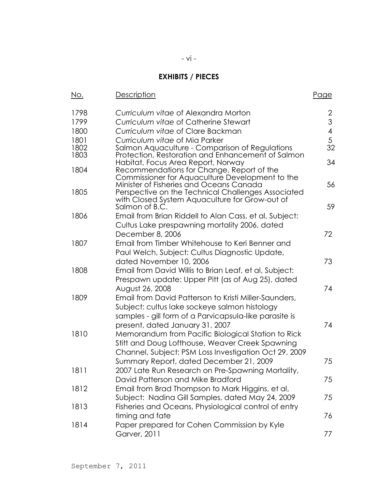# - vi -

# **EXHIBITS / PIECES**

| No.  | Description                                                                                          | <u>Page</u> |
|------|------------------------------------------------------------------------------------------------------|-------------|
| 1798 | Curriculum vitae of Alexandra Morton                                                                 | 2           |
| 1799 | Curriculum vitae of Catherine Stewart                                                                | 3           |
| 1800 | Curriculum vitae of Clare Backman                                                                    | 4           |
| 1801 | Curriculum vitae of Mia Parker                                                                       | 5           |
| 1802 | Salmon Aquaculture - Comparison of Regulations                                                       | 32          |
| 1803 | Protection, Restoration and Enhancement of Salmon<br>Habitat, Focus Area Report, Norway              | 34          |
| 1804 | Recommendations for Change, Report of the                                                            |             |
|      | Commissioner for Aquaculture Development to the                                                      |             |
|      | Minister of Fisheries and Oceans Canada                                                              | 56          |
| 1805 | Perspective on the Technical Challenges Associated<br>with Closed System Aquaculture for Grow-out of |             |
|      | Salmon of B.C.                                                                                       | 59          |
| 1806 | Email from Brian Riddell to Alan Cass, et al, Subject:                                               |             |
|      | Cultus Lake prespawning mortality 2006, dated                                                        |             |
|      | December 8, 2006                                                                                     | 72          |
| 1807 | Email from Timber Whitehouse to Keri Benner and                                                      |             |
|      | Paul Welch, Subject: Cultus Diagnostic Update,                                                       |             |
|      | dated November 10, 2006                                                                              | 73          |
| 1808 | Email from David Willis to Brian Leaf, et al, Subject:                                               |             |
|      | Prespawn update: Upper Pitt (as of Aug 25), dated                                                    |             |
|      | August 26, 2008                                                                                      | 74          |
| 1809 | Email from David Patterson to Kristi Miller-Saunders,                                                |             |
|      | Subject: cultus lake sockeye salmon histology                                                        |             |
|      | samples - gill form of a Parvicapsula-like parasite is                                               |             |
|      | present, dated January 31, 2007                                                                      | 74          |
| 1810 | Memorandum from Pacific Biological Station to Rick                                                   |             |
|      | Stitt and Doug Lofthouse, Weaver Creek Spawning                                                      |             |
|      | Channel, Subject: PSM Loss Investigation Oct 29, 2009                                                |             |
|      | Summary Report, dated December 21, 2009                                                              | 75          |
| 1811 | 2007 Late Run Research on Pre-Spawning Mortality,                                                    |             |
|      | David Patterson and Mike Bradford                                                                    | 75          |
| 1812 | Email from Brad Thompson to Mark Higgins, et al,                                                     |             |
|      | Subject: Nadina Gill Samples, dated May 24, 2009                                                     | 75          |
| 1813 | Fisheries and Oceans, Physiological control of entry                                                 |             |
|      | timing and fate                                                                                      | 76          |
| 1814 | Paper prepared for Cohen Commission by Kyle                                                          |             |
|      | Garver, 2011                                                                                         | 77          |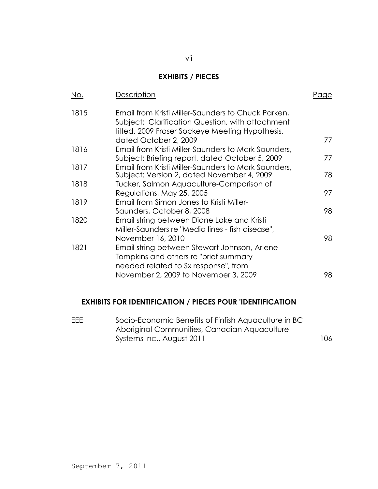## **EXHIBITS / PIECES**

| <u>No.</u> | Description                                                                                                                                                                        | Paae |
|------------|------------------------------------------------------------------------------------------------------------------------------------------------------------------------------------|------|
| 1815       | Email from Kristi Miller-Saunders to Chuck Parken,<br>Subject: Clarification Question, with attachment<br>titled, 2009 Fraser Sockeye Meeting Hypothesis,<br>dated October 2, 2009 | 77   |
| 1816       | Email from Kristi Miller-Saunders to Mark Saunders,                                                                                                                                |      |
|            | Subject: Briefing report, dated October 5, 2009                                                                                                                                    | 77   |
| 1817       | Email from Kristi Miller-Saunders to Mark Saunders,<br>Subject: Version 2, dated November 4, 2009                                                                                  | 78   |
| 1818       | Tucker, Salmon Aquaculture-Comparison of                                                                                                                                           |      |
|            | Regulations, May 25, 2005                                                                                                                                                          | 97   |
| 1819       | Email from Simon Jones to Kristi Miller-                                                                                                                                           |      |
|            | Saunders, October 8, 2008                                                                                                                                                          | 98   |
| 1820       | Email string between Diane Lake and Kristi                                                                                                                                         |      |
|            | Miller-Saunders re "Media lines - fish disease",                                                                                                                                   |      |
|            | November 16, 2010                                                                                                                                                                  | 98   |
| 1821       | Email string between Stewart Johnson, Arlene<br>Tompkins and others re "brief summary<br>needed related to Sx response", from                                                      |      |
|            | November 2, 2009 to November 3, 2009                                                                                                                                               | 98   |

## **EXHIBITS FOR IDENTIFICATION / PIECES POUR 'IDENTIFICATION**

| EEE | Socio-Economic Benefits of Finfish Aquaculture in BC |     |
|-----|------------------------------------------------------|-----|
|     | Aboriginal Communities, Canadian Aquaculture         |     |
|     | Systems Inc., August 2011                            | 106 |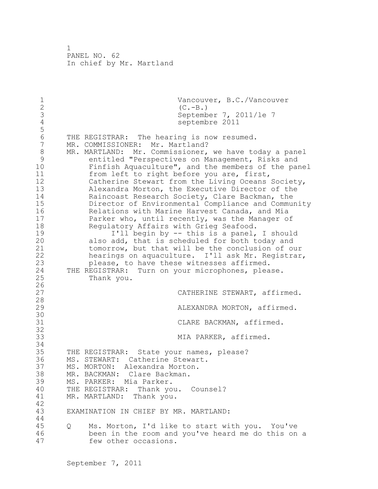1 Vancouver, B.C./Vancouver<br>2 (C.-B.) 2 (C.-B.)<br>3 Septemb 3 September 7, 2011/1e 7<br>4 Septembre 2011 septembre 2011 5 6 THE REGISTRAR: The hearing is now resumed.<br>7 MR. COMMISSIONER: Mr. Martland? MR. COMMISSIONER: Mr. Martland? 8 MR. MARTLAND: Mr. Commissioner, we have today a panel<br>9 entitled "Perspectives on Management, Risks and 9 entitled "Perspectives on Management, Risks and<br>10 Finfish Aquaculture", and the members of the par Finfish Aquaculture", and the members of the panel 11 from left to right before you are, first, 12 Catherine Stewart from the Living Oceans Society, 13 Alexandra Morton, the Executive Director of the 14 Raincoast Research Society, Clare Backman, the 15 Director of Environmental Compliance and Community 16 Relations with Marine Harvest Canada, and Mia 17 **Parker who, until recently, was the Manager of** 18 Regulatory Affairs with Grieg Seafood. 19 11 I'll begin by -- this is a panel, I should<br>20 also add, that is scheduled for both today and also add, that is scheduled for both today and 21 tomorrow, but that will be the conclusion of our 22 hearings on aquaculture. I'll ask Mr. Registrar, 23 please, to have these witnesses affirmed. 24 THE REGISTRAR: Turn on your microphones, please. 25 Thank you.  $\frac{26}{27}$ CATHERINE STEWART, affirmed. 28 29 ALEXANDRA MORTON, affirmed. 30<br>31 CLARE BACKMAN, affirmed. 32 33 MIA PARKER, affirmed. 34 35 THE REGISTRAR: State your names, please? 36 MS. STEWART: Catherine Stewart. 37 MS. MORTON: Alexandra Morton. 38 MR. BACKMAN: Clare Backman. 39 MS. PARKER: Mia Parker. 40 THE REGISTRAR: Thank you. Counsel? 41 MR. MARTLAND: Thank you. 42 EXAMINATION IN CHIEF BY MR. MARTLAND: 44 45 Q Ms. Morton, I'd like to start with you. You've 46 been in the room and you've heard me do this on a 47 few other occasions.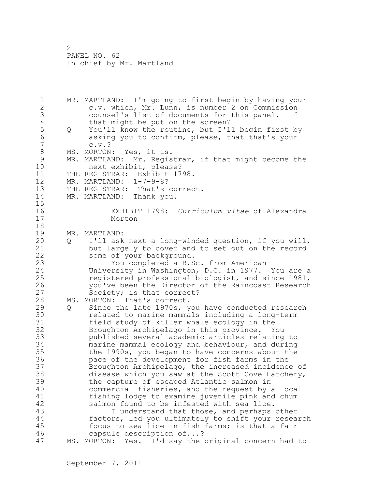1 MR. MARTLAND: I'm going to first begin by having your 2 c.v. which, Mr. Lunn, is number 2 on Commission 3 counsel's list of documents for this panel. If<br>4 that might be put on the screen? 4 that might be put on the screen?<br>5 0 You'll know the routine, but I'l 5 Q You'll know the routine, but I'll begin first by<br>6 asking you to confirm, please, that that's your 6 asking you to confirm, please, that that's your  $c.v.$ ? 8 MS. MORTON: Yes, it is.<br>9 MR. MARTLAND: Mr. Regis 9 MR. MARTLAND: Mr. Registrar, if that might become the<br>10 mext exhibit, please? next exhibit, please? 11 THE REGISTRAR: Exhibit 1798. 12 MR. MARTLAND: 1-7-9-8? 13 THE REGISTRAR: That's correct. 14 MR. MARTLAND: Thank you.  $\frac{15}{16}$ 16 EXHIBIT 1798: *Curriculum vitae* of Alexandra Morton 18 19 MR. MARTLAND:<br>20 0 I'll ask 20 Q I'll ask next a long-winded question, if you will, 21 but largely to cover and to set out on the record 22 some of your background. 23 You completed a B.Sc. from American 24 University in Washington, D.C. in 1977. You are a 25 registered professional biologist, and since 1981, 26 you've been the Director of the Raincoast Research<br>27 Society; is that correct? Society; is that correct? 28 MS. MORTON: That's correct. 29 Q Since the late 1970s, you have conducted research 30 **related to marine mammals including a long-term**<br>31 field study of killer whale ecology in the field study of killer whale ecology in the 32 Broughton Archipelago in this province. You 33 published several academic articles relating to 34 marine mammal ecology and behaviour, and during 35 the 1990s, you began to have concerns about the 36 pace of the development for fish farms in the 37 Broughton Archipelago, the increased incidence of 38 disease which you saw at the Scott Cove Hatchery, 39 the capture of escaped Atlantic salmon in 40 commercial fisheries, and the request by a local 41 fishing lodge to examine juvenile pink and chum<br>42 salmon found to be infested with sea lice. salmon found to be infested with sea lice. 43 I understand that those, and perhaps other 44 factors, led you ultimately to shift your research 45 focus to sea lice in fish farms; is that a fair 46 capsule description of...? 47 MS. MORTON: Yes. I'd say the original concern had to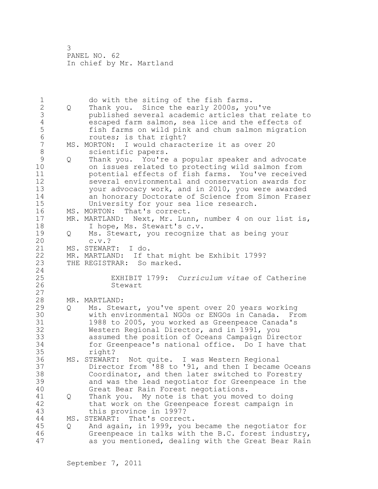1 do with the siting of the fish farms.<br>2 Q Thank you. Since the early 2000s, yo 2 Q Thank you. Since the early 2000s, you've 3 published several academic articles that relate to 4 escaped farm salmon, sea lice and the effects of<br>5 fish farms on wild pink and chum salmon migration 5 fish farms on wild pink and chum salmon migration 6 routes; is that right?<br>7 MS. MORTON: I would charac MS. MORTON: I would characterize it as over 20 8 scientific papers. 9 Q Thank you. You're a popular speaker and advocate on issues related to protecting wild salmon from 11 potential effects of fish farms. You've received 12 several environmental and conservation awards for 13 your advocacy work, and in 2010, you were awarded 14 an honorary Doctorate of Science from Simon Fraser 15 University for your sea lice research. 16 MS. MORTON: That's correct. 17 MR. MARTLAND: Next, Mr. Lunn, number 4 on our list is, 18 I hope, Ms. Stewart's c.v. 19 Q Ms. Stewart, you recognize that as being your 20  $c.v.$ ? 21 MS. STEWART: I do. 22 MR. MARTLAND: If that might be Exhibit 1799? 23 THE REGISTRAR: So marked. 24 25 EXHIBIT 1799: *Curriculum vitae* of Catherine 26 Stewart 27 28 MR. MARTLAND: 29 Q Ms. Stewart, you've spent over 20 years working 30 with environmental NGOs or ENGOs in Canada. From<br>31 1988 to 2005, you worked as Greenpeace Canada's 1988 to 2005, you worked as Greenpeace Canada's 32 Western Regional Director, and in 1991, you 33 assumed the position of Oceans Campaign Director 34 for Greenpeace's national office. Do I have that 35 right? 36 MS. STEWART: Not quite. I was Western Regional 37 Director from '88 to '91, and then I became Oceans 38 Coordinator, and then later switched to Forestry 39 and was the lead negotiator for Greenpeace in the 40 Great Bear Rain Forest negotiations. 41 Q Thank you. My note is that you moved to doing<br>42 that work on the Greenpeace forest campaign in that work on the Greenpeace forest campaign in 43 this province in 1997? 44 MS. STEWART: That's correct. 45 Q And again, in 1999, you became the negotiator for 46 Greenpeace in talks with the B.C. forest industry, 47 as you mentioned, dealing with the Great Bear Rain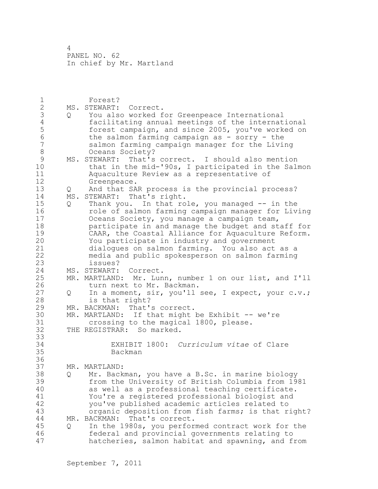| $\mathbf 1$<br>$\mathbf{2}$<br>3<br>$\sqrt{4}$<br>5<br>$\sqrt{6}$ | $Q \qquad \qquad$ | Forest?<br>MS. STEWART: Correct.<br>You also worked for Greenpeace International<br>facilitating annual meetings of the international<br>forest campaign, and since 2005, you've worked on<br>the salmon farming campaign as - sorry - the                                                                                                    |
|-------------------------------------------------------------------|-------------------|-----------------------------------------------------------------------------------------------------------------------------------------------------------------------------------------------------------------------------------------------------------------------------------------------------------------------------------------------|
| $\overline{7}$<br>8<br>$\mathsf 9$<br>10<br>11<br>12              |                   | salmon farming campaign manager for the Living<br>Oceans Society?<br>MS. STEWART: That's correct. I should also mention<br>that in the mid-'90s, I participated in the Salmon<br>Aquaculture Review as a representative of<br>Greenpeace.                                                                                                     |
| 13<br>14<br>15<br>16<br>17                                        | Q<br>Q            | And that SAR process is the provincial process?<br>MS. STEWART: That's right.<br>Thank you. In that role, you managed -- in the<br>role of salmon farming campaign manager for Living<br>Oceans Society, you manage a campaign team,                                                                                                          |
| 18<br>19<br>20<br>21<br>22<br>23                                  |                   | participate in and manage the budget and staff for<br>CAAR, the Coastal Alliance for Aquaculture Reform.<br>You participate in industry and government<br>dialogues on salmon farming. You also act as a<br>media and public spokesperson on salmon farming<br>issues?                                                                        |
| 24<br>25<br>26                                                    |                   | MS. STEWART: Correct.<br>MR. MARTLAND: Mr. Lunn, number 1 on our list, and I'll<br>turn next to Mr. Backman.                                                                                                                                                                                                                                  |
| 27<br>28                                                          | Q                 | In a moment, sir, you'll see, I expect, your c.v.;<br>is that right?                                                                                                                                                                                                                                                                          |
| 29<br>30<br>31                                                    |                   | That's correct.<br>MR. BACKMAN:<br>MR. MARTLAND: If that might be Exhibit -- we're<br>crossing to the magical 1800, please.                                                                                                                                                                                                                   |
| 32<br>33<br>34<br>35                                              |                   | THE REGISTRAR: So marked.<br>EXHIBIT 1800: Curriculum vitae of Clare<br>Backman                                                                                                                                                                                                                                                               |
| 36<br>37<br>38<br>39<br>40                                        | Q                 | MR. MARTLAND:<br>Mr. Backman, you have a B.Sc. in marine biology<br>from the University of British Columbia from 1981<br>as well as a professional teaching certificate.                                                                                                                                                                      |
| 41<br>42<br>43<br>44<br>45<br>46<br>47                            | MR.<br>Q          | You're a registered professional biologist and<br>you've published academic articles related to<br>organic deposition from fish farms; is that right?<br>BACKMAN: That's correct.<br>In the 1980s, you performed contract work for the<br>federal and provincial governments relating to<br>hatcheries, salmon habitat and spawning, and from |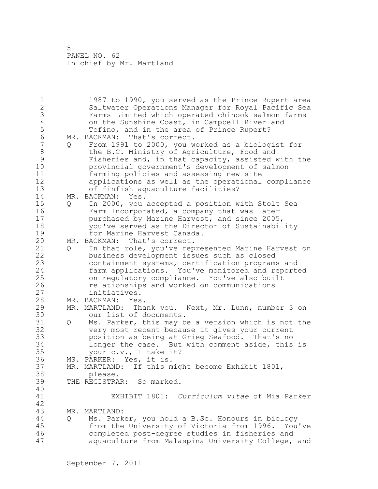1 1987 to 1990, you served as the Prince Rupert area 2 Saltwater Operations Manager for Royal Pacific Sea 3 Farms Limited which operated chinook salmon farms 4 on the Sunshine Coast, in Campbell River and<br>5 Tofino, and in the area of Prince Rupert? 5 Tofino, and in the area of Prince Rupert?<br>6 MR. BACKMAN: That's correct. 6 MR. BACKMAN: That's correct.<br>7 0 From 1991 to 2000, you w 7 Q From 1991 to 2000, you worked as a biologist for 8 the B.C. Ministry of Agriculture, Food and<br>9 Fisheries and, in that capacity, assisted w 9 Fisheries and, in that capacity, assisted with the<br>10 orovincial government's development of salmon provincial government's development of salmon 11 farming policies and assessing new site 12 applications as well as the operational compliance 13 of finfish aquaculture facilities? 14 MR. BACKMAN: Yes. 15 Q In 2000, you accepted a position with Stolt Sea 16 Farm Incorporated, a company that was later 17 purchased by Marine Harvest, and since 2005, 18 you've served as the Director of Sustainability 19 for Marine Harvest Canada.<br>20 MR. BACKMAN: That's correct. MR. BACKMAN: That's correct. 21 Q In that role, you've represented Marine Harvest on 22 business development issues such as closed 23 containment systems, certification programs and 24 farm applications. You've monitored and reported 25 on regulatory compliance. You've also built 26 relationships and worked on communications<br>27 initiatives. initiatives. 28 MR. BACKMAN: Yes. 29 MR. MARTLAND: Thank you. Next, Mr. Lunn, number 3 on 30 our list of documents.<br>31 0 Ms. Parker, this may b Q Ms. Parker, this may be a version which is not the 32 very most recent because it gives your current 33 position as being at Grieg Seafood. That's no 34 longer the case. But with comment aside, this is 35 your c.v., I take it? 36 MS. PARKER: Yes, it is. 37 MR. MARTLAND: If this might become Exhibit 1801, 38 please. 39 THE REGISTRAR: So marked. 40 41 EXHIBIT 1801: *Curriculum vitae* of Mia Parker 42 43 MR. MARTLAND: 44 Q Ms. Parker, you hold a B.Sc. Honours in biology 45 from the University of Victoria from 1996. You've 46 completed post-degree studies in fisheries and 47 aquaculture from Malaspina University College, and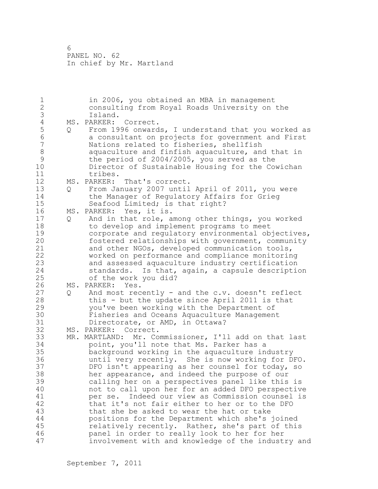| $\mathbf 1$      |   | in 2006, you obtained an MBA in management            |
|------------------|---|-------------------------------------------------------|
| $\sqrt{2}$       |   | consulting from Royal Roads University on the         |
| 3                |   | Island.                                               |
| $\sqrt{4}$       |   | MS. PARKER: Correct.                                  |
| 5                | Q | From 1996 onwards, I understand that you worked as    |
| $\sqrt{6}$       |   | a consultant on projects for government and First     |
| $\boldsymbol{7}$ |   | Nations related to fisheries, shellfish               |
| $\,8\,$          |   | aquaculture and finfish aquaculture, and that in      |
| $\mathsf{S}$     |   | the period of 2004/2005, you served as the            |
| 10               |   | Director of Sustainable Housing for the Cowichan      |
| 11               |   | tribes.                                               |
| 12               |   | MS. PARKER:<br>That's correct.                        |
| 13               | Q | From January 2007 until April of 2011, you were       |
| 14               |   | the Manager of Regulatory Affairs for Grieg           |
| 15               |   | Seafood Limited; is that right?                       |
| 16               |   | MS. PARKER: Yes, it is.                               |
| 17               | Q | And in that role, among other things, you worked      |
| 18               |   | to develop and implement programs to meet             |
| 19               |   | corporate and regulatory environmental objectives,    |
| 20               |   | fostered relationships with government, community     |
| 21               |   | and other NGOs, developed communication tools,        |
| 22               |   | worked on performance and compliance monitoring       |
| 23               |   | and assessed aquaculture industry certification       |
| 24               |   | standards. Is that, again, a capsule description      |
| 25               |   | of the work you did?                                  |
| 26               |   | MS. PARKER: Yes.                                      |
| 27               | Q | And most recently - and the c.v. doesn't reflect      |
| 28               |   | this - but the update since April 2011 is that        |
| 29               |   | you've been working with the Department of            |
| 30               |   | Fisheries and Oceans Aquaculture Management           |
| 31               |   | Directorate, or AMD, in Ottawa?                       |
| 32               |   | MS. PARKER: Correct.                                  |
| 33               |   | MR. MARTLAND: Mr. Commissioner, I'll add on that last |
| 34               |   | point, you'll note that Ms. Parker has a              |
| 35               |   | background working in the aquaculture industry        |
| 36               |   | until very recently. She is now working for DFO.      |
| 37               |   | DFO isn't appearing as her counsel for today, so      |
| 38               |   | her appearance, and indeed the purpose of our         |
| 39               |   | calling her on a perspectives panel like this is      |
| 40               |   | not to call upon her for an added DFO perspective     |
| 41               |   | Indeed our view as Commission counsel is<br>per se.   |
| 42               |   | that it's not fair either to her or to the DFO        |
| 43               |   | that she be asked to wear the hat or take             |
| 44               |   | positions for the Department which she's joined       |
| 45               |   | relatively recently. Rather, she's part of this       |
| 46               |   | panel in order to really look to her for her          |
| 47               |   | involvement with and knowledge of the industry and    |
|                  |   |                                                       |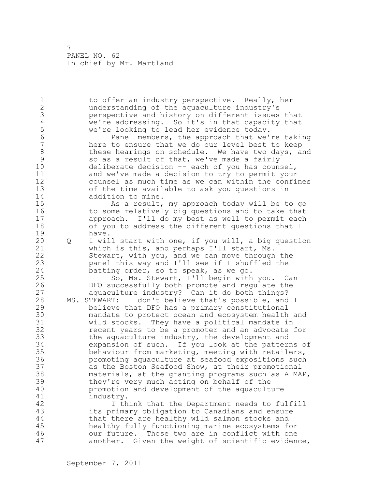1 to offer an industry perspective. Really, her 2 understanding of the aquaculture industry's 3 perspective and history on different issues that<br>4 we're addressing. So it's in that capacity that 4 we're addressing. So it's in that capacity that<br>5 we're looking to lead her evidence today. 5 we're looking to lead her evidence today.<br>Fanel members, the approach that we' 6 Fanel members, the approach that we're taking<br>7 here to ensure that we do our level best to keep here to ensure that we do our level best to keep 8 these hearings on schedule. We have two days, and<br>9 so as a result of that, we've made a fairly 9 so as a result of that, we've made a fairly<br>10 deliberate decision -- each of vou has cound deliberate decision  $-$ - each of you has counsel, 11 and we've made a decision to try to permit your 12 counsel as much time as we can within the confines 13 of the time available to ask you questions in 14 addition to mine. 15 As a result, my approach today will be to go 16 to some relatively big questions and to take that 17 approach. I'll do my best as well to permit each 18 of you to address the different questions that I 19 have.<br>20 Q I wil 20 Q I will start with one, if you will, a big question 21 which is this, and perhaps I'll start, Ms. 22 Stewart, with you, and we can move through the 23 panel this way and I'll see if I shuffled the 24 batting order, so to speak, as we go. 25 So, Ms. Stewart, I'll begin with you. Can 26 DFO successfully both promote and regulate the<br>27 aquaculture industry? Can it do both things? aquaculture industry? Can it do both things? 28 MS. STEWART: I don't believe that's possible, and I 29 believe that DFO has a primary constitutional 30 mandate to protect ocean and ecosystem health and<br>31 wild stocks. They have a political mandate in wild stocks. They have a political mandate in 32 recent years to be a promoter and an advocate for 33 the aquaculture industry, the development and 34 expansion of such. If you look at the patterns of 35 behaviour from marketing, meeting with retailers, 36 promoting aquaculture at seafood expositions such 37 as the Boston Seafood Show, at their promotional 38 materials, at the granting programs such as AIMAP, 39 they're very much acting on behalf of the 40 promotion and development of the aquaculture 41 industry.<br>42 I th I think that the Department needs to fulfill 43 its primary obligation to Canadians and ensure 44 that there are healthy wild salmon stocks and 45 healthy fully functioning marine ecosystems for 46 our future. Those two are in conflict with one 47 another. Given the weight of scientific evidence,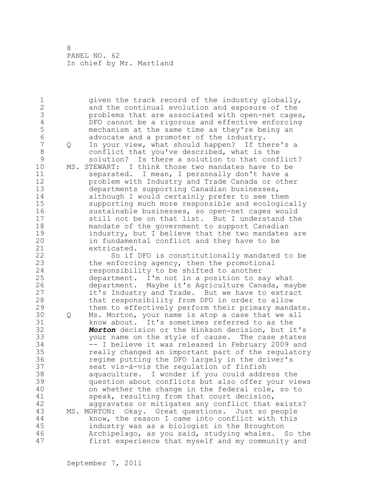1 given the track record of the industry globally, 2 and the continual evolution and exposure of the 3 beight problems that are associated with open-net cages,<br>4 DFO cannot be a rigorous and effective enforcing 4 DFO cannot be a rigorous and effective enforcing<br>5 mechanism at the same time as they're being an 5 mechanism at the same time as they're being an<br>6 advocate and a promoter of the industry. 6 advocate and a promoter of the industry.<br>7 0 In your view, what should happen? If th 7 Q In your view, what should happen? If there's a 8 conflict that you've described, what is the 9 solution? Is there a solution to that conflict?<br>10 MS. STEWART: I think those two mandates have to be MS. STEWART: I think those two mandates have to be 11 separated. I mean, I personally don't have a 12 problem with Industry and Trade Canada or other 13 departments supporting Canadian businesses, 14 although I would certainly prefer to see them 15 supporting much more responsible and ecologically 16 sustainable businesses, so open-net cages would 17 still not be on that list. But I understand the 18 mandate of the government to support Canadian 19 industry, but I believe that the two mandates are<br>20 in fundamental conflict and they have to be in fundamental conflict and they have to be 21 extricated. 22 So if DFO is constitutionally mandated to be 23 the enforcing agency, then the promotional 24 responsibility to be shifted to another 25 department. I'm not in a position to say what 26 department. Maybe it's Agriculture Canada, maybe<br>27 it's Industry and Trade. But we have to extract it's Industry and Trade. But we have to extract 28 that responsibility from DFO in order to allow 29 them to effectively perform their primary mandate. 30 Q Ms. Morton, your name is atop a case that we all 31 know about. It's sometimes referred to as the<br>32 **Morton** decision or the Hinkson decision, but i Morton decision or the Hinkson decision, but it's 33 your name on the style of cause. The case states 34 -- I believe it was released in February 2009 and 35 really changed an important part of the regulatory 36 regime putting the DFO largely in the driver's 37 seat vis-à-vis the regulation of finfish 38 aquaculture. I wonder if you could address the 39 question about conflicts but also offer your views 40 on whether the change in the federal role, so to 41 speak, resulting from that court decision,<br>42 aggravates or mitigates any conflict that aggravates or mitigates any conflict that exists? 43 MS. MORTON: Okay. Great questions. Just so people 44 know, the reason I came into conflict with this 45 industry was as a biologist in the Broughton 46 Archipelago, as you said, studying whales. So the 47 first experience that myself and my community and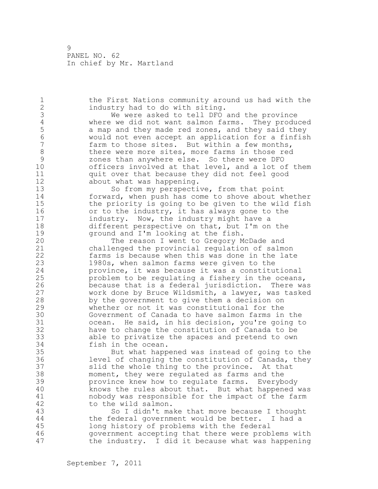1 the First Nations community around us had with the 2 industry had to do with siting. 3 We were asked to tell DFO and the province<br>4 Where we did not want salmon farms. They produ 4 where we did not want salmon farms. They produced<br>5 a map and they made red zones, and they said they 5 a map and they made red zones, and they said they<br>6 would not even accept an application for a finfish 6 would not even accept an application for a finfish farm to those sites. But within a few months, 8 there were more sites, more farms in those red<br>9 sones than anywhere else. So there were DFO 9 zones than anywhere else. So there were DFO officers involved at that level, and a lot of them 11 quit over that because they did not feel good 12 about what was happening. 13 So from my perspective, from that point 14 forward, when push has come to shove about whether 15 the priority is going to be given to the wild fish 16 or to the industry, it has always gone to the 17 **industry.** Now, the industry might have a 18 different perspective on that, but I'm on the 19 ground and I'm looking at the fish.<br>20 The reason I went to Gregory M The reason I went to Gregory McDade and 21 challenged the provincial regulation of salmon 22 farms is because when this was done in the late 23 1980s, when salmon farms were given to the 24 province, it was because it was a constitutional 25 problem to be regulating a fishery in the oceans, 26 because that is a federal jurisdiction. There was<br>27 work done by Bruce Wildsmith, a lawyer, was tasked work done by Bruce Wildsmith, a lawyer, was tasked 28 by the government to give them a decision on 29 whether or not it was constitutional for the 30 Government of Canada to have salmon farms in the<br>31 6 ocean. He said, in his decision, you're going to ocean. He said, in his decision, you're going to 32 have to change the constitution of Canada to be 33 able to privatize the spaces and pretend to own 34 fish in the ocean. 35 But what happened was instead of going to the 36 level of changing the constitution of Canada, they 37 slid the whole thing to the province. At that 38 moment, they were regulated as farms and the 39 province knew how to regulate farms. Everybody 40 knows the rules about that. But what happened was 41 mobody was responsible for the impact of the farm<br>42 to the wild salmon. to the wild salmon. 43 So I didn't make that move because I thought 44 the federal government would be better. I had a 45 long history of problems with the federal 46 government accepting that there were problems with 47 the industry. I did it because what was happening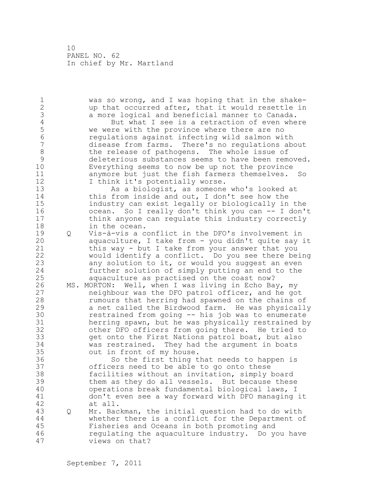1 was so wrong, and I was hoping that in the shake-2 up that occurred after, that it would resettle in 3 a more logical and beneficial manner to Canada.<br>4 But what I see is a retraction of even whe 4 But what I see is a retraction of even where<br>5 we were with the province where there are no 5 we were with the province where there are no<br>6 requlations against infecting wild salmon wi 6 regulations against infecting wild salmon with disease from farms. There's no regulations about 8 the release of pathogens. The whole issue of<br>9 deleterious substances seems to have been rem 9 deleterious substances seems to have been removed.<br>10 Everything seems to now be up not the province Everything seems to now be up not the province 11 anymore but just the fish farmers themselves. So 12 I think it's potentially worse. 13 As a biologist, as someone who's looked at 14 this from inside and out, I don't see how the 15 industry can exist legally or biologically in the 16 ocean. So I really don't think you can -- I don't 17 think anyone can regulate this industry correctly 18 in the ocean. 19 Q Vis-à-vis a conflict in the DFO's involvement in<br>20 aquaculture, I take from - you didn't quite say : aquaculture, I take from - you didn't quite say it 21 this way - but I take from your answer that you 22 would identify a conflict. Do you see there being 23 any solution to it, or would you suggest an even 24 further solution of simply putting an end to the 25 aquaculture as practised on the coast now? 26 MS. MORTON: Well, when I was living in Echo Bay, my<br>27 Theighbour was the DFO patrol officer, and he go neighbour was the DFO patrol officer, and he got 28 rumours that herring had spawned on the chains of 29 a net called the Birdwood farm. He was physically 30 restrained from going -- his job was to enumerate<br>31 herring spawn, but he was physically restrained by 31 herring spawn, but he was physically restrained by<br>32 other DFO officers from going there. He tried to other DFO officers from going there. He tried to 33 get onto the First Nations patrol boat, but also 34 was restrained. They had the argument in boats 35 out in front of my house. 36 So the first thing that needs to happen is 37 officers need to be able to go onto these 38 facilities without an invitation, simply board 39 them as they do all vessels. But because these 40 operations break fundamental biological laws, I 41 don't even see a way forward with DFO managing it at all. 43 Q Mr. Backman, the initial question had to do with 44 whether there is a conflict for the Department of 45 Fisheries and Oceans in both promoting and 46 regulating the aquaculture industry. Do you have 47 views on that?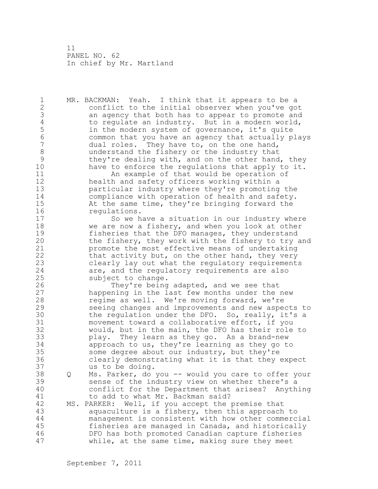1 MR. BACKMAN: Yeah. I think that it appears to be a 2 conflict to the initial observer when you've got 3 an agency that both has to appear to promote and<br>4 to requlate an industry. But in a modern world, 4 to regulate an industry. But in a modern world,<br>5 in the modern system of governance, it's quite 5 in the modern system of governance, it's quite<br>6 6 common that you have an agency that actually p 6 common that you have an agency that actually plays dual roles. They have to, on the one hand, 8 understand the fishery or the industry that<br>9 they're dealing with, and on the other hand 9 they're dealing with, and on the other hand, they<br>10 have to enforce the regulations that apply to it. have to enforce the requlations that apply to it. 11 An example of that would be operation of 12 health and safety officers working within a 13 particular industry where they're promoting the 14 compliance with operation of health and safety. 15 At the same time, they're bringing forward the 16 regulations. 17 So we have a situation in our industry where 18 we are now a fishery, and when you look at other 19 fisheries that the DFO manages, they understand<br>20 the fishery, they work with the fishery to try the fishery, they work with the fishery to try and 21 promote the most effective means of undertaking 22 that activity but, on the other hand, they very 23 clearly lay out what the regulatory requirements 24 are, and the regulatory requirements are also 25 subject to change. 26 They're being adapted, and we see that<br>27 happening in the last few months under the happening in the last few months under the new 28 regime as well. We're moving forward, we're 29 seeing changes and improvements and new aspects to 30 the regulation under the DFO. So, really, it's a<br>31 movement toward a collaborative effort, if you movement toward a collaborative effort, if you 32 would, but in the main, the DFO has their role to 33 play. They learn as they go. As a brand-new 34 approach to us, they're learning as they go to 35 some degree about our industry, but they're 36 clearly demonstrating what it is that they expect 37 us to be doing. 38 Q Ms. Parker, do you -- would you care to offer your 39 sense of the industry view on whether there's a 40 conflict for the Department that arises? Anything 41 to add to what Mr. Backman said?<br>42 MS. PARKER: Well, if you accept the MS. PARKER: Well, if you accept the premise that 43 aquaculture is a fishery, then this approach to 44 management is consistent with how other commercial 45 fisheries are managed in Canada, and historically 46 DFO has both promoted Canadian capture fisheries 47 while, at the same time, making sure they meet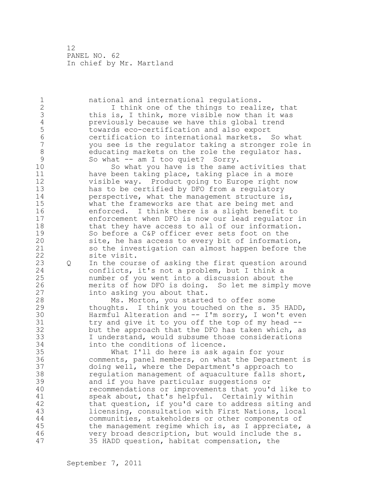1 national and international regulations. 2 I think one of the things to realize, that 3 this is, I think, more visible now than it was<br>4 previously because we have this global trend 4 previously because we have this global trend<br>5 towards eco-certification and also export 5 towards eco-certification and also export 6 certification to international markets. So what you see is the regulator taking a stronger role in 8 educating markets on the role the regulator has.<br>9 So what -- am I too quiet? Sorry. 9 So what -- am I too quiet? Sorry.<br>10 So what you have is the same So what you have is the same activities that 11 have been taking place, taking place in a more 12 visible way. Product going to Europe right now 13 has to be certified by DFO from a regulatory 14 perspective, what the management structure is, 15 what the frameworks are that are being met and 16 enforced. I think there is a slight benefit to 17 enforcement when DFO is now our lead regulator in 18 that they have access to all of our information. 19 So before a C&P officer ever sets foot on the<br>20 site, he has access to every bit of informati site, he has access to every bit of information, 21 so the investigation can almost happen before the 22 site visit. 23 Q In the course of asking the first question around 24 conflicts, it's not a problem, but I think a 25 number of you went into a discussion about the 26 merits of how DFO is doing. So let me simply move<br>27 into asking you about that. into asking you about that. 28 Ms. Morton, you started to offer some 29 thoughts. I think you touched on the s. 35 HADD, 30 Harmful Alteration and -- I'm sorry, I won't even<br>31 try and give it to you off the top of my head -- $31$  try and give it to you off the top of my head  $-$ -<br>32 but the approach that the DFO has taken which, a but the approach that the DFO has taken which, as 33 I understand, would subsume those considerations 34 into the conditions of licence. 35 What I'll do here is ask again for your 36 comments, panel members, on what the Department is 37 doing well, where the Department's approach to 38 regulation management of aquaculture falls short, 39 and if you have particular suggestions or 40 recommendations or improvements that you'd like to 41 speak about, that's helpful. Certainly within<br>42 that question, if you'd care to address siting that question, if you'd care to address siting and 43 licensing, consultation with First Nations, local 44 communities, stakeholders or other components of 45 the management regime which is, as I appreciate, a 46 very broad description, but would include the s. 47 35 HADD question, habitat compensation, the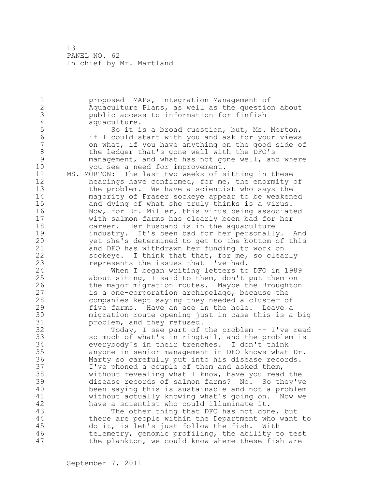1 proposed IMAPs, Integration Management of 2 Aquaculture Plans, as well as the question about 3 public access to information for finfish<br>4 aquaculture. 4 aquaculture.<br>5 So it i 5 So it is a broad question, but, Ms. Morton, 6 if I could start with you and ask for your views on what, if you have anything on the good side of 8 the ledger that's gone well with the DFO's<br>9 management, and what has not gone well, and 9 management, and what has not gone well, and where<br>10 vou see a need for improvement. you see a need for improvement. 11 MS. MORTON: The last two weeks of sitting in these 12 hearings have confirmed, for me, the enormity of 13 the problem. We have a scientist who says the 14 majority of Fraser sockeye appear to be weakened 15 and dying of what she truly thinks is a virus. 16 Now, for Dr. Miller, this virus being associated 17 with salmon farms has clearly been bad for her 18 **career.** Her husband is in the aquaculture 19 industry. It's been bad for her personally. And<br>20 vet she's determined to get to the bottom of this yet she's determined to get to the bottom of this 21 and DFO has withdrawn her funding to work on 22 sockeye. I think that that, for me, so clearly 23 represents the issues that I've had. 24 When I began writing letters to DFO in 1989 25 about siting, I said to them, don't put them on 26 the major migration routes. Maybe the Broughton<br>27 is a one-corporation archipelago, because the is a one-corporation archipelago, because the 28 companies kept saying they needed a cluster of 29 five farms. Have an ace in the hole. Leave a 30 migration route opening just in case this is a big 31 problem, and they refused.<br>32 Today, I see part of Today, I see part of the problem -- I've read 33 so much of what's in ringtail, and the problem is 34 everybody's in their trenches. I don't think 35 anyone in senior management in DFO knows what Dr. 36 Marty so carefully put into his disease records. 37 I've phoned a couple of them and asked them, 38 without revealing what I know, have you read the 39 disease records of salmon farms? No. So they've 40 been saying this is sustainable and not a problem 41 without actually knowing what's going on. Now we<br>42 have a scientist who could illuminate it. have a scientist who could illuminate it. 43 The other thing that DFO has not done, but 44 there are people within the Department who want to 45 do it, is let's just follow the fish. With 46 telemetry, genomic profiling, the ability to test 47 the plankton, we could know where these fish are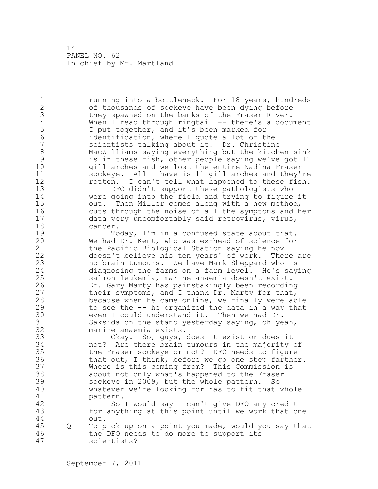1 1 running into a bottleneck. For 18 years, hundreds 2 of thousands of sockeye have been dying before 3 they spawned on the banks of the Fraser River.<br>4 When I read through ringtail -- there's a docu 4 When I read through ringtail -- there's a document<br>5 I put together, and it's been marked for 5 1 put together, and it's been marked for<br>6 1 identification, where I quote a lot of the 6 identification, where I quote a lot of the scientists talking about it. Dr. Christine 8 MacWilliams saying everything but the kitchen sink<br>9 is in these fish, other people saying we've got 11 9 is in these fish, other people saying we've got 11 gill arches and we lost the entire Nadina Fraser 11 sockeye. All I have is 11 gill arches and they're 12 rotten. I can't tell what happened to these fish. 13 DFO didn't support these pathologists who 14 were going into the field and trying to figure it 15 out. Then Miller comes along with a new method, 16 cuts through the noise of all the symptoms and her 17 data very uncomfortably said retrovirus, virus, 18 cancer. 19 Today, I'm in a confused state about that.<br>20 We had Dr. Kent, who was ex-head of science for We had Dr. Kent, who was ex-head of science for 21 the Pacific Biological Station saying he now 22 doesn't believe his ten years' of work. There are 23 no brain tumours. We have Mark Sheppard who is 24 diagnosing the farms on a farm level. He's saying 25 salmon leukemia, marine anaemia doesn't exist. 26 Dr. Gary Marty has painstakingly been recording<br>27 their symptoms, and I thank Dr. Marty for that, their symptoms, and I thank Dr. Marty for that, 28 because when he came online, we finally were able 29 to see the -- he organized the data in a way that 30 even I could understand it. Then we had Dr.<br>31 Saksida on the stand vesterdav saving, oh ve 31 Saksida on the stand yesterday saying, oh yeah, marine anaemia exists. 33 Okay. So, guys, does it exist or does it 34 not? Are there brain tumours in the majority of 35 the Fraser sockeye or not? DFO needs to figure 36 that out, I think, before we go one step farther. 37 Where is this coming from? This Commission is 38 about not only what's happened to the Fraser 39 sockeye in 2009, but the whole pattern. So 40 whatever we're looking for has to fit that whole 41 pattern.<br>42 So So I would say I can't give DFO any credit 43 for anything at this point until we work that one 44 out. 45 Q To pick up on a point you made, would you say that 46 the DFO needs to do more to support its 47 scientists?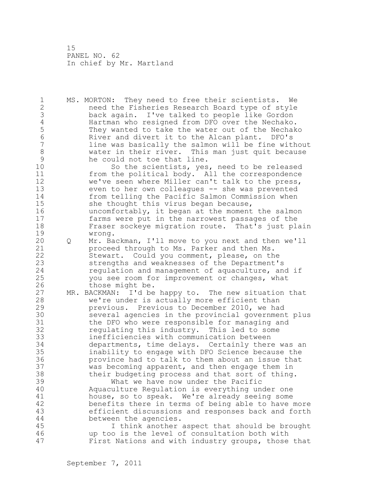1 MS. MORTON: They need to free their scientists. We 2 need the Fisheries Research Board type of style 3 back again. I've talked to people like Gordon 4 Hartman who resigned from DFO over the Nechako.<br>5 They wanted to take the water out of the Nechak 5 They wanted to take the water out of the Nechako<br>6 River and divert it to the Alcan plant. DFO's 6 River and divert it to the Alcan plant. DFO's line was basically the salmon will be fine without 8 water in their river. This man just quit because 9 he could not toe that line.<br>10 So the scientists, ves So the scientists, yes, need to be released 11 from the political body. All the correspondence 12 we've seen where Miller can't talk to the press, 13 even to her own colleagues -- she was prevented 14 from telling the Pacific Salmon Commission when 15 she thought this virus began because, 16 uncomfortably, it began at the moment the salmon 17 farms were put in the narrowest passages of the 18 Fraser sockeye migration route. That's just plain 19 wrong.<br>20 Q Mr. Ba 20 Q Mr. Backman, I'll move to you next and then we'll 21 proceed through to Ms. Parker and then Ms. 22 Stewart. Could you comment, please, on the 23 strengths and weaknesses of the Department's 24 regulation and management of aquaculture, and if 25 you see room for improvement or changes, what 26 those might be.<br>27 MR. BACKMAN: I'd be MR. BACKMAN: I'd be happy to. The new situation that 28 we're under is actually more efficient than 29 previous. Previous to December 2010, we had 30 several agencies in the provincial government plus 31 the DFO who were responsible for managing and<br>32 fequiating this industry. This led to some regulating this industry. This led to some 33 inefficiencies with communication between 34 departments, time delays. Certainly there was an 35 inability to engage with DFO Science because the 36 province had to talk to them about an issue that 37 was becoming apparent, and then engage them in 38 their budgeting process and that sort of thing. 39 What we have now under the Pacific 40 Aquaculture Regulation is everything under one 41 house, so to speak. We're already seeing some<br>42 benefits there in terms of being able to have benefits there in terms of being able to have more 43 efficient discussions and responses back and forth 44 between the agencies. 45 I think another aspect that should be brought 46 up too is the level of consultation both with 47 First Nations and with industry groups, those that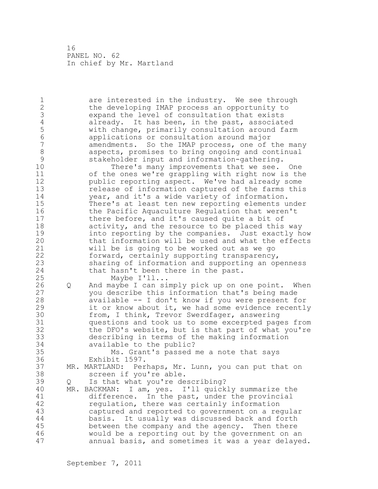1 are interested in the industry. We see through 2 the developing IMAP process an opportunity to 3 expand the level of consultation that exists<br>4 already. It has been, in the past, associate 4 already. It has been, in the past, associated<br>5 with change, primarily consultation around farm 5 with change, primarily consultation around farm 6 applications or consultation around major amendments. So the IMAP process, one of the many 8 aspects, promises to bring ongoing and continual<br>9 stakeholder input and information-gathering. 9 stakeholder input and information-gathering. There's many improvements that we see. One 11 of the ones we're grappling with right now is the 12 public reporting aspect. We've had already some 13 release of information captured of the farms this 14 year, and it's a wide variety of information. 15 There's at least ten new reporting elements under 16 the Pacific Aquaculture Regulation that weren't 17 there before, and it's caused quite a bit of 18 activity, and the resource to be placed this way 19 into reporting by the companies. Just exactly how<br>20 that information will be used and what the effects that information will be used and what the effects 21 will be is going to be worked out as we go 22 forward, certainly supporting transparency, 23 sharing of information and supporting an openness 24 that hasn't been there in the past. 25 Maybe I'll... 26 Q And maybe I can simply pick up on one point. When<br>27 vou describe this information that's being made you describe this information that's being made 28 available -- I don't know if you were present for 29 it or know about it, we had some evidence recently 30 from, I think, Trevor Swerdfager, answering<br>31 ouestions and took us to some excerpted page 31 questions and took us to some excerpted pages from<br>32 the DFO's website, but is that part of what you're the DFO's website, but is that part of what you're 33 describing in terms of the making information 34 available to the public? 35 Ms. Grant's passed me a note that says 36 Exhibit 1597. 37 MR. MARTLAND: Perhaps, Mr. Lunn, you can put that on 38 screen if you're able. 39 Q Is that what you're describing? 40 MR. BACKMAN: I am, yes. I'll quickly summarize the 41 difference. In the past, under the provincial<br>42 megulation, there was certainly information requlation, there was certainly information 43 captured and reported to government on a regular 44 basis. It usually was discussed back and forth 45 between the company and the agency. Then there 46 would be a reporting out by the government on an 47 annual basis, and sometimes it was a year delayed.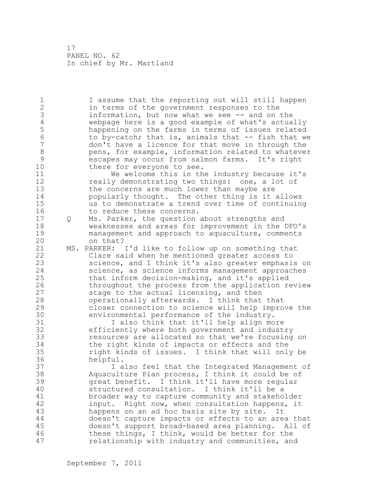1 I assume that the reporting out will still happen 2 in terms of the government responses to the 3 information, but now what we see -- and on the<br>4 webpage here is a good example of what's actua 4 webpage here is a good example of what's actually 5 happening on the farms in terms of issues related<br>6 to by-catch: that is, animals that -- fish that we 6 to by-catch; that is, animals that -- fish that we don't have a licence for that move in through the 8 pens, for example, information related to whatever<br>9 escapes may occur from salmon farms. It's right 9 escapes may occur from salmon farms. It's right<br>10 there for evervone to see. there for everyone to see. 11 We welcome this in the industry because it's 12 **really demonstrating two things:** one, a lot of 13 the concerns are much lower than maybe are 14 popularly thought. The other thing is it allows 15 us to demonstrate a trend over time of continuing 16 to reduce these concerns. 17 Q Ms. Parker, the question about strengths and 18 weaknesses and areas for improvement in the DFO's 19 management and approach to aquaculture, comments<br>20 on that? on that? 21 MS. PARKER: I'd like to follow up on something that 22 Clare said when he mentioned greater access to 23 science, and I think it's also greater emphasis on 24 science, as science informs management approaches 25 that inform decision-making, and it's applied 26 throughout the process from the application review<br>27 stage to the actual licensing, and then stage to the actual licensing, and then 28 operationally afterwards. I think that that 29 closer connection to science will help improve the 30 environmental performance of the industry.<br>31 1 also think that it'll help align mo 31 I also think that it'll help align more<br>32 efficiently where both government and indust efficiently where both government and industry 33 resources are allocated so that we're focusing on 34 the right kinds of impacts or effects and the 35 right kinds of issues. I think that will only be 36 helpful. 37 I also feel that the Integrated Management of 38 Aquaculture Plan process, I think it could be of 39 great benefit. I think it'll have more regular 40 structured consultation. I think it'll be a 41 broader way to capture community and stakeholder<br>42 input. Right now, when consultation happens, it input. Right now, when consultation happens, it 43 happens on an ad hoc basis site by site. It 44 doesn't capture impacts or effects to an area that 45 doesn't support broad-based area planning. All of 46 these things, I think, would be better for the 47 relationship with industry and communities, and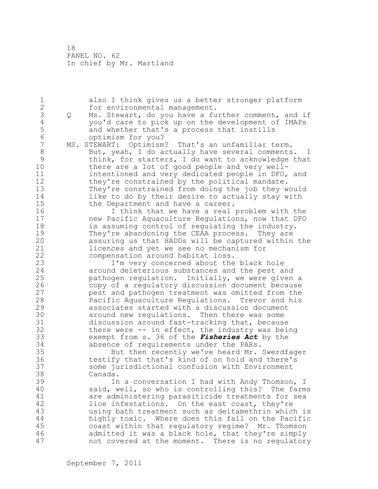1 also I think gives us a better stronger platform 2 for environmental management. 3 Q Ms. Stewart, do you have a further comment, and if<br>4 you'd care to pick up on the development of IMAPs 4 you'd care to pick up on the development of IMAPs 5 and whether that's a process that instills<br>6 contimism for you? 6 optimism for you?<br>7 MS. STEWART: Optimism MS. STEWART: Optimism? That's an unfamiliar term. 8 But, yeah, I do actually have several comments. I 9 think, for starters, I do want to acknowledge that<br>10 there are a lot of good people and verv wellthere are a lot of good people and very well-11 intentioned and very dedicated people in DFO, and 12 they're constrained by the political mandate. 13 They're constrained from doing the job they would 14 like to do by their desire to actually stay with 15 the Department and have a career. 16 I think that we have a real problem with the 17 new Pacific Aquaculture Regulations, now that DFO 18 is assuming control of regulating the industry. 19 They're abandoning the CEAA process. They are<br>20 assuring us that HADDs will be captured within assuring us that HADDs will be captured within the 21 licences and yet we see no mechanism for 22 compensation around habitat loss. 23 I'm very concerned about the black hole 24 around deleterious substances and the pest and 25 pathogen regulation. Initially, we were given a 26 copy of a regulatory discussion document because<br>27 eest and pathogen treatment was omitted from the pest and pathogen treatment was omitted from the 28 Pacific Aquaculture Regulations. Trevor and his 29 associates started with a discussion document 30 around new regulations. Then there was some<br>31 discussion around fast-tracking that, becaus 31 discussion around fast-tracking that, because<br>32 there were -- in effect, the industry was bei there were  $-$ - in effect, the industry was being 33 exempt from s. 36 of the *Fisheries Act* by the 34 absence of requirements under the PARs. 35 But then recently we've heard Mr. Swerdfager 36 testify that that's kind of on hold and there's 37 some jurisdictional confusion with Environment 38 Canada. 39 In a conversation I had with Andy Thomson, I 40 said, well, so who is controlling this? The farms 41 are administering parasiticide treatments for sea<br>42 lice infestations. On the east coast, they're lice infestations. On the east coast, they're 43 using bath treatment such as deltamethrin which is 44 highly toxic. Where does this fall on the Pacific 45 coast within that regulatory regime? Mr. Thomson 46 admitted it was a black hole, that they're simply 47 not covered at the moment. There is no regulatory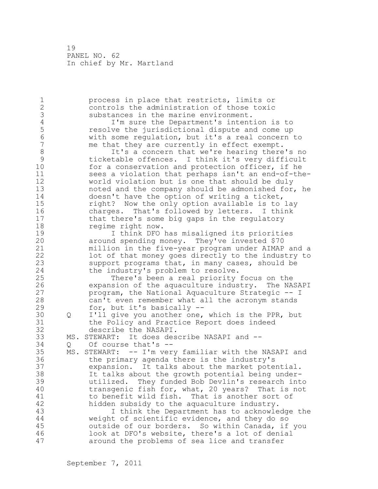1 process in place that restricts, limits or 2 controls the administration of those toxic 3 substances in the marine environment.<br>4 I'm sure the Department's intent 4 I'm sure the Department's intention is to<br>5 cesolve the jurisdictional dispute and come up 5 resolve the jurisdictional dispute and come up 6 with some regulation, but it's a real concern to me that they are currently in effect exempt. 8 It's a concern that we're hearing there's no<br>9 icketable offences. I think it's very difficult 9 ticketable offences. I think it's very difficult for a conservation and protection officer, if he 11 sees a violation that perhaps isn't an end-of-the-12 world violation but is one that should be duly 13 noted and the company should be admonished for, he 14 doesn't have the option of writing a ticket, 15 right? Now the only option available is to lay 16 charges. That's followed by letters. I think 17 that there's some big gaps in the regulatory 18 regime right now. 19 19 I think DFO has misaligned its priorities<br>20 10 20 20 around spending money. They've invested \$70 around spending money. They've invested \$70 21 million in the five-year program under AIMAP and a 22 lot of that money goes directly to the industry to 23 support programs that, in many cases, should be 24 the industry's problem to resolve. 25 There's been a real priority focus on the 26 expansion of the aquaculture industry. The NASAPI program, the National Aquaculture Strategic -- I 28 can't even remember what all the acronym stands 29 for, but it's basically -- 30 Q I'll give you another one, which is the PPR, but 31 the Policy and Practice Report does indeed<br>32 describe the NASAPI. describe the NASAPI. 33 MS. STEWART: It does describe NASAPI and -- 34 Q Of course that's -- 35 MS. STEWART: -- I'm very familiar with the NASAPI and 36 the primary agenda there is the industry's 37 expansion. It talks about the market potential. 38 It talks about the growth potential being under-39 utilized. They funded Bob Devlin's research into 40 transgenic fish for, what, 20 years? That is not 41 to benefit wild fish. That is another sort of<br>42 hidden subsidy to the aquaculture industry. hidden subsidy to the aquaculture industry. 43 I think the Department has to acknowledge the 44 weight of scientific evidence, and they do so 45 outside of our borders. So within Canada, if you 46 look at DFO's website, there's a lot of denial 47 around the problems of sea lice and transfer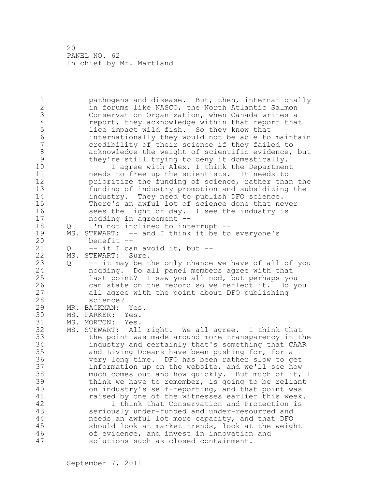1 pathogens and disease. But, then, internationally 2 in forums like NASCO, the North Atlantic Salmon 3 Conservation Organization, when Canada writes a<br>4 Teport, they acknowledge within that report that 4 report, they acknowledge within that report that<br>5 lice impact wild fish. So they know that 5 lice impact wild fish. So they know that<br>6 internationally they would not be able to 6 internationally they would not be able to maintain 7 credibility of their science if they failed to 8 acknowledge the weight of scientific evidence, but<br>9 they're still trying to deny it domestically. 9 they're still trying to deny it domestically.<br>10 1 agree with Alex, I think the Departmen I agree with Alex, I think the Department 11 needs to free up the scientists. It needs to 12 prioritize the funding of science, rather than the 13 funding of industry promotion and subsidizing the 14 industry. They need to publish DFO science. 15 There's an awful lot of science done that never 16 sees the light of day. I see the industry is 17 nodding in agreement -- 18 Q I'm not inclined to interrupt -- 19 MS. STEWART: -- and I think it be to everyone's<br>20 benefit -benefit --21  $Q = -$  if I can avoid it, but  $-$ 22 MS. STEWART: Sure. 23 Q -- it may be the only chance we have of all of you 24 nodding. Do all panel members agree with that 25 last point? I saw you all nod, but perhaps you 26 can state on the record so we reflect it. Do you<br>27 all agree with the point about DFO publishing all agree with the point about DFO publishing 28 science? 29 MR. BACKMAN: Yes. 30 MS. PARKER: Yes.<br>31 MS. MORTON: Yes. MS. MORTON: Yes. 32 MS. STEWART: All right. We all agree. I think that 33 the point was made around more transparency in the 34 industry and certainly that's something that CAAR 35 and Living Oceans have been pushing for, for a 36 very long time. DFO has been rather slow to get 37 information up on the website, and we'll see how 38 much comes out and how quickly. But much of it, I 39 think we have to remember, is going to be reliant 40 on industry's self-reporting, and that point was 41 raised by one of the witnesses earlier this week.<br>42 1 T think that Conservation and Protection is I think that Conservation and Protection is 43 seriously under-funded and under-resourced and 44 needs an awful lot more capacity, and that DFO 45 should look at market trends, look at the weight 46 of evidence, and invest in innovation and 47 solutions such as closed containment.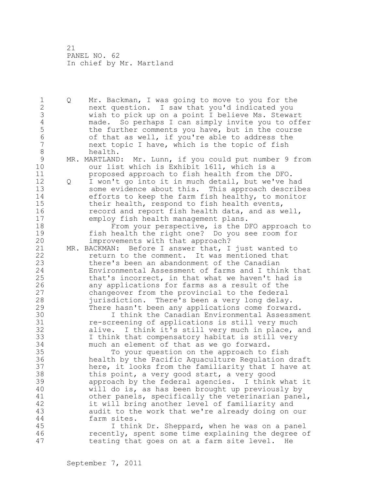1 Q Mr. Backman, I was going to move to you for the 2 next question. I saw that you'd indicated you 3 wish to pick up on a point I believe Ms. Stewart 4 made. So perhaps I can simply invite you to offer<br>5 the further comments you have, but in the course 5 the further comments you have, but in the course 6 of that as well, if you're able to address the next topic I have, which is the topic of fish 8 health. 9 MR. MARTLAND: Mr. Lunn, if you could put number 9 from<br>10 our list which is Exhibit 1611, which is a our list which is Exhibit 1611, which is a 11 proposed approach to fish health from the DFO. 12 Q I won't go into it in much detail, but we've had 13 some evidence about this. This approach describes 14 efforts to keep the farm fish healthy, to monitor 15 their health, respond to fish health events, 16 **record and report fish health data, and as well,** 17 employ fish health management plans. 18 From your perspective, is the DFO approach to 19 fish health the right one? Do you see room for<br>20 improvements with that approach? improvements with that approach? 21 MR. BACKMAN: Before I answer that, I just wanted to 22 return to the comment. It was mentioned that 23 there's been an abandonment of the Canadian 24 Environmental Assessment of farms and I think that 25 that's incorrect, in that what we haven't had is 26 any applications for farms as a result of the<br>27 changeover from the provincial to the federal changeover from the provincial to the federal 28 jurisdiction. There's been a very long delay. 29 There hasn't been any applications come forward. 30 I think the Canadian Environmental Assessment<br>31 Te-screening of applications is still very much re-screening of applications is still very much 32 alive. I think it's still very much in place, and 33 I think that compensatory habitat is still very 34 much an element of that as we go forward. 35 To your question on the approach to fish 36 health by the Pacific Aquaculture Regulation draft 37 here, it looks from the familiarity that I have at 38 this point, a very good start, a very good 39 approach by the federal agencies. I think what it 40 will do is, as has been brought up previously by 41 other panels, specifically the veterinarian panel,<br>42 it will bring another level of familiarity and it will bring another level of familiarity and 43 audit to the work that we're already doing on our 44 farm sites. 45 I think Dr. Sheppard, when he was on a panel 46 recently, spent some time explaining the degree of 47 testing that goes on at a farm site level. He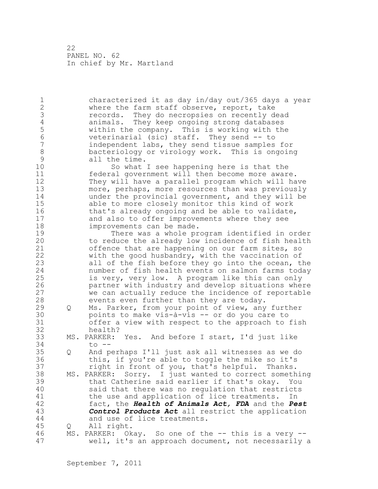1 characterized it as day in/day out/365 days a year 2 where the farm staff observe, report, take 3 records. They do necropsies on recently dead<br>4 animals. They keep ongoing strong databases 4 animals. They keep ongoing strong databases<br>5 within the company. This is working with the 5 within the company. This is working with the 6 veterinarial (sic) staff. They send -- to independent labs, they send tissue samples for 8 bacteriology or virology work. This is ongoing<br>9 all the time. 9 all the time.<br>10 So what So what I see happening here is that the 11 federal government will then become more aware. 12 They will have a parallel program which will have 13 more, perhaps, more resources than was previously 14 under the provincial government, and they will be 15 able to more closely monitor this kind of work 16 that's already ongoing and be able to validate, 17 and also to offer improvements where they see 18 improvements can be made. 19 There was a whole program identified in order<br>20 to reduce the already low incidence of fish health to reduce the already low incidence of fish health 21 offence that are happening on our farm sites, so 22 with the good husbandry, with the vaccination of 23 all of the fish before they go into the ocean, the 24 number of fish health events on salmon farms today 25 is very, very low. A program like this can only 26 **partner with industry and develop situations where**<br>27 we can actually reduce the incidence of reportable we can actually reduce the incidence of reportable 28 events even further than they are today. 29 Q Ms. Parker, from your point of view, any further 30 boints to make vis-à-vis -- or do you care to<br>31 offer a view with respect to the approach to offer a view with respect to the approach to fish 32 health? 33 MS. PARKER: Yes. And before I start, I'd just like 34 to -- 35 Q And perhaps I'll just ask all witnesses as we do 36 this, if you're able to toggle the mike so it's 37 right in front of you, that's helpful. Thanks. 38 MS. PARKER: Sorry. I just wanted to correct something 39 that Catherine said earlier if that's okay. You 40 said that there was no regulation that restricts 41 the use and application of lice treatments. In<br>42 fact, the **Health of Animals Act, FDA** and the *Pe*. fact, the *Health of Animals Act, FDA* and the *Pest* 43 *Control Products Act* all restrict the application 44 and use of lice treatments. 45 Q All right. 46 MS. PARKER: Okay. So one of the -- this is a very -- 47 well, it's an approach document, not necessarily a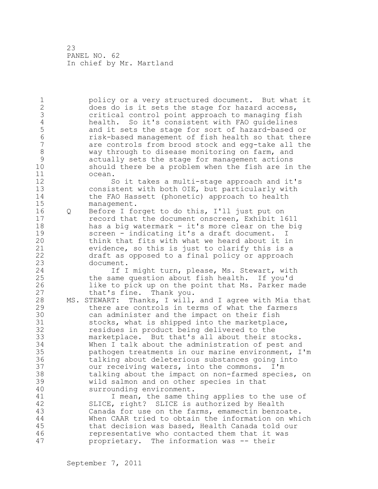1 policy or a very structured document. But what it 2 does do is it sets the stage for hazard access, 3 critical control point approach to managing fish 4 health. So it's consistent with FAO guidelines<br>5 and it sets the stage for sort of hazard-based 5 and it sets the stage for sort of hazard-based or<br>6 risk-based management of fish health so that there 6 risk-based management of fish health so that there are controls from brood stock and egg-take all the 8 way through to disease monitoring on farm, and 9 actually sets the stage for management actions should there be a problem when the fish are in the 11 ocean. 12 So it takes a multi-stage approach and it's 13 consistent with both OIE, but particularly with 14 the FAO Hassett (phonetic) approach to health 15 management. 16 Q Before I forget to do this, I'll just put on 17 record that the document onscreen, Exhibit 1611 18 has a big watermark - it's more clear on the big 19 screen - indicating it's a draft document. I<br>20 think that fits with what we heard about it i think that fits with what we heard about it in 21 evidence, so this is just to clarify this is a 22 draft as opposed to a final policy or approach 23 document. 24 1f I might turn, please, Ms. Stewart, with 25 the same question about fish health. If you'd 26 like to pick up on the point that Ms. Parker made<br>27 that's fine. Thank you. that's fine. Thank you. 28 MS. STEWART: Thanks, I will, and I agree with Mia that 29 there are controls in terms of what the farmers 30 can administer and the impact on their fish<br>31 stocks, what is shipped into the marketplace stocks, what is shipped into the marketplace, 32 residues in product being delivered to the 33 marketplace. But that's all about their stocks. 34 When I talk about the administration of pest and 35 pathogen treatments in our marine environment, I'm 36 talking about deleterious substances going into 37 our receiving waters, into the commons. I'm 38 talking about the impact on non-farmed species, on 39 wild salmon and on other species in that 40 surrounding environment. 41 I mean, the same thing applies to the use of<br>42 SLICE, right? SLICE is authorized by Health SLICE, right? SLICE is authorized by Health 43 Canada for use on the farms, emamectin benzoate. 44 When CAAR tried to obtain the information on which 45 that decision was based, Health Canada told our 46 representative who contacted them that it was 47 proprietary. The information was -- their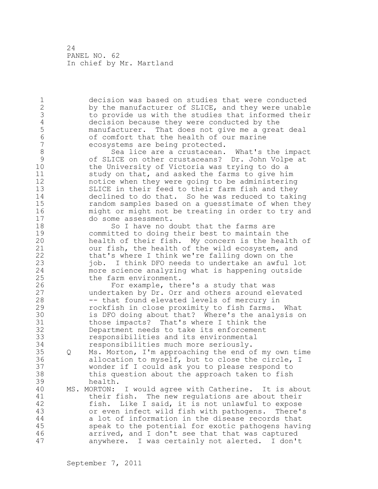1 decision was based on studies that were conducted 2 by the manufacturer of SLICE, and they were unable 3 to provide us with the studies that informed their 4 decision because they were conducted by the<br>5 manufacturer. That does not give me a grea 5 manufacturer. That does not give me a great deal 6 of comfort that the health of our marine<br>7 ecosystems are being protected. ecosystems are being protected. 8 Sea lice are a crustacean. What's the impact<br>9 of SLICE on other crustaceans? Dr. John Volpe at 9 of SLICE on other crustaceans? Dr. John Volpe at the University of Victoria was trying to do a 11 study on that, and asked the farms to give him 12 notice when they were going to be administering 13 SLICE in their feed to their farm fish and they 14 declined to do that. So he was reduced to taking 15 random samples based on a guesstimate of when they 16 might or might not be treating in order to try and 17 do some assessment. 18 So I have no doubt that the farms are 19 committed to doing their best to maintain the<br>20 health of their fish. My concern is the heal health of their fish. My concern is the health of 21 our fish, the health of the wild ecosystem, and 22 that's where I think we're falling down on the 23 job. I think DFO needs to undertake an awful lot 24 more science analyzing what is happening outside 25 the farm environment. 26 For example, there's a study that was<br>27 undertaken by Dr. Orr and others around el undertaken by Dr. Orr and others around elevated 28 -- that found elevated levels of mercury in 29 rockfish in close proximity to fish farms. What 30 is DFO doing about that? Where's the analysis on<br>31 those impacts? That's where I think the 31 those impacts? That's where I think the<br>32 Department needs to take its enforcement Department needs to take its enforcement 33 responsibilities and its environmental 34 responsibilities much more seriously. 35 Q Ms. Morton, I'm approaching the end of my own time 36 allocation to myself, but to close the circle, I 37 wonder if I could ask you to please respond to 38 this question about the approach taken to fish 39 health. 40 MS. MORTON: I would agree with Catherine. It is about 41 their fish. The new regulations are about their<br>42 fish. Like I said, it is not unlawful to expose fish. Like I said, it is not unlawful to expose 43 or even infect wild fish with pathogens. There's 44 a lot of information in the disease records that 45 speak to the potential for exotic pathogens having 46 arrived, and I don't see that that was captured 47 anywhere. I was certainly not alerted. I don't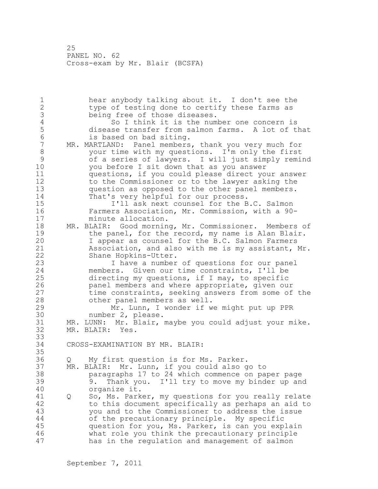1 hear anybody talking about it. I don't see the 2 type of testing done to certify these farms as 3 being free of those diseases.<br>4 50 I think it is the num 4 So I think it is the number one concern is<br>5 disease transfer from salmon farms. A lot of ti 5 disease transfer from salmon farms. A lot of that<br>6 is based on bad siting. 6 is based on bad siting.<br>7 MR. MARTLAND: Panel members MR. MARTLAND: Panel members, thank you very much for 8 your time with my questions. I'm only the first 9 of a series of lawyers. I will just simply remind<br>10 vou before I sit down that as you answer you before I sit down that as you answer 11 questions, if you could please direct your answer 12 to the Commissioner or to the lawyer asking the 13 question as opposed to the other panel members. 14 That's very helpful for our process. 15 I'll ask next counsel for the B.C. Salmon 16 Farmers Association, Mr. Commission, with a 90- 17 minute allocation. 18 MR. BLAIR: Good morning, Mr. Commissioner. Members of 19 the panel, for the record, my name is Alan Blair.<br>20 1 appear as counsel for the B.C. Salmon Farmers I appear as counsel for the B.C. Salmon Farmers 21 Association, and also with me is my assistant, Mr. 22 Shane Hopkins-Utter. 23 I have a number of questions for our panel 24 members. Given our time constraints, I'll be 25 directing my questions, if I may, to specific 26 panel members and where appropriate, given our<br>27 time constraints, seeking answers from some of time constraints, seeking answers from some of the 28 other panel members as well. 29 Mr. Lunn, I wonder if we might put up PPR 30 number 2, please.<br>31 MR. LUNN: Mr. Blair, MR. LUNN: Mr. Blair, maybe you could adjust your mike. 32 MR. BLAIR: Yes. 33 34 CROSS-EXAMINATION BY MR. BLAIR: 35 36 Q My first question is for Ms. Parker. 37 MR. BLAIR: Mr. Lunn, if you could also go to 38 paragraphs 17 to 24 which commence on paper page 39 9. Thank you. I'll try to move my binder up and 40 organize it. 41 Q So, Ms. Parker, my questions for you really relate<br>42 to this document specifically as perhaps an aid to to this document specifically as perhaps an aid to 43 you and to the Commissioner to address the issue 44 of the precautionary principle. My specific 45 question for you, Ms. Parker, is can you explain 46 what role you think the precautionary principle 47 has in the regulation and management of salmon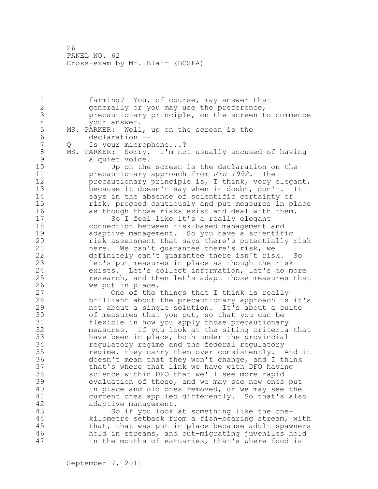1 farming? You, of course, may answer that 2 generally or you may use the preference, 3 precautionary principle, on the screen to commence 4 your answer.<br>5 MS. PARKER: Well 5 MS. PARKER: Well, up on the screen is the<br>6 declaration --6 declaration --<br>7 0 Is vour microp 7 Q Is your microphone...? 8 MS. PARKER: Sorry. I'm not usually accused of having 9 a quiet voice. Up on the screen is the declaration on the 11 precautionary approach from *Rio 1992*. The 12 precautionary principle is, I think, very elegant, 13 because it doesn't say when in doubt, don't. It<br>14 says in the absence of scientific certainty of says in the absence of scientific certainty of 15 risk, proceed cautiously and put measures in place 16 as though those risks exist and deal with them. 17 So I feel like it's a really elegant 18 connection between risk-based management and 19 adaptive management. So you have a scientific<br>20 misk assessment that says there's potentially risk assessment that says there's potentially risk 21 here. We can't guarantee there's risk, we 22 definitely can't guarantee there isn't risk. So 23 let's put measures in place as though the risk 24 exists. Let's collect information, let's do more 25 research, and then let's adapt those measures that 26 we put in place.<br>27 One of the One of the things that I think is really 28 brilliant about the precautionary approach is it's 29 not about a single solution. It's about a suite 30 of measures that you put, so that you can be<br>31 flexible in how you apply those precautionar flexible in how you apply those precautionary 32 measures. If you look at the siting criteria that 33 have been in place, both under the provincial 34 regulatory regime and the federal regulatory 35 regime, they carry them over consistently. And it 36 doesn't mean that they won't change, and I think 37 that's where that link we have with DFO having 38 science within DFO that we'll see more rapid 39 evaluation of those, and we may see new ones put 40 in place and old ones removed, or we may see the 41 current ones applied differently. So that's also<br>42 adaptive management. adaptive management. 43 So if you look at something like the one-44 kilometre setback from a fish-bearing stream, with 45 that, that was put in place because adult spawners 46 hold in streams, and out-migrating juveniles hold 47 in the mouths of estuaries, that's where food is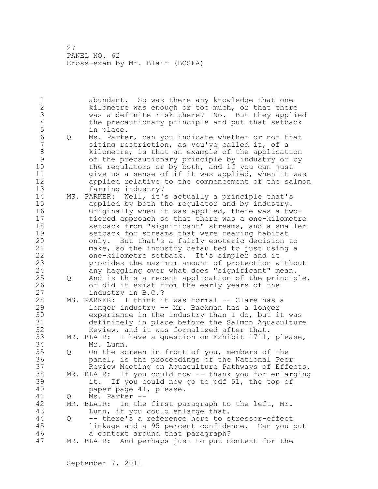1 abundant. So was there any knowledge that one 2 kilometre was enough or too much, or that there 3 was a definite risk there? No. But they applied 4 the precautionary principle and put that setback<br>5 in place. 5 in place.<br>6 Q Ms. Parke 6 Q Ms. Parker, can you indicate whether or not that siting restriction, as you've called it, of a 8 kilometre, is that an example of the application 9 of the precautionary principle by industry or by<br>10 the regulators or by both, and if you can just the regulators or by both, and if you can just 11 give us a sense of if it was applied, when it was 12 applied relative to the commencement of the salmon 13 farming industry? 14 MS. PARKER: Well, it's actually a principle that's 15 applied by both the regulator and by industry. 16 Originally when it was applied, there was a two-17 tiered approach so that there was a one-kilometre 18 setback from "significant" streams, and a smaller 19 setback for streams that were rearing habitat<br>20 only. But that's a fairly esoteric decision only. But that's a fairly esoteric decision to 21 make, so the industry defaulted to just using a 22 one-kilometre setback. It's simpler and it 23 provides the maximum amount of protection without 24 any haggling over what does "significant" mean. 25 Q And is this a recent application of the principle, 26 or did it exist from the early years of the<br>27 industry in B.C.? industry in B.C.? 28 MS. PARKER: I think it was formal -- Clare has a 29 longer industry -- Mr. Backman has a longer 30 experience in the industry than I do, but it was<br>31 definitely in place before the Salmon Aquacultur definitely in place before the Salmon Aquaculture 32 Review, and it was formalized after that. 33 MR. BLAIR: I have a question on Exhibit 1711, please, 34 Mr. Lunn. 35 Q On the screen in front of you, members of the 36 panel, is the proceedings of the National Peer 37 Review Meeting on Aquaculture Pathways of Effects. 38 MR. BLAIR: If you could now -- thank you for enlarging 39 it. If you could now go to pdf 51, the top of 40 paper page 41, please. 41 Q Ms. Parker --<br>42 MR. BLAIR: In the  $MR.$  BLAIR: In the first paragraph to the left, Mr. 43 Lunn, if you could enlarge that. 44 Q -- there's a reference here to stressor-effect 45 linkage and a 95 percent confidence. Can you put 46 a context around that paragraph? 47 MR. BLAIR: And perhaps just to put context for the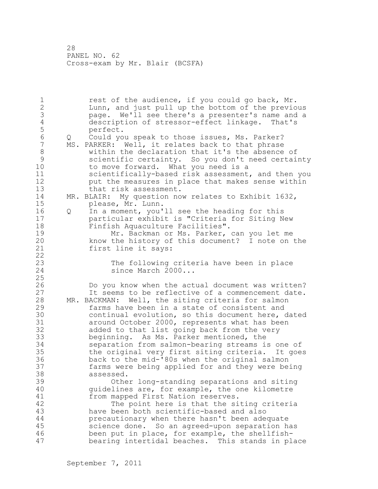1 rest of the audience, if you could go back, Mr. 2 Lunn, and just pull up the bottom of the previous 3 page. We'll see there's a presenter's name and a 4 description of stressor-effect linkage. That's 5 perfect.<br>6 0 Could vo 6 Q Could you speak to those issues, Ms. Parker? MS. PARKER: Well, it relates back to that phrase 8 within the declaration that it's the absence of 9 scientific certainty. So you don't need certainty to move forward. What you need is a 11 scientifically-based risk assessment, and then you 12 put the measures in place that makes sense within 13 that risk assessment. 14 MR. BLAIR: My question now relates to Exhibit 1632, 15 please, Mr. Lunn. 16 Q In a moment, you'll see the heading for this 17 particular exhibit is "Criteria for Siting New 18 Finfish Aquaculture Facilities". 19 Mr. Backman or Ms. Parker, can you let me<br>20 know the history of this document? I note on know the history of this document? I note on the 21 first line it says: 22 23 The following criteria have been in place 24 since March 2000... 25 26 Do you know when the actual document was written?<br>27 1t seems to be reflective of a commencement date. It seems to be reflective of a commencement date. 28 MR. BACKMAN: Well, the siting criteria for salmon 29 farms have been in a state of consistent and 30 continual evolution, so this document here, dated<br>31 caround October 2000, represents what has been around October 2000, represents what has been 32 added to that list going back from the very 33 beginning. As Ms. Parker mentioned, the 34 separation from salmon-bearing streams is one of 35 the original very first siting criteria. It goes 36 back to the mid-'80s when the original salmon 37 farms were being applied for and they were being 38 assessed. 39 Other long-standing separations and siting 40 guidelines are, for example, the one kilometre 41 from mapped First Nation reserves.<br>42 The point here is that the si The point here is that the siting criteria 43 have been both scientific-based and also 44 precautionary when there hasn't been adequate 45 science done. So an agreed-upon separation has 46 been put in place, for example, the shellfish-47 bearing intertidal beaches. This stands in place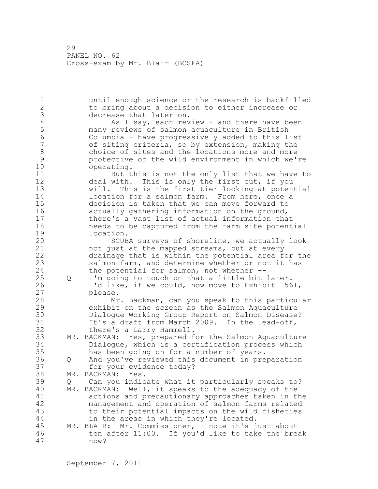1 until enough science or the research is backfilled 2 to bring about a decision to either increase or 3 decrease that later on.<br>4 as I say, each rev 4 As I say, each review - and there have been<br>5 many reviews of salmon aquaculture in British 5 many reviews of salmon aquaculture in British 6 Columbia - have progressively added to this list of siting criteria, so by extension, making the 8 choice of sites and the locations more and more<br>9 protective of the wild environment in which we's 9 protective of the wild environment in which we're operating. 11 But this is not the only list that we have to 12 deal with. This is only the first cut, if you 13 will. This is the first tier looking at potential 14 location for a salmon farm. From here, once a 15 decision is taken that we can move forward to 16 actually gathering information on the ground, 17 there's a vast list of actual information that 18 needs to be captured from the farm site potential 19 location.<br>20 SCUB SCUBA surveys of shoreline, we actually look 21 not just at the mapped streams, but at every 22 drainage that is within the potential area for the 23 salmon farm, and determine whether or not it has 24 the potential for salmon, not whether -- 25 Q I'm going to touch on that a little bit later. 26 I'd like, if we could, now move to Exhibit 1561,<br>27 blease. please. 28 Mr. Backman, can you speak to this particular 29 exhibit on the screen as the Salmon Aquaculture 30 Dialogue Working Group Report on Salmon Disease?<br>31 1t's a draft from March 2009. In the lead-off, 31 It's a draft from March 2009. In the lead-off,<br>32 there's a Larry Hammell. there's a Larry Hammell. 33 MR. BACKMAN: Yes, prepared for the Salmon Aquaculture 34 Dialogue, which is a certification process which 35 has been going on for a number of years.<br>36 0 And you've reviewed this document in pre 36 Q And you've reviewed this document in preparation 37 for your evidence today? 38 MR. BACKMAN: Yes. 39 Q Can you indicate what it particularly speaks to? 40 MR. BACKMAN: Well, it speaks to the adequacy of the 41 actions and precautionary approaches taken in the management and operation of salmon farms related 43 to their potential impacts on the wild fisheries 44 in the areas in which they're located. 45 MR. BLAIR: Mr. Commissioner, I note it's just about 46 ten after 11:00. If you'd like to take the break 47 now?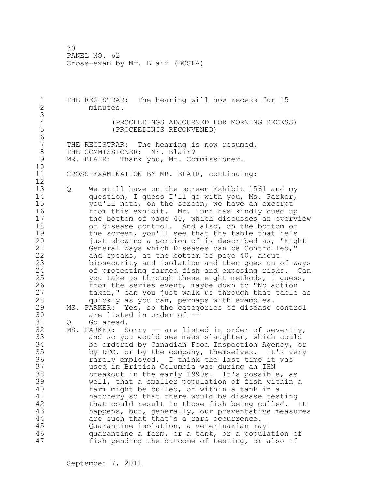1 THE REGISTRAR: The hearing will now recess for 15 2 minutes. 3 4 (PROCEEDINGS ADJOURNED FOR MORNING RECESS)<br>5 (PROCEEDINGS RECONVENED) 5 (PROCEEDINGS RECONVENED) 6 THE REGISTRAR: The hearing is now resumed. 8 THE COMMISSIONER: Mr. Blair?<br>9 MR. BLAIR: Thank you, Mr. Co. MR. BLAIR: Thank you, Mr. Commissioner. 10 11 CROSS-EXAMINATION BY MR. BLAIR, continuing: 12 13 Q We still have on the screen Exhibit 1561 and my 14 question, I guess I'll go with you, Ms. Parker, 15 you'll note, on the screen, we have an excerpt 16 from this exhibit. Mr. Lunn has kindly cued up 17 the bottom of page 40, which discusses an overview 18 of disease control. And also, on the bottom of 19 the screen, you'll see that the table that he's<br>20 just showing a portion of is described as, "Eig just showing a portion of is described as, "Eight 21 General Ways which Diseases can be Controlled," 22 and speaks, at the bottom of page 40, about 23 biosecurity and isolation and then goes on of ways 24 of protecting farmed fish and exposing risks. Can 25 you take us through these eight methods, I guess, 26 from the series event, maybe down to "No action<br>27 taken," can you just walk us through that table taken," can you just walk us through that table as 28 quickly as you can, perhaps with examples. 29 MS. PARKER: Yes, so the categories of disease control 30 are listed in order of --<br>31 0 Go ahead. Q Go ahead. 32 MS. PARKER: Sorry -- are listed in order of severity, 33 and so you would see mass slaughter, which could 34 be ordered by Canadian Food Inspection Agency, or 35 by DFO, or by the company, themselves. It's very 36 rarely employed. I think the last time it was 37 used in British Columbia was during an IHN 38 breakout in the early 1990s. It's possible, as 39 well, that a smaller population of fish within a 40 farm might be culled, or within a tank in a 41 hatchery so that there would be disease testing<br>42 that could result in those fish being culled. that could result in those fish being culled. It 43 happens, but, generally, our preventative measures 44 are such that that's a rare occurrence. 45 Quarantine isolation, a veterinarian may 46 quarantine a farm, or a tank, or a population of 47 fish pending the outcome of testing, or also if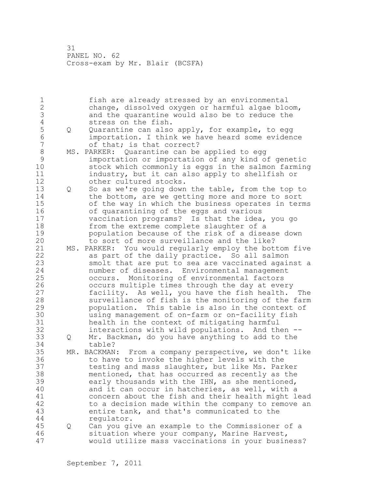1 fish are already stressed by an environmental 2 change, dissolved oxygen or harmful algae bloom, 3 and the quarantine would also be to reduce the 4 stress on the fish.<br>5 0 Quarantine can also 5 Q Quarantine can also apply, for example, to egg 6 importation. I think we have heard some evidence of that; is that correct? 8 MS. PARKER: Quarantine can be applied to egg 9 importation or importation of any kind of genetic stock which commonly is eggs in the salmon farming 11 industry, but it can also apply to shellfish or 12 other cultured stocks. 13 Q So as we're going down the table, from the top to 14 the bottom, are we getting more and more to sort 15 of the way in which the business operates in terms 16 of quarantining of the eggs and various 17 vaccination programs? Is that the idea, you go 18 from the extreme complete slaughter of a 19 population because of the risk of a disease down<br>20 bolog of more surveillance and the like? to sort of more surveillance and the like? 21 MS. PARKER: You would regularly employ the bottom five 22 as part of the daily practice. So all salmon 23 smolt that are put to sea are vaccinated against a 24 number of diseases. Environmental management 25 occurs. Monitoring of environmental factors 26 occurs multiple times through the day at every<br>27 facility. As well, you have the fish health. facility. As well, you have the fish health. The 28 surveillance of fish is the monitoring of the farm 29 population. This table is also in the context of 30 using management of on-farm or on-facility fish 31 bealth in the context of mitigating harmful<br>32 interactions with wild populations. And th interactions with wild populations. And then  $-$ -33 Q Mr. Backman, do you have anything to add to the 34 table? 35 MR. BACKMAN: From a company perspective, we don't like 36 to have to invoke the higher levels with the 37 testing and mass slaughter, but like Ms. Parker 38 mentioned, that has occurred as recently as the 39 early thousands with the IHN, as she mentioned, 40 and it can occur in hatcheries, as well, with a 41 concern about the fish and their health might lead<br>42 to a decision made within the company to remove an to a decision made within the company to remove an 43 entire tank, and that's communicated to the 44 regulator. 45 Q Can you give an example to the Commissioner of a 46 situation where your company, Marine Harvest, 47 would utilize mass vaccinations in your business?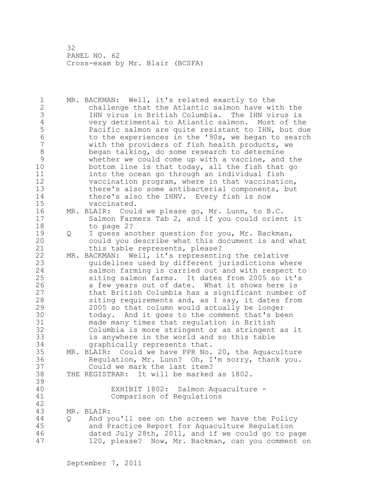1 MR. BACKMAN: Well, it's related exactly to the 2 challenge that the Atlantic salmon have with the 3 IHN virus in British Columbia. The IHN virus is 4 very detrimental to Atlantic salmon. Most of the 5 Pacific salmon are quite resistant to IHN, but due<br>6 6 The experiences in the '90s, we began to search 6 to the experiences in the '90s, we began to search<br>7 with the providers of fish health products, we with the providers of fish health products, we 8 began talking, do some research to determine 9 whether we could come up with a vaccine, and the<br>10 bottom line is that today, all the fish that go bottom line is that today, all the fish that go 11 into the ocean go through an individual fish 12 vaccination program, where in that vaccination, 13 there's also some antibacterial components, but 14 there's also the IHNV. Every fish is now 15 vaccinated. 16 MR. BLAIR: Could we please go, Mr. Lunn, to B.C. 17 Salmon Farmers Tab 2, and if you could orient it 18 to page 2? 19 0 I guess another question for you, Mr. Backman,<br>20 0 could you describe what this document is and w could you describe what this document is and what 21 this table represents, please? 22 MR. BACKMAN: Well, it's representing the relative 23 guidelines used by different jurisdictions where 24 salmon farming is carried out and with respect to 25 siting salmon farms. It dates from 2005 so it's 26 a few years out of date. What it shows here is<br>27 that British Columbia has a significant number that British Columbia has a significant number of 28 siting requirements and, as I say, it dates from 29 2005 so that column would actually be longer 30 today. And it goes to the comment that's been<br>31 made many times that requlation in British made many times that regulation in British 32 Columbia is more stringent or as stringent as it 33 is anywhere in the world and so this table 34 graphically represents that. 35 MR. BLAIR: Could we have PPR No. 20, the Aquaculture 36 Regulation, Mr. Lunn? Oh, I'm sorry, thank you. 37 Could we mark the last item? 38 THE REGISTRAR: It will be marked as 1802. 39 40 EXHIBIT 1802: Salmon Aquaculture - 41 Comparison of Regulations 42 43 MR. BLAIR: 44 Q And you'll see on the screen we have the Policy 45 and Practice Report for Aquaculture Regulation 46 dated July 28th, 2011, and if we could go to page 47 120, please? Now, Mr. Backman, can you comment on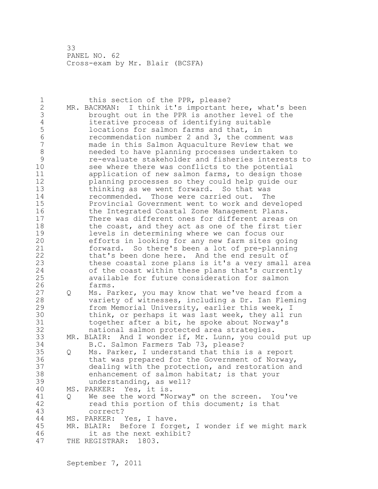| 1<br>$\mathbf{2}$<br>3<br>4<br>$\frac{5}{6}$<br>$\overline{7}$<br>8<br>9<br>10<br>11<br>12<br>13<br>14<br>15<br>16<br>17<br>18<br>19<br>20<br>21 |   | this section of the PPR, please?<br>MR. BACKMAN: I think it's important here, what's been<br>brought out in the PPR is another level of the<br>iterative process of identifying suitable<br>locations for salmon farms and that, in<br>recommendation number 2 and 3, the comment was<br>made in this Salmon Aquaculture Review that we<br>needed to have planning processes undertaken to<br>re-evaluate stakeholder and fisheries interests to<br>see where there was conflicts to the potential<br>application of new salmon farms, to design those<br>planning processes so they could help guide our<br>thinking as we went forward. So that was<br>recommended. Those were carried out. The<br>Provincial Government went to work and developed<br>the Integrated Coastal Zone Management Plans.<br>There was different ones for different areas on<br>the coast, and they act as one of the first tier<br>levels in determining where we can focus our<br>efforts in looking for any new farm sites going<br>forward. So there's been a lot of pre-planning |
|--------------------------------------------------------------------------------------------------------------------------------------------------|---|--------------------------------------------------------------------------------------------------------------------------------------------------------------------------------------------------------------------------------------------------------------------------------------------------------------------------------------------------------------------------------------------------------------------------------------------------------------------------------------------------------------------------------------------------------------------------------------------------------------------------------------------------------------------------------------------------------------------------------------------------------------------------------------------------------------------------------------------------------------------------------------------------------------------------------------------------------------------------------------------------------------------------------------------------------------------|
| 22<br>23<br>24<br>25<br>26                                                                                                                       |   | that's been done here. And the end result of<br>these coastal zone plans is it's a very small area<br>of the coast within these plans that's currently<br>available for future consideration for salmon<br>farms.                                                                                                                                                                                                                                                                                                                                                                                                                                                                                                                                                                                                                                                                                                                                                                                                                                                  |
| 27<br>28<br>29<br>30<br>31<br>32                                                                                                                 | Q | Ms. Parker, you may know that we've heard from a<br>variety of witnesses, including a Dr. Ian Fleming<br>from Memorial University, earlier this week, I<br>think, or perhaps it was last week, they all run<br>together after a bit, he spoke about Norway's<br>national salmon protected area strategies.                                                                                                                                                                                                                                                                                                                                                                                                                                                                                                                                                                                                                                                                                                                                                         |
| 33                                                                                                                                               |   | MR. BLAIR: And I wonder if, Mr. Lunn, you could put up                                                                                                                                                                                                                                                                                                                                                                                                                                                                                                                                                                                                                                                                                                                                                                                                                                                                                                                                                                                                             |
| 34<br>35<br>36<br>37<br>38<br>39                                                                                                                 | Q | B.C. Salmon Farmers Tab 73, please?<br>Ms. Parker, I understand that this is a report<br>that was prepared for the Government of Norway,<br>dealing with the protection, and restoration and<br>enhancement of salmon habitat; is that your<br>understanding, as well?                                                                                                                                                                                                                                                                                                                                                                                                                                                                                                                                                                                                                                                                                                                                                                                             |
| 40                                                                                                                                               |   | MS. PARKER: Yes, it is.                                                                                                                                                                                                                                                                                                                                                                                                                                                                                                                                                                                                                                                                                                                                                                                                                                                                                                                                                                                                                                            |
| 41<br>42<br>43                                                                                                                                   | Q | We see the word "Norway" on the screen. You've<br>read this portion of this document; is that<br>correct?                                                                                                                                                                                                                                                                                                                                                                                                                                                                                                                                                                                                                                                                                                                                                                                                                                                                                                                                                          |
| 44                                                                                                                                               |   | MS. PARKER: Yes, I have.                                                                                                                                                                                                                                                                                                                                                                                                                                                                                                                                                                                                                                                                                                                                                                                                                                                                                                                                                                                                                                           |
| 45                                                                                                                                               |   | MR. BLAIR: Before I forget, I wonder if we might mark                                                                                                                                                                                                                                                                                                                                                                                                                                                                                                                                                                                                                                                                                                                                                                                                                                                                                                                                                                                                              |
| 46                                                                                                                                               |   | it as the next exhibit?                                                                                                                                                                                                                                                                                                                                                                                                                                                                                                                                                                                                                                                                                                                                                                                                                                                                                                                                                                                                                                            |
| 47                                                                                                                                               |   | THE REGISTRAR:<br>1803.                                                                                                                                                                                                                                                                                                                                                                                                                                                                                                                                                                                                                                                                                                                                                                                                                                                                                                                                                                                                                                            |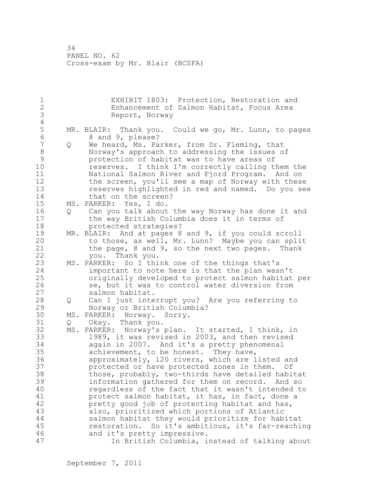1 EXHIBIT 1803: Protection, Restoration and<br>2 Enhancement of Salmon Habitat, Focus Area Enhancement of Salmon Habitat, Focus Area 3 Report, Norway  $\frac{4}{5}$ 5 MR. BLAIR: Thank you. Could we go, Mr. Lunn, to pages<br>6 8 and 9. please? 6 8 and 9, please?<br>7 0 We heard, Ms. Pa Q We heard, Ms. Parker, from Dr. Fleming, that 8 Norway's approach to addressing the issues of 9 9 protection of habitat was to have areas of<br>10 seserves. I think I'm correctly calling the reserves. I think I'm correctly calling them the 11 National Salmon River and Fjord Program. And on 12 the screen, you'll see a map of Norway with these 13 reserves highlighted in red and named. Do you see 14 that on the screen? 15 MS. PARKER: Yes, I do. 16 Q Can you talk about the way Norway has done it and 17 the way British Columbia does it in terms of 18 protected strategies? 19 MR. BLAIR: And at pages 8 and 9, if you could scroll<br>20 to those, as well, Mr. Lunn? Maybe you can spli to those, as well, Mr. Lunn? Maybe you can split 21 the page, 8 and 9, so the next two pages. Thank 22 you. Thank you. 23 MS. PARKER: So I think one of the things that's 24 important to note here is that the plan wasn't 25 originally developed to protect salmon habitat per 26 se, but it was to control water diversion from<br>27 salmon habitat. salmon habitat. 28 Q Can I just interrupt you? Are you referring to 29 Norway or British Columbia? 30 MS. PARKER: Norway. Sorry.<br>31 0 Okav. Thank you. Q Okay. Thank you. 32 MS. PARKER: Norway's plan. It started, I think, in 33 1989, it was revised in 2003, and then revised 34 again in 2007. And it's a pretty phenomenal 35 achievement, to be honest. They have, 36 approximately, 120 rivers, which are listed and 37 protected or have protected zones in them. Of 38 those, probably, two-thirds have detailed habitat 39 information gathered for them on record. And so 40 regardless of the fact that it wasn't intended to 41 protect salmon habitat, it has, in fact, done a<br>42 pretty good job of protecting habitat and has. pretty good job of protecting habitat and has, 43 also, prioritized which portions of Atlantic 44 salmon habitat they would prioritize for habitat 45 restoration. So it's ambitious, it's far-reaching 46 and it's pretty impressive. 47 In British Columbia, instead of talking about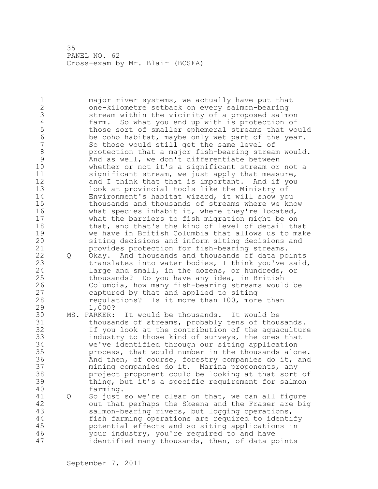1 major river systems, we actually have put that 2 one-kilometre setback on every salmon-bearing 3 stream within the vicinity of a proposed salmon<br>4 farm. So what you end up with is protection of 4 farm. So what you end up with is protection of<br>5 those sort of smaller ephemeral streams that wo 5 those sort of smaller ephemeral streams that would<br>6 be coho habitat, maybe only wet part of the year. 6 be coho habitat, maybe only wet part of the year. So those would still get the same level of 8 protection that a major fish-bearing stream would.<br>9 And as well, we don't differentiate between 9 and as well, we don't differentiate between<br>10 whether or not it's a significant stream or whether or not it's a significant stream or not a 11 significant stream, we just apply that measure, 12 and I think that that is important. And if you 13 look at provincial tools like the Ministry of 14 Environment's habitat wizard, it will show you 15 thousands and thousands of streams where we know 16 what species inhabit it, where they're located, 17 what the barriers to fish migration might be on 18 that, and that's the kind of level of detail that 19 we have in British Columbia that allows us to make<br>20 siting decisions and inform siting decisions and siting decisions and inform siting decisions and 21 provides protection for fish-bearing streams. 22 Q Okay. And thousands and thousands of data points 23 translates into water bodies, I think you've said, 24 large and small, in the dozens, or hundreds, or 25 thousands? Do you have any idea, in British 26 Columbia, how many fish-bearing streams would be<br>27 captured by that and applied to siting captured by that and applied to siting 28 regulations? Is it more than 100, more than 29 1,000? 30 MS. PARKER: It would be thousands. It would be thousands of streams, probably tens of thousands. 32 If you look at the contribution of the aquaculture 33 industry to those kind of surveys, the ones that 34 we've identified through our siting application 35 process, that would number in the thousands alone. 36 And then, of course, forestry companies do it, and 37 mining companies do it. Marina proponents, any 38 project proponent could be looking at that sort of 39 thing, but it's a specific requirement for salmon 40 farming. 41 Q So just so we're clear on that, we can all figure 42 out that perhaps the Skeena and the Fraser are big 43 salmon-bearing rivers, but logging operations, 44 fish farming operations are required to identify 45 potential effects and so siting applications in 46 your industry, you're required to and have 47 identified many thousands, then, of data points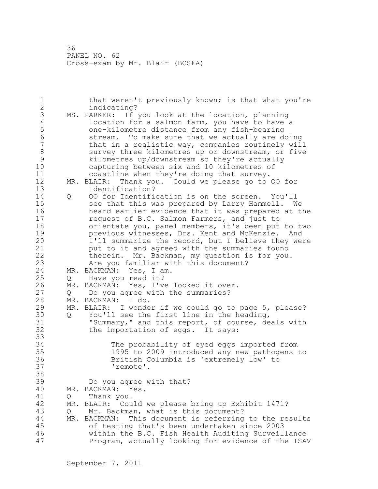1 that weren't previously known; is that what you're 2 indicating? 3 MS. PARKER: If you look at the location, planning<br>4 location for a salmon farm, you have to have 4 location for a salmon farm, you have to have a<br>5 one-kilometre distance from any fish-bearing 5 one-kilometre distance from any fish-bearing 6 stream. To make sure that we actually are doing<br>7 that in a realistic way, companies routinely wil that in a realistic way, companies routinely will 8 survey three kilometres up or downstream, or five<br>9 kilometres up/downstream so thev're actually 9 kilometres up/downstream so they're actually capturing between six and 10 kilometres of 11 coastline when they're doing that survey.<br>12 MR. BLAIR: Thank you. Could we please go to 12 MR. BLAIR: Thank you. Could we please go to OO for 13 Identification? 14 Q OO for Identification is on the screen. You'll 15 see that this was prepared by Larry Hammell. We 16 heard earlier evidence that it was prepared at the 17 request of B.C. Salmon Farmers, and just to 18 orientate you, panel members, it's been put to two 19 **previous witnesses, Drs. Kent and McKenzie.** And 20 **1'll summarize the record, but I believe they we** I'll summarize the record, but I believe they were 21 put to it and agreed with the summaries found 22 therein. Mr. Backman, my question is for you. 23 Are you familiar with this document? 24 MR. BACKMAN: Yes, I am. 25 Q Have you read it? 26 MR. BACKMAN: Yes, I've looked it over.<br>27 0 Do you agree with the summaries? Q Do you agree with the summaries? 28 MR. BACKMAN: I do. 29 MR. BLAIR: I wonder if we could go to page 5, please? 30 Q You'll see the first line in the heading,<br>31 "Summarv," and this report, of course, de 31 "Summary," and this report, of course, deals with<br>32 the importation of eqqs. It says: the importation of eggs. It says: 33 34 The probability of eyed eggs imported from 35 1995 to 2009 introduced any new pathogens to 36 British Columbia is 'extremely low' to 37 'remote'. 38 39 Do you agree with that? 40 MR. BACKMAN: Yes. 41 Q Thank you.<br>42 MR. BLAIR: Cou MR. BLAIR: Could we please bring up Exhibit 1471? 43 Q Mr. Backman, what is this document? 44 MR. BACKMAN: This document is referring to the results 45 of testing that's been undertaken since 2003 46 within the B.C. Fish Health Auditing Surveillance 47 Program, actually looking for evidence of the ISAV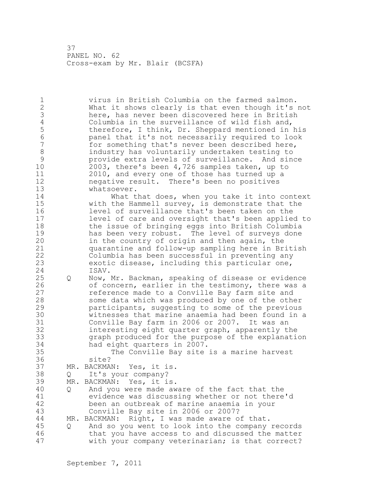1 virus in British Columbia on the farmed salmon. 2 What it shows clearly is that even though it's not 3 here, has never been discovered here in British<br>4 Columbia in the surveillance of wild fish and, 4 Columbia in the surveillance of wild fish and,<br>5 therefore, I think, Dr. Sheppard mentioned in 5 therefore, I think, Dr. Sheppard mentioned in his<br>6 shanel that it's not necessarily required to look 6 panel that it's not necessarily required to look for something that's never been described here, 8 industry has voluntarily undertaken testing to 9 provide extra levels of surveillance. And since<br>10 2003, there's been 4,726 samples taken, up to 10 2003, there's been 4,726 samples taken, up to 11 2010, and every one of those has turned up a 12 megative result. There's been no positives<br>13 whatsoever. whatsoever. 14 What that does, when you take it into context 15 with the Hammell survey, is demonstrate that the 16 level of surveillance that's been taken on the 17 level of care and oversight that's been applied to 18 the issue of bringing eggs into British Columbia 19 has been very robust. The level of surveys done<br>20 in the country of origin and then again, the in the country of origin and then again, the 21 quarantine and follow-up sampling here in British 22 Columbia has been successful in preventing any 23 exotic disease, including this particular one, 24 ISAV. 25 Q Now, Mr. Backman, speaking of disease or evidence 26 of concern, earlier in the testimony, there was a<br>27 feference made to a Conville Bay farm site and reference made to a Conville Bay farm site and 28 some data which was produced by one of the other 29 participants, suggesting to some of the previous 30 witnesses that marine anaemia had been found in a Conville Bay farm in 2006 or 2007. It was an 32 interesting eight quarter graph, apparently the 33 graph produced for the purpose of the explanation 34 had eight quarters in 2007. 35 The Conville Bay site is a marine harvest 36 site? 37 MR. BACKMAN: Yes, it is. 38 Q It's your company? 39 MR. BACKMAN: Yes, it is. 40 Q And you were made aware of the fact that the 41 evidence was discussing whether or not there'd<br>42 been an outbreak of marine anaemia in your been an outbreak of marine anaemia in your 43 Conville Bay site in 2006 or 2007? 44 MR. BACKMAN: Right, I was made aware of that. 45 Q And so you went to look into the company records 46 that you have access to and discussed the matter 47 with your company veterinarian; is that correct?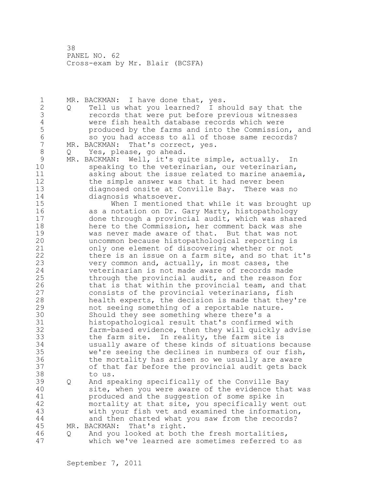1 MR. BACKMAN: I have done that, yes. 2 Q Tell us what you learned? I should say that the 3 3 records that were put before previous witnesses<br>4 3 were fish health database records which were 4 were fish health database records which were<br>5 by the farms and into the Commissio 5 produced by the farms and into the Commission, and<br>6 so you had access to all of those same records? 6 so you had access to all of those same records?<br>7 MR. BACKMAN: That's correct, ves. MR. BACKMAN: That's correct, yes. 8 Q Yes, please, go ahead. 9 MR. BACKMAN: Well, it's quite simple, actually. In<br>10 Speaking to the veterinarian, our veterinarian, speaking to the veterinarian, our veterinarian, 11 asking about the issue related to marine anaemia, 12 the simple answer was that it had never been 13 diagnosed onsite at Conville Bay. There was no 14 diagnosis whatsoever. 15 When I mentioned that while it was brought up 16 as a notation on Dr. Gary Marty, histopathology 17 done through a provincial audit, which was shared 18 here to the Commission, her comment back was she 19 was never made aware of that. But that was not<br>20 mncommon because histopathological reporting is uncommon because histopathological reporting is 21 only one element of discovering whether or not 22 there is an issue on a farm site, and so that it's 23 very common and, actually, in most cases, the 24 veterinarian is not made aware of records made 25 through the provincial audit, and the reason for 26 that is that within the provincial team, and that<br>27 consists of the provincial veterinarians, fish consists of the provincial veterinarians, fish 28 health experts, the decision is made that they're 29 not seeing something of a reportable nature. 30 Should they see something where there's a 31 histopathological result that's confirmed with<br>32 farm-based evidence, then they will quickly ad farm-based evidence, then they will quickly advise 33 the farm site. In reality, the farm site is 34 usually aware of these kinds of situations because 35 we're seeing the declines in numbers of our fish, 36 the mortality has arisen so we usually are aware 37 of that far before the provincial audit gets back 38 to us. 39 Q And speaking specifically of the Conville Bay 40 site, when you were aware of the evidence that was 41 **produced and the suggestion of some spike in**<br>42 mortality at that site, you specifically wen mortality at that site, you specifically went out 43 with your fish vet and examined the information, 44 and then charted what you saw from the records? 45 MR. BACKMAN: That's right. 46 Q And you looked at both the fresh mortalities,

47 which we've learned are sometimes referred to as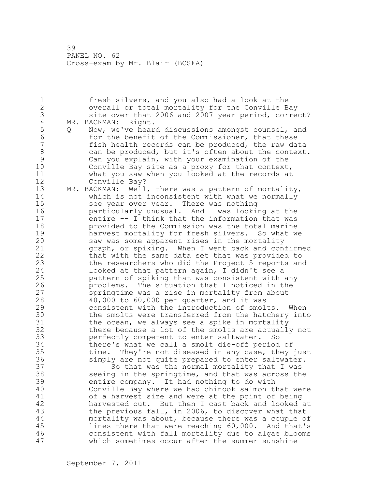1 fresh silvers, and you also had a look at the 2 overall or total mortality for the Conville Bay 3 site over that 2006 and 2007 year period, correct?<br>4 MR. BACKMAN: Right. 4 MR. BACKMAN: Right.<br>5 0 Now, we've hear 5 Q Now, we've heard discussions amongst counsel, and<br>6 for the benefit of the Commissioner, that these 6 for the benefit of the Commissioner, that these<br>7 fish health records can be produced, the raw da fish health records can be produced, the raw data 8 can be produced, but it's often about the context. 9 Can you explain, with your examination of the<br>10 Conville Bav site as a proxy for that context Conville Bay site as a proxy for that context, 11 what you saw when you looked at the records at 12 Conville Bay? 13 MR. BACKMAN: Well, there was a pattern of mortality, 14 which is not inconsistent with what we normally 15 see year over year. There was nothing 16 particularly unusual. And I was looking at the 17 entire -- I think that the information that was 18 provided to the Commission was the total marine 19 harvest mortality for fresh silvers. So what we<br>20 saw was some apparent rises in the mortality saw was some apparent rises in the mortality 21 graph, or spiking. When I went back and confirmed 22 that with the same data set that was provided to 23 the researchers who did the Project 5 reports and 24 looked at that pattern again, I didn't see a 25 pattern of spiking that was consistent with any 26 problems. The situation that I noticed in the<br>27 springtime was a rise in mortality from about springtime was a rise in mortality from about 28 40,000 to 60,000 per quarter, and it was 29 consistent with the introduction of smolts. When 30 the smolts were transferred from the hatchery into<br>31 the ocean, we always see a spike in mortality 31 the ocean, we always see a spike in mortality<br>32 there because a lot of the smolts are actually there because a lot of the smolts are actually not 33 perfectly competent to enter saltwater. So 34 there's what we call a smolt die-off period of 35 time. They're not diseased in any case, they just 36 simply are not quite prepared to enter saltwater. 37 So that was the normal mortality that I was 38 seeing in the springtime, and that was across the 39 entire company. It had nothing to do with 40 Conville Bay where we had chinook salmon that were 41 of a harvest size and were at the point of being<br>42 harvested out. But then I cast back and looked harvested out. But then I cast back and looked at 43 the previous fall, in 2006, to discover what that 44 mortality was about, because there was a couple of 45 lines there that were reaching 60,000. And that's 46 consistent with fall mortality due to algae blooms 47 which sometimes occur after the summer sunshine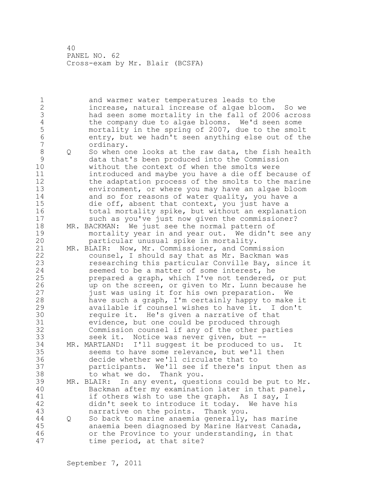1 and warmer water temperatures leads to the 2 increase, natural increase of algae bloom. So we 3 had seen some mortality in the fall of 2006 across 4 the company due to algae blooms. We'd seen some<br>5 mortality in the spring of 2007, due to the smol-5 mortality in the spring of 2007, due to the smolt<br>6 entry, but we hadn't seen anything else out of the 6 entry, but we hadn't seen anything else out of the ordinary. 8 Q So when one looks at the raw data, the fish health 9 data that's been produced into the Commission without the context of when the smolts were 11 introduced and maybe you have a die off because of 12 the adaptation process of the smolts to the marine 13 environment, or where you may have an algae bloom<br>14 and so for reasons of water quality, you have a and so for reasons of water quality, you have a 15 die off, absent that context, you just have a 16 total mortality spike, but without an explanation 17 such as you've just now given the commissioner? 18 MR. BACKMAN: We just see the normal pattern of 19 mortality year in and year out. We didn't see any<br>20 harticular unusual spike in mortality. particular unusual spike in mortality. 21 MR. BLAIR: Now, Mr. Commissioner, and Commission 22 counsel, I should say that as Mr. Backman was 23 researching this particular Conville Bay, since it 24 seemed to be a matter of some interest, he 25 prepared a graph, which I've not tendered, or put 26 up on the screen, or given to Mr. Lunn because he<br>27 fust was using it for his own preparation. We just was using it for his own preparation. We 28 have such a graph, I'm certainly happy to make it 29 available if counsel wishes to have it. I don't 30 require it. He's given a narrative of that<br>31 evidence, but one could be produced through evidence, but one could be produced through 32 Commission counsel if any of the other parties 33 seek it. Notice was never given, but -- 34 MR. MARTLAND: I'll suggest it be produced to us. It 35 seems to have some relevance, but we'll then 36 decide whether we'll circulate that to 37 participants. We'll see if there's input then as 38 to what we do. Thank you. 39 MR. BLAIR: In any event, questions could be put to Mr. 40 Backman after my examination later in that panel, 41 if others wish to use the graph. As I say, I<br>42 didn't seek to introduce it today. We have h didn't seek to introduce it today. We have his 43 narrative on the points. Thank you. 44 Q So back to marine anaemia generally, has marine 45 anaemia been diagnosed by Marine Harvest Canada, 46 or the Province to your understanding, in that 47 time period, at that site?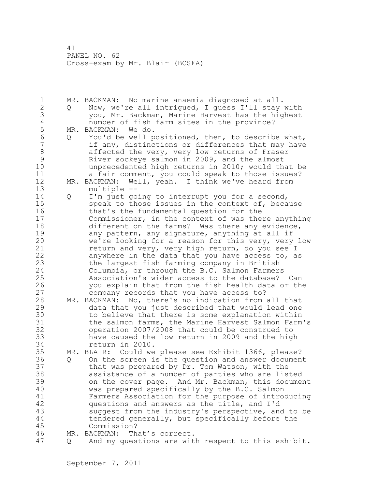1 MR. BACKMAN: No marine anaemia diagnosed at all. 2 Q Now, we're all intrigued, I guess I'll stay with 3 you, Mr. Backman, Marine Harvest has the highest 4 number of fish farm sites in the province?<br>5 MR. BACKMAN: We do. 5 MR. BACKMAN: Wedo.<br>6 0 You'd be well p 6 Q You'd be well positioned, then, to describe what, if any, distinctions or differences that may have 8 affected the very, very low returns of Fraser<br>9 River sockeve salmon in 2009, and the almost 9 River sockeye salmon in 2009, and the almost<br>10 mprecedented high returns in 2010: would the unprecedented high returns in 2010; would that be 11 a fair comment, you could speak to those issues? 12 MR. BACKMAN: Well, yeah. I think we've heard from 13 multiple -- 14 Q I'm just going to interrupt you for a second, 15 speak to those issues in the context of, because 16 that's the fundamental question for the 17 Commissioner, in the context of was there anything 18 different on the farms? Was there any evidence, 19 any pattern, any signature, anything at all if<br>20 we're looking for a reason for this very, very we're looking for a reason for this very, very low 21 return and very, very high return, do you see I 22 anywhere in the data that you have access to, as 23 the largest fish farming company in British 24 Columbia, or through the B.C. Salmon Farmers 25 Association's wider access to the database? Can 26 you explain that from the fish health data or the<br>27 company records that you have access to? company records that you have access to? 28 MR. BACKMAN: No, there's no indication from all that 29 data that you just described that would lead one 30 to believe that there is some explanation within<br>31 the salmon farms, the Marine Harvest Salmon Farm the salmon farms, the Marine Harvest Salmon Farm's 32 operation 2007/2008 that could be construed to 33 have caused the low return in 2009 and the high 34 return in 2010. 35 MR. BLAIR: Could we please see Exhibit 1366, please? 36 Q On the screen is the question and answer document 37 that was prepared by Dr. Tom Watson, with the 38 assistance of a number of parties who are listed 39 on the cover page. And Mr. Backman, this document 40 was prepared specifically by the B.C. Salmon 41 Farmers Association for the purpose of introducing<br>42 guestions and answers as the title, and I'd questions and answers as the title, and I'd 43 suggest from the industry's perspective, and to be 44 tendered generally, but specifically before the 45 Commission? 46 MR. BACKMAN: That's correct. 47 Q And my questions are with respect to this exhibit.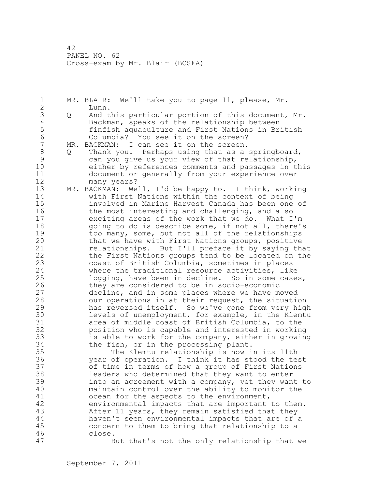1 MR. BLAIR: We'll take you to page 11, please, Mr. 2 Lunn. 3 Q And this particular portion of this document, Mr.<br>4 Backman, speaks of the relationship between 4 Backman, speaks of the relationship between<br>5 finfish aquaculture and First Nations in Br 5 finfish aquaculture and First Nations in British 6 Columbia? You see it on the screen?<br>7 MR. BACKMAN: I can see it on the screen. MR. BACKMAN: I can see it on the screen. 8 Q Thank you. Perhaps using that as a springboard, 9 can you give us your view of that relationship, either by references comments and passages in this 11 document or generally from your experience over 12 many years? 13 MR. BACKMAN: Well, I'd be happy to. I think, working 14 with First Nations within the context of being 15 involved in Marine Harvest Canada has been one of 16 the most interesting and challenging, and also 17 exciting areas of the work that we do. What I'm 18 going to do is describe some, if not all, there's 19 too many, some, but not all of the relationships<br>20 that we have with First Nations groups, positive that we have with First Nations groups, positive 21 relationships. But I'll preface it by saying that 22 the First Nations groups tend to be located on the 23 coast of British Columbia, sometimes in places 24 where the traditional resource activities, like 25 logging, have been in decline. So in some cases, 26 they are considered to be in socio-economic<br>27 decline, and in some places where we have m decline, and in some places where we have moved 28 our operations in at their request, the situation 29 has reversed itself. So we've gone from very high 30 levels of unemployment, for example, in the Klemtu<br>31 area of middle coast of British Columbia, to the 31 area of middle coast of British Columbia, to the<br>32 bosition who is capable and interested in workin position who is capable and interested in working 33 is able to work for the company, either in growing 34 the fish, or in the processing plant. 35 The Klemtu relationship is now in its 11th 36 year of operation. I think it has stood the test 37 of time in terms of how a group of First Nations 38 leaders who determined that they want to enter 39 into an agreement with a company, yet they want to 40 maintain control over the ability to monitor the 41 ocean for the aspects to the environment,<br>42 environmental impacts that are important environmental impacts that are important to them. 43 After 11 years, they remain satisfied that they 44 haven't seen environmental impacts that are of a 45 concern to them to bring that relationship to a 46 close. 47 But that's not the only relationship that we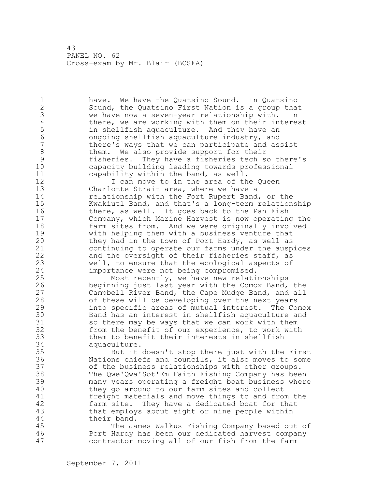1 have. We have the Quatsino Sound. In Quatsino 2 Sound, the Quatsino First Nation is a group that 3 we have now a seven-year relationship with. In<br>4 there, we are working with them on their intere 4 there, we are working with them on their interest<br>5 in shellfish aquaculture. And they have an 5 in shellfish aquaculture. And they have an 6 ongoing shellfish aquaculture industry, and there's ways that we can participate and assist 8 them. We also provide support for their<br>9 fisheries. They have a fisheries tech s 9 fisheries. They have a fisheries tech so there's capacity building leading towards professional 11 capability within the band, as well. 12 I can move to in the area of the Queen<br>13 Charlotte Strait area, where we have a Charlotte Strait area, where we have a 14 relationship with the Fort Rupert Band, or the 15 Kwakiutl Band, and that's a long-term relationship 16 there, as well. It goes back to the Pan Fish 17 Company, which Marine Harvest is now operating the 18 farm sites from. And we were originally involved 19 with helping them with a business venture that<br>20 they had in the town of Port Hardy, as well as they had in the town of Port Hardy, as well as 21 continuing to operate our farms under the auspices 22 and the oversight of their fisheries staff, as 23 well, to ensure that the ecological aspects of 24 importance were not being compromised. 25 Most recently, we have new relationships 26 beginning just last year with the Comox Band, the<br>27 Campbell River Band, the Cape Mudge Band, and all Campbell River Band, the Cape Mudge Band, and all 28 of these will be developing over the next years 29 into specific areas of mutual interest. The Comox 30 Band has an interest in shellfish aquaculture and<br>31 So there may be ways that we can work with them 31 so there may be ways that we can work with them<br>32 from the benefit of our experience, to work with from the benefit of our experience, to work with 33 them to benefit their interests in shellfish 34 aquaculture. 35 But it doesn't stop there just with the First 36 Nations chiefs and councils, it also moves to some 37 of the business relationships with other groups. 38 The Qwe'Qwa'Sot'Em Faith Fishing Company has been 39 many years operating a freight boat business where 40 they go around to our farm sites and collect 41 freight materials and move things to and from the<br>42 farm site. They have a dedicated boat for that farm site. They have a dedicated boat for that 43 that employs about eight or nine people within 44 their band. 45 The James Walkus Fishing Company based out of 46 Port Hardy has been our dedicated harvest company 47 contractor moving all of our fish from the farm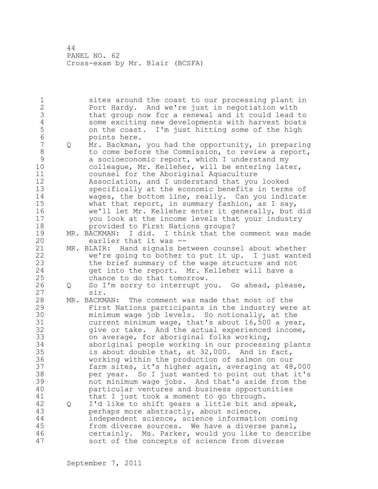1 sites around the coast to our processing plant in 2 Port Hardy. And we're just in negotiation with 3 that group now for a renewal and it could lead to 4 some exciting new developments with harvest boats<br>5 on the coast. I'm just hitting some of the high 5 on the coast. I'm just hitting some of the high 6 points here.<br>7 0 Mr. Backman, 7 Q Mr. Backman, you had the opportunity, in preparing 8 to come before the Commission, to review a report, 9 a socioeconomic report, which I understand my<br>10 colleague, Mr. Kelleher, will be entering lat colleague, Mr. Kelleher, will be entering later, 11 counsel for the Aboriginal Aquaculture 12 Association, and I understand that you looked 13 specifically at the economic benefits in terms of 14 wages, the bottom line, really. Can you indicate 15 what that report, in summary fashion, as I say, 16 we'll let Mr. Kelleher enter it generally, but did 17 you look at the income levels that your industry 18 provided to First Nations groups? 19 MR. BACKMAN: I did. I think that the comment was made<br>20 earlier that it was -earlier that it was --21 MR. BLAIR: Hand signals between counsel about whether 22 we're going to bother to put it up. I just wanted 23 the brief summary of the wage structure and not 24 get into the report. Mr. Kelleher will have a 25 chance to do that tomorrow. 26 Q So I'm sorry to interrupt you. Go ahead, please,<br>27 sir. sir. 28 MR. BACKMAN: The comment was made that most of the 29 First Nations participants in the industry were at 30 minimum wage job levels. So notionally, at the<br>31 current minimum wage, that's about 16,500 a yea current minimum wage, that's about 16,500 a year, 32 give or take. And the actual experienced income, 33 on average, for aboriginal folks working, 34 aboriginal people working in our processing plants 35 is about double that, at 32,000. And in fact, 36 working within the production of salmon on our 37 farm sites, it's higher again, averaging at 48,000 38 per year. So I just wanted to point out that it's 39 not minimum wage jobs. And that's aside from the 40 particular ventures and business opportunities 41 that I just took a moment to go through.<br>42 Q I'd like to shift gears a little bit and 42 Q I'd like to shift gears a little bit and speak, 43 perhaps more abstractly, about science, 44 independent science, science information coming 45 from diverse sources. We have a diverse panel, 46 certainly. Ms. Parker, would you like to describe 47 sort of the concepts of science from diverse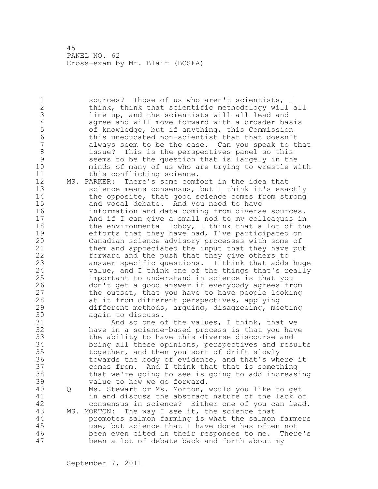1 sources? Those of us who aren't scientists, I 2 think, think that scientific methodology will all 3 line up, and the scientists will all lead and<br>4 agree and will move forward with a broader ba 4 agree and will move forward with a broader basis<br>5 of knowledge, but if anything, this Commission 5 of knowledge, but if anything, this Commission 6 this uneducated non-scientist that that doesn't always seem to be the case. Can you speak to that 8 issue? This is the perspectives panel so this 9 seems to be the question that is largely in the<br>10 minds of many of us who are trying to wrestle w minds of many of us who are trying to wrestle with 11 this conflicting science.

12 MS. PARKER: There's some comfort in the idea that 13 science means consensus, but I think it's exactly 14 the opposite, that good science comes from strong 15 and vocal debate. And you need to have 16 information and data coming from diverse sources. 17 And if I can give a small nod to my colleagues in 18 the environmental lobby, I think that a lot of the 19 efforts that they have had, I've participated on<br>20 Canadian science advisory processes with some of Canadian science advisory processes with some of 21 them and appreciated the input that they have put 22 forward and the push that they give others to 23 answer specific questions. I think that adds huge 24 value, and I think one of the things that's really 25 important to understand in science is that you 26 don't get a good answer if everybody agrees from<br>27 the outset, that you have to have people looking the outset, that you have to have people looking 28 at it from different perspectives, applying 29 different methods, arguing, disagreeing, meeting 30 again to discuss.

31 And so one of the values, I think, that we<br>32 have in a science-based process is that you have have in a science-based process is that you have 33 the ability to have this diverse discourse and 34 bring all these opinions, perspectives and results 35 together, and then you sort of drift slowly 36 towards the body of evidence, and that's where it 37 comes from. And I think that that is something 38 that we're going to see is going to add increasing 39 value to how we go forward.

40 Q Ms. Stewart or Ms. Morton, would you like to get 41 in and discuss the abstract nature of the lack of<br>42 consensus in science? Either one of you can lead consensus in science? Either one of you can lead. 43 MS. MORTON: The way I see it, the science that 44 promotes salmon farming is what the salmon farmers 45 use, but science that I have done has often not 46 been even cited in their responses to me. There's 47 been a lot of debate back and forth about my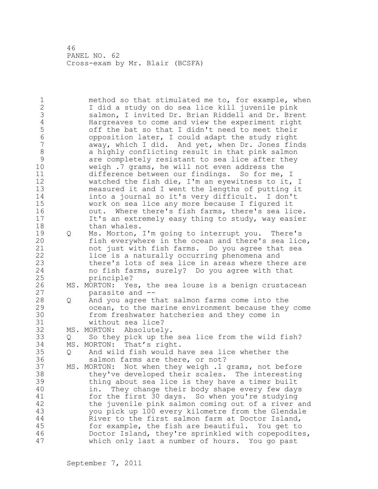1 method so that stimulated me to, for example, when 2 I did a study on do sea lice kill juvenile pink 3 salmon, I invited Dr. Brian Riddell and Dr. Brent<br>4 Hargreaves to come and view the experiment right 4 Hargreaves to come and view the experiment right<br>5 off the bat so that I didn't need to meet their 5 off the bat so that I didn't need to meet their<br>6 opposition later, I could adapt the study right 6 opposition later, I could adapt the study right away, which I did. And yet, when Dr. Jones finds 8 a highly conflicting result in that pink salmon<br>9 are completely resistant to sea lice after they 9 are completely resistant to sea lice after they<br>10 weigh .7 grams, he will not even address the weigh .7 grams, he will not even address the 11 difference between our findings. So for me, I 12 watched the fish die, I'm an eyewitness to it, I 13 measured it and I went the lengths of putting it 14 into a journal so it's very difficult. I don't 15 work on sea lice any more because I figured it 16 out. Where there's fish farms, there's sea lice. 17 It's an extremely easy thing to study, way easier 18 than whales. 19 Q Ms. Morton, I'm going to interrupt you. There's<br>20 fish everywhere in the ocean and there's sea lic fish everywhere in the ocean and there's sea lice, 21 not just with fish farms. Do you agree that sea 22 lice is a naturally occurring phenomena and 23 there's lots of sea lice in areas where there are 24 no fish farms, surely? Do you agree with that 25 principle? 26 MS. MORTON: Yes, the sea louse is a benign crustacean<br>27 marasite and  $$ parasite and --28 Q And you agree that salmon farms come into the 29 ocean, to the marine environment because they come 30 from freshwater hatcheries and they come in 31 without sea lice?<br>32 MS. MORTON: Absolutel MS. MORTON: Absolutely. 33 Q So they pick up the sea lice from the wild fish? 34 MS. MORTON: That's right. 35 Q And wild fish would have sea lice whether the 36 salmon farms are there, or not? 37 MS. MORTON: Not when they weigh .1 grams, not before 38 they've developed their scales. The interesting 39 thing about sea lice is they have a timer built 40 in. They change their body shape every few days 41 for the first 30 days. So when you're studying<br>42 the juvenile pink salmon coming out of a river the juvenile pink salmon coming out of a river and 43 you pick up 100 every kilometre from the Glendale 44 River to the first salmon farm at Doctor Island, 45 for example, the fish are beautiful. You get to 46 Doctor Island, they're sprinkled with copepodites, 47 which only last a number of hours. You go past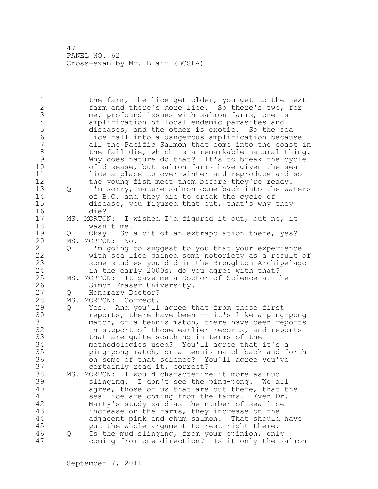1 the farm, the lice get older, you get to the next 2 farm and there's more lice. So there's two, for 3 me, profound issues with salmon farms, one is<br>4 amplification of local endemic parasites and 4 amplification of local endemic parasites and<br>5 diseases, and the other is exotic. So the se 5 diseases, and the other is exotic. So the sea 6 lice fall into a dangerous amplification because all the Pacific Salmon that come into the coast in 8 the fall die, which is a remarkable natural thing.<br>9 Why does nature do that? It's to break the cycle 9 Why does nature do that? It's to break the cycle<br>10 of disease, but salmon farms have given the sea of disease, but salmon farms have given the sea 11 lice a place to over-winter and reproduce and so 12 the young fish meet them before they're ready. 13 Q I'm sorry, mature salmon come back into the waters 14 of B.C. and they die to break the cycle of 15 disease, you figured that out, that's why they 16 die?<br>17 MS.MORTON: 17 MS. MORTON: I wished I'd figured it out, but no, it 18 wasn't me. 19 Q Okay. So a bit of an extrapolation there, yes?<br>20 MS. MORTON: No. MS. MORTON: No. 21 Q I'm going to suggest to you that your experience 22 with sea lice gained some notoriety as a result of 23 some studies you did in the Broughton Archipelago 24 in the early 2000s; do you agree with that? 25 MS. MORTON: It gave me a Doctor of Science at the 26 Simon Fraser University.<br>27 0 Honorary Doctor? Q Honorary Doctor? 28 MS. MORTON: Correct. 29 Q Yes. And you'll agree that from those first 30 reports, there have been -- it's like a ping-pong<br>31 match, or a tennis match, there have been reports match, or a tennis match, there have been reports 32 in support of those earlier reports, and reports 33 that are quite scathing in terms of the 34 methodologies used? You'll agree that it's a 35 ping-pong match, or a tennis match back and forth 36 on some of that science? You'll agree you've 37 certainly read it, correct? 38 MS. MORTON: I would characterize it more as mud 39 slinging. I don't see the ping-pong. We all 40 agree, those of us that are out there, that the 41 sea lice are coming from the farms. Even Dr.<br>42 Marty's study said as the number of sea lice Marty's study said as the number of sea lice 43 increase on the farms, they increase on the 44 adjacent pink and chum salmon. That should have 45 put the whole argument to rest right there. 46 Q Is the mud slinging, from your opinion, only 47 coming from one direction? Is it only the salmon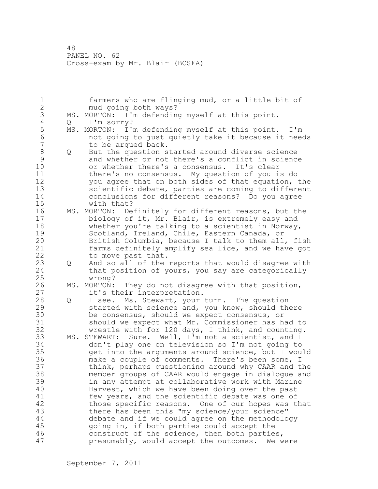1 farmers who are flinging mud, or a little bit of 2 mud going both ways? 3 MS. MORTON: I'm defending myself at this point.<br>4 0 I'm sorry? 4 Q I'm sorry?<br>5 MS. MORTON: I'S 5 MS. MORTON: I'm defending myself at this point. I'm 6 not going to just quietly take it because it needs to be arqued back. 8 Q But the question started around diverse science 9 and whether or not there's a conflict in science<br>10 or whether there's a consensus. It's clear or whether there's a consensus. It's clear 11 there's no consensus. My question of you is do 12 you agree that on both sides of that equation, the 13 scientific debate, parties are coming to different 14 conclusions for different reasons? Do you agree 15 with that? 16 MS. MORTON: Definitely for different reasons, but the 17 biology of it, Mr. Blair, is extremely easy and 18 whether you're talking to a scientist in Norway, 19 Scotland, Ireland, Chile, Eastern Canada, or<br>20 British Columbia, because I talk to them all British Columbia, because I talk to them all, fish 21 farms definitely amplify sea lice, and we have got 22 to move past that. 23 Q And so all of the reports that would disagree with 24 that position of yours, you say are categorically 25 wrong? 26 MS. MORTON: They do not disagree with that position,<br>27 it's their interpretation. it's their interpretation. 28 Q I see. Ms. Stewart, your turn. The question 29 started with science and, you know, should there 30 be consensus, should we expect consensus, or<br>31 should we expect what Mr. Commissioner has h should we expect what Mr. Commissioner has had to 32 wrestle with for 120 days, I think, and counting. 33 MS. STEWART: Sure. Well, I'm not a scientist, and I 34 don't play one on television so I'm not going to 35 get into the arguments around science, but I would 36 make a couple of comments. There's been some, I 37 think, perhaps questioning around why CAAR and the 38 member groups of CAAR would engage in dialogue and 39 in any attempt at collaborative work with Marine 40 Harvest, which we have been doing over the past 41 few years, and the scientific debate was one of<br>42 those specific reasons. One of our hopes was tl those specific reasons. One of our hopes was that 43 there has been this "my science/your science" 44 debate and if we could agree on the methodology 45 going in, if both parties could accept the 46 construct of the science, then both parties, 47 presumably, would accept the outcomes. We were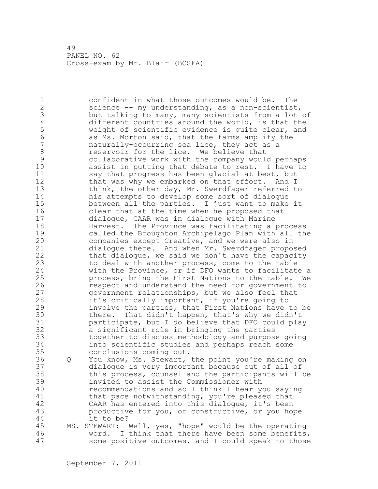1 confident in what those outcomes would be. The 2 science -- my understanding, as a non-scientist, 3 but talking to many, many scientists from a lot of 4 different countries around the world, is that the<br>5 weight of scientific evidence is quite clear, and 5 weight of scientific evidence is quite clear, and<br>6 as Ms. Morton said, that the farms amplify the 6 as Ms. Morton said, that the farms amplify the naturally-occurring sea lice, they act as a 8 reservoir for the lice. We believe that<br>9 collaborative work with the company would 9 collaborative work with the company would perhaps assist in putting that debate to rest. I have to 11 say that progress has been glacial at best, but 12 that was why we embarked on that effort. And I 13 think, the other day, Mr. Swerdfager referred to 14 his attempts to develop some sort of dialogue 15 between all the parties. I just want to make it 16 clear that at the time when he proposed that 17 dialogue, CAAR was in dialogue with Marine 18 Harvest. The Province was facilitating a process 19 called the Broughton Archipelago Plan with all the<br>20 companies except Creative, and we were also in companies except Creative, and we were also in 21 dialogue there. And when Mr. Swerdfager proposed 22 that dialogue, we said we don't have the capacity 23 to deal with another process, come to the table 24 with the Province, or if DFO wants to facilitate a 25 process, bring the First Nations to the table. We 26 respect and understand the need for government to<br>27 september of the stationships, but we also feel that government relationships, but we also feel that 28 it's critically important, if you're going to 29 involve the parties, that First Nations have to be 30 there. That didn't happen, that's why we didn't<br>31 participate, but I do believe that DFO could pla participate, but I do believe that DFO could play 32 a significant role in bringing the parties 33 together to discuss methodology and purpose going 34 into scientific studies and perhaps reach some 35 conclusions coming out. 36 Q You know, Ms. Stewart, the point you're making on 37 dialogue is very important because out of all of 38 this process, counsel and the participants will be 39 invited to assist the Commissioner with 40 recommendations and so I think I hear you saying 41 that pace notwithstanding, you're pleased that<br>42 CAAR has entered into this dialoque, it's been CAAR has entered into this dialogue, it's been 43 productive for you, or constructive, or you hope 44 it to be? 45 MS. STEWART: Well, yes, "hope" would be the operating 46 word. I think that there have been some benefits, 47 some positive outcomes, and I could speak to those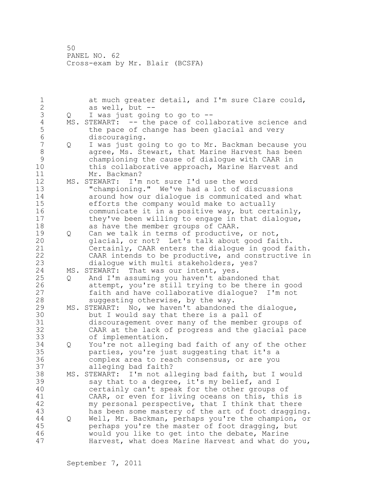1 at much greater detail, and I'm sure Clare could,<br>2 as well, but -as well, but  $--$ 3 Q I was just going to go to --<br>4 MS. STEWART: -- the pace of coll 4 MS. STEWART: -- the pace of collaborative science and<br>5 the pace of change has been glacial and very 5 the pace of change has been glacial and very<br>6 discouraging. 6 discouraging.<br>7 0 I was just qo 7 Q I was just going to go to Mr. Backman because you 8 agree, Ms. Stewart, that Marine Harvest has been<br>9 championing the cause of dialoque with CAAR in 9 championing the cause of dialogue with CAAR in this collaborative approach, Marine Harvest and 11 Mr. Backman? 12 MS. STEWART: I'm not sure I'd use the word 13 "championing." We've had a lot of discussions 14 around how our dialogue is communicated and what 15 efforts the company would make to actually 16 communicate it in a positive way, but certainly, 17 they've been willing to engage in that dialogue, 18 as have the member groups of CAAR. 19 Q Can we talk in terms of productive, or not,<br>20 dlacial, or not? Let's talk about good fai glacial, or not? Let's talk about good faith. 21 Certainly, CAAR enters the dialogue in good faith. 22 CAAR intends to be productive, and constructive in 23 dialogue with multi stakeholders, yes? 24 MS. STEWART: That was our intent, yes. 25 Q And I'm assuming you haven't abandoned that 26 attempt, you're still trying to be there in good<br>27 faith and have collaborative dialoque? I'm not faith and have collaborative dialoque? I'm not 28 suggesting otherwise, by the way. 29 MS. STEWART: No, we haven't abandoned the dialogue, 30 but I would say that there is a pall of<br>31 discouragement over many of the member 31 discouragement over many of the member groups of<br>32 CAAR at the lack of progress and the glacial pac CAAR at the lack of progress and the glacial pace 33 of implementation. 34 Q You're not alleging bad faith of any of the other 35 parties, you're just suggesting that it's a 36 complex area to reach consensus, or are you 37 alleging bad faith? 38 MS. STEWART: I'm not alleging bad faith, but I would 39 say that to a degree, it's my belief, and I 40 certainly can't speak for the other groups of 41 CAAR, or even for living oceans on this, this is<br>42 my personal perspective, that I think that there my personal perspective, that I think that there 43 has been some mastery of the art of foot dragging. 44 Q Well, Mr. Backman, perhaps you're the champion, or 45 perhaps you're the master of foot dragging, but 46 would you like to get into the debate, Marine 47 Harvest, what does Marine Harvest and what do you,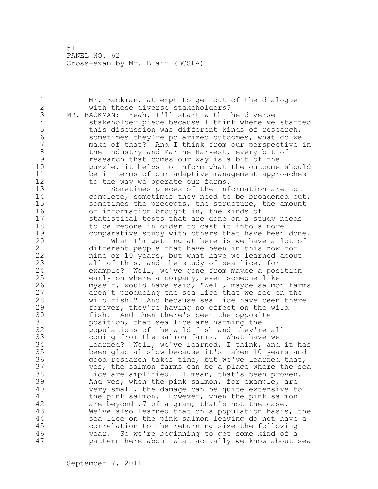1 Mr. Backman, attempt to get out of the dialogue 2 with these diverse stakeholders? 3 MR. BACKMAN: Yeah, I'll start with the diverse<br>4 stakeholder piece because I think where we 4 stakeholder piece because I think where we started<br>5 this discussion was different kinds of research, 5 this discussion was different kinds of research,<br>6 sometimes thev're polarized outcomes, what do we 6 sometimes they're polarized outcomes, what do we make of that? And I think from our perspective in 8 the industry and Marine Harvest, every bit of<br>9 sesearch that comes our way is a bit of the 9 research that comes our way is a bit of the<br>10 buzzle, it helps to inform what the outcome puzzle, it helps to inform what the outcome should 11 be in terms of our adaptive management approaches 12 to the way we operate our farms. 13 Sometimes pieces of the information are not 14 complete, sometimes they need to be broadened out, 15 sometimes the precepts, the structure, the amount 16 of information brought in, the kinds of<br>17 statistical tests that are done on a st statistical tests that are done on a study needs 18 to be redone in order to cast it into a more 19 comparative study with others that have been done.<br>20 What I'm getting at here is we have a lot of What I'm getting at here is we have a lot of 21 different people that have been in this now for 22 nine or 10 years, but what have we learned about 23 all of this, and the study of sea lice, for 24 example? Well, we've gone from maybe a position 25 early on where a company, even someone like 26 myself, would have said, "Well, maybe salmon farms<br>27 aren't producing the sea lice that we see on the aren't producing the sea lice that we see on the 28 wild fish." And because sea lice have been there 29 forever, they're having no effect on the wild 30 fish. And then there's been the opposite<br>31 bosition, that sea lice are harming the 31 bosition, that sea lice are harming the<br>32 bopulations of the wild fish and thev'r populations of the wild fish and they're all 33 coming from the salmon farms. What have we 34 learned? Well, we've learned, I think, and it has 35 been glacial slow because it's taken 10 years and 36 good research takes time, but we've learned that, 37 yes, the salmon farms can be a place where the sea 38 lice are amplified. I mean, that's been proven. 39 And yes, when the pink salmon, for example, are 40 very small, the damage can be quite extensive to 41 the pink salmon. However, when the pink salmon<br>42 are beyond .7 of a gram, that's not the case. are beyond .7 of a gram, that's not the case. 43 We've also learned that on a population basis, the 44 sea lice on the pink salmon leaving do not have a 45 correlation to the returning size the following 46 year. So we're beginning to get some kind of a 47 pattern here about what actually we know about sea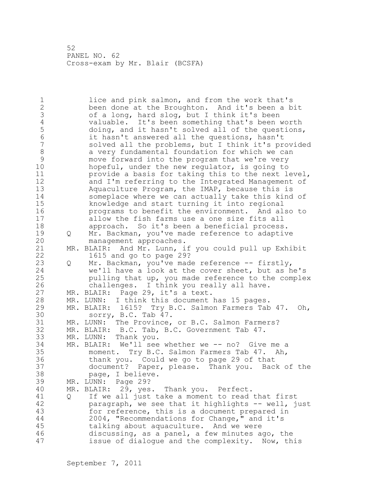1 lice and pink salmon, and from the work that's 2 been done at the Broughton. And it's been a bit 3 of a long, hard slog, but I think it's been<br>4 valuable. It's been something that's been 4 valuable. It's been something that's been worth<br>5 doing, and it hasn't solved all of the questions. 5 doing, and it hasn't solved all of the questions,<br>6 it hasn't answered all the questions, hasn't 6 it hasn't answered all the questions, hasn't solved all the problems, but I think it's provided 8 a very fundamental foundation for which we can<br>9 move forward into the program that we're very 9 move forward into the program that we're very<br>10 hopeful, under the new regulator, is going to hopeful, under the new regulator, is going to 11 provide a basis for taking this to the next level, 12 and I'm referring to the Integrated Management of 13 Aquaculture Program, the IMAP, because this is 14 someplace where we can actually take this kind of 15 knowledge and start turning it into regional 16 programs to benefit the environment. And also to 17 allow the fish farms use a one size fits all 18 approach. So it's been a beneficial process. 19 Q Mr. Backman, you've made reference to adaptive<br>20 management approaches. management approaches. 21 MR. BLAIR: And Mr. Lunn, if you could pull up Exhibit 22 1615 and go to page 29? 23 Q Mr. Backman, you've made reference -- firstly, 24 we'll have a look at the cover sheet, but as he's 25 pulling that up, you made reference to the complex 26 challenges. I think you really all have.<br>27 MR. BLAIR: Page 29, it's a text. MR. BLAIR: Page 29, it's a text. 28 MR. LUNN: I think this document has 15 pages. 29 MR. BLAIR: 1615? Try B.C. Salmon Farmers Tab 47. Oh, 30 sorry, B.C. Tab 47.<br>31 MR. LUNN: The Province, MR. LUNN: The Province, or B.C. Salmon Farmers? 32 MR. BLAIR: B.C. Tab, B.C. Government Tab 47. 33 MR. LUNN: Thank you. 34 MR. BLAIR: We'll see whether we -- no? Give me a 35 moment. Try B.C. Salmon Farmers Tab 47. Ah, 36 thank you. Could we go to page 29 of that 37 document? Paper, please. Thank you. Back of the 38 page, I believe. 39 MR. LUNN: Page 29? 40 MR. BLAIR: 29, yes. Thank you. Perfect. 41 Q If we all just take a moment to read that first<br>42 paragraph, we see that it highlights -- well, j paragraph, we see that it highlights -- well, just 43 for reference, this is a document prepared in 44 2004, "Recommendations for Change," and it's 45 talking about aquaculture. And we were 46 discussing, as a panel, a few minutes ago, the 47 issue of dialogue and the complexity. Now, this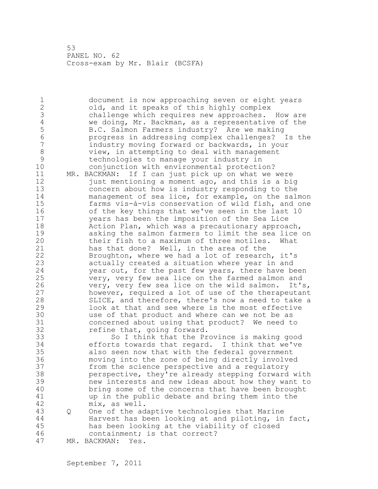1 document is now approaching seven or eight years 2 old, and it speaks of this highly complex 3 challenge which requires new approaches. How are<br>4 we doing, Mr. Backman, as a representative of the 4 we doing, Mr. Backman, as a representative of the<br>5 B.C. Salmon Farmers industry? Are we making 5 B.C. Salmon Farmers industry? Are we making 6 progress in addressing complex challenges? Is the industry moving forward or backwards, in your 8 view, in attempting to deal with management<br>9 technologies to manage your industry in 9 technologies to manage your industry in conjunction with environmental protection? 11 MR. BACKMAN: If I can just pick up on what we were 12 just mentioning a moment ago, and this is a big 13 concern about how is industry responding to the 14 management of sea lice, for example, on the salmon 15 farms vis-à-vis conservation of wild fish, and one 16 of the key things that we've seen in the last 10 17 years has been the imposition of the Sea Lice 18 Action Plan, which was a precautionary approach, 19 asking the salmon farmers to limit the sea lice on<br>20 their fish to a maximum of three motiles. What their fish to a maximum of three motiles. What 21 has that done? Well, in the area of the 22 Broughton, where we had a lot of research, it's 23 actually created a situation where year in and 24 year out, for the past few years, there have been 25 very, very few sea lice on the farmed salmon and 26 very, very few sea lice on the wild salmon. It's,<br>27 however, required a lot of use of the therapeutant however, required a lot of use of the therapeutant 28 SLICE, and therefore, there's now a need to take a 29 look at that and see where is the most effective 30 use of that product and where can we not be as<br>31 concerned about using that product? We need t 31 concerned about using that product? We need to<br>32 fefine that, going forward. refine that, going forward. 33 So I think that the Province is making good 34 efforts towards that regard. I think that we've 35 also seen now that with the federal government 36 moving into the zone of being directly involved 37 from the science perspective and a regulatory 38 perspective, they're already stepping forward with 39 new interests and new ideas about how they want to 40 bring some of the concerns that have been brought 41 up in the public debate and bring them into the<br>42 mix, as well.  $mix,$  as well. 43 Q One of the adaptive technologies that Marine 44 Harvest has been looking at and piloting, in fact, 45 has been looking at the viability of closed 46 containment; is that correct? 47 MR. BACKMAN: Yes.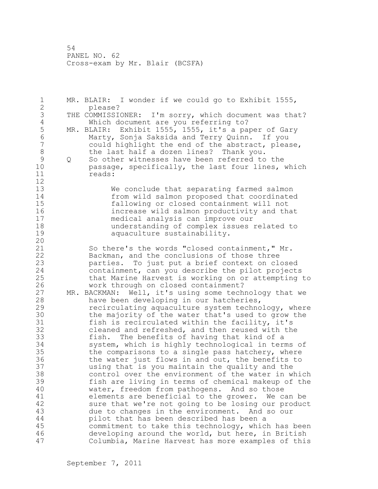1 MR. BLAIR: I wonder if we could go to Exhibit 1555, 2 please? 3 THE COMMISSIONER: I'm sorry, which document was that?<br>4 Which document are you referring to? 4 Which document are you referring to?<br>5 MR. BLAIR: Exhibit 1555, 1555, it's a pa 5 MR. BLAIR: Exhibit 1555, 1555, it's a paper of Gary<br>6 Marty, Sonja Saksida and Terry Ouinn. If you 6 Marty, Sonja Saksida and Terry Quinn. If you could highlight the end of the abstract, please, 8 the last half a dozen lines? Thank you.<br>9 0 So other witnesses have been referred to 9 Q So other witnesses have been referred to the<br>10 bassage, specifically, the last four lines, passage, specifically, the last four lines, which 11 reads: 12 13 We conclude that separating farmed salmon 14 from wild salmon proposed that coordinated 15 fallowing or closed containment will not 16 increase wild salmon productivity and that 17 medical analysis can improve our 18 understanding of complex issues related to 19 aquaculture sustainability. 20 21 So there's the words "closed containment," Mr. 22 Backman, and the conclusions of those three 23 parties. To just put a brief context on closed 24 containment, can you describe the pilot projects 25 that Marine Harvest is working on or attempting to 26 work through on closed containment?<br>27 MR. BACKMAN: Well, it's using some tech MR. BACKMAN: Well, it's using some technology that we 28 have been developing in our hatcheries, 29 recirculating aquaculture system technology, where 30 the majority of the water that's used to grow the<br>31 fish is recirculated within the facility, it's fish is recirculated within the facility, it's 32 cleaned and refreshed, and then reused with the 33 fish. The benefits of having that kind of a 34 system, which is highly technological in terms of 35 the comparisons to a single pass hatchery, where 36 the water just flows in and out, the benefits to 37 using that is you maintain the quality and the 38 control over the environment of the water in which 39 fish are living in terms of chemical makeup of the 40 water, freedom from pathogens. And so those 41 elements are beneficial to the grower. We can be<br>42 sure that we're not going to be losing our product sure that we're not going to be losing our product 43 due to changes in the environment. And so our 44 pilot that has been described has been a 45 commitment to take this technology, which has been 46 developing around the world, but here, in British 47 Columbia, Marine Harvest has more examples of this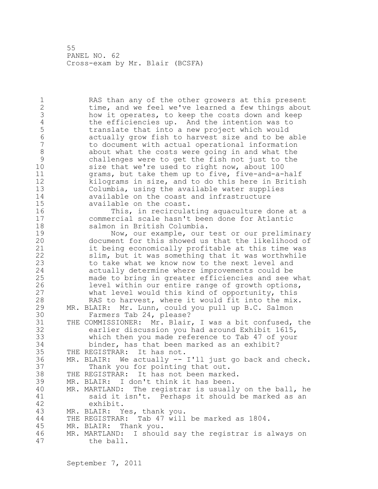1 RAS than any of the other growers at this present 2 time, and we feel we've learned a few things about 3 how it operates, to keep the costs down and keep 4 the efficiencies up. And the intention was to 4 the efficiencies up. And the intention was to<br>5 translate that into a new project which would 5 translate that into a new project which would 6 actually grow fish to harvest size and to be able 7 to document with actual operational information 8 about what the costs were going in and what the<br>9 challenges were to get the fish not just to the 9 challenges were to get the fish not just to the<br>10 size that we're used to right now, about 100 size that we're used to right now, about 100 11 grams, but take them up to five, five-and-a-half 12 kilograms in size, and to do this here in British 13 Columbia, using the available water supplies 14 available on the coast and infrastructure 15 available on the coast. 16 This, in recirculating aquaculture done at a 17 commercial scale hasn't been done for Atlantic 18 salmon in British Columbia. 19 Mow, our example, our test or our preliminary<br>20 document for this showed us that the likelihood of document for this showed us that the likelihood of 21 it being economically profitable at this time was 22 slim, but it was something that it was worthwhile 23 to take what we know now to the next level and 24 actually determine where improvements could be 25 made to bring in greater efficiencies and see what 26 level within our entire range of growth options,<br>27 what level would this kind of opportunity, this what level would this kind of opportunity, this 28 RAS to harvest, where it would fit into the mix. 29 MR. BLAIR: Mr. Lunn, could you pull up B.C. Salmon 30 Farmers Tab 24, please?<br>31 THE COMMISSIONER: Mr. Blair 31 THE COMMISSIONER: Mr. Blair, I was a bit confused, the<br>32 earlier discussion you had around Exhibit 1615, earlier discussion you had around Exhibit 1615, 33 which then you made reference to Tab 47 of your 34 binder, has that been marked as an exhibit? 35 THE REGISTRAR: It has not. 36 MR. BLAIR: We actually -- I'll just go back and check. 37 Thank you for pointing that out. 38 THE REGISTRAR: It has not been marked. 39 MR. BLAIR: I don't think it has been. 40 MR. MARTLAND: The registrar is usually on the ball, he 41 said it isn't. Perhaps it should be marked as an 42 exhibit. 43 MR. BLAIR: Yes, thank you. 44 THE REGISTRAR: Tab 47 will be marked as 1804. 45 MR. BLAIR: Thank you. 46 MR. MARTLAND: I should say the registrar is always on 47 the ball.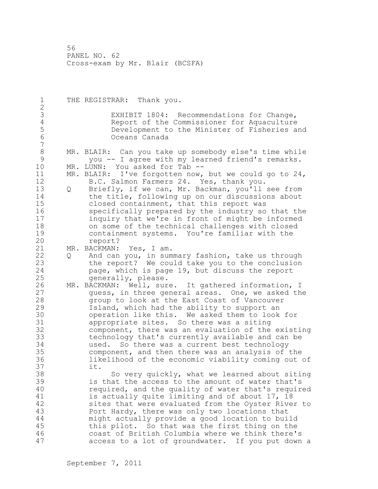1 THE REGISTRAR: Thank you. 2 3 EXHIBIT 1804: Recommendations for Change,<br>4 Report of the Commissioner for Aquaculture 4 Report of the Commissioner for Aquaculture<br>5 Development to the Minister of Fisheries an 5 Development to the Minister of Fisheries and 6 Oceans Canada 7 8 MR. BLAIR: Can you take up somebody else's time while<br>9 vou -- I agree with my learned friend's remarks. 9 you -- I agree with my learned friend's remarks.<br>10 MR. LUNN: You asked for Tab --MR. LUNN: You asked for Tab --11 MR. BLAIR: I've forgotten now, but we could go to 24, 12 B.C. Salmon Farmers 24. Yes, thank you. 13 Q Briefly, if we can, Mr. Backman, you'll see from 14 the title, following up on our discussions about 15 closed containment, that this report was 16 specifically prepared by the industry so that the 17 inquiry that we're in front of might be informed 18 on some of the technical challenges with closed 19 containment systems. You're familiar with the report? 21 MR. BACKMAN: Yes, I am. 22 Q And can you, in summary fashion, take us through 23 the report? We could take you to the conclusion 24 page, which is page 19, but discuss the report 25 generally, please. 26 MR. BACKMAN: Well, sure. It gathered information, I<br>27 duess, in three general areas. One, we asked the quess, in three general areas. One, we asked the 28 group to look at the East Coast of Vancouver 29 Island, which had the ability to support an 30 operation like this. We asked them to look for<br>31 appropriate sites. So there was a siting 31 appropriate sites. So there was a siting<br>32 component, there was an evaluation of the component, there was an evaluation of the existing 33 technology that's currently available and can be 34 used. So there was a current best technology 35 component, and then there was an analysis of the 36 likelihood of the economic viability coming out of 37 it. 38 So very quickly, what we learned about siting 39 is that the access to the amount of water that's 40 required, and the quality of water that's required 41 is actually quite limiting and of about 17, 18<br>42 sites that were evaluated from the Ovster Rive sites that were evaluated from the Oyster River to 43 Port Hardy, there was only two locations that 44 might actually provide a good location to build 45 this pilot. So that was the first thing on the 46 coast of British Columbia where we think there's 47 access to a lot of groundwater. If you put down a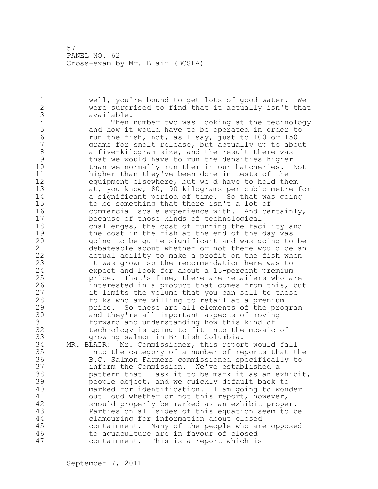1 well, you're bound to get lots of good water. We 2 were surprised to find that it actually isn't that 3 available.<br>4 Then 4 Then number two was looking at the technology<br>5 and how it would have to be operated in order to 5 and how it would have to be operated in order to<br>6 contract the fish, not, as I sav, just to 100 or 150 6 run the fish, not, as I say, just to 100 or 150 grams for smolt release, but actually up to about 8 a five-kilogram size, and the result there was<br>9 that we would have to run the densities higher 9 that we would have to run the densities higher than we normally run them in our hatcheries. Not 11 higher than they've been done in tests of the 12 equipment elsewhere, but we'd have to hold them 13 at, you know, 80, 90 kilograms per cubic metre for 14 a significant period of time. So that was going 15 to be something that there isn't a lot of 16 commercial scale experience with. And certainly, 17 because of those kinds of technological 18 challenges, the cost of running the facility and 19 the cost in the fish at the end of the day was<br>20 qoing to be quite significant and was going to going to be quite significant and was going to be 21 debateable about whether or not there would be an 22 actual ability to make a profit on the fish when 23 it was grown so the recommendation here was to 24 expect and look for about a 15-percent premium 25 price. That's fine, there are retailers who are 26 interested in a product that comes from this, but<br>27 it limits the volume that you can sell to these it limits the volume that you can sell to these 28 folks who are willing to retail at a premium 29 price. So these are all elements of the program 30 and they're all important aspects of moving<br>31 forward and understanding how this kind of forward and understanding how this kind of 32 technology is going to fit into the mosaic of 33 growing salmon in British Columbia. 34 MR. BLAIR: Mr. Commissioner, this report would fall 35 into the category of a number of reports that the 36 B.C. Salmon Farmers commissioned specifically to 37 inform the Commission. We've established a 38 pattern that I ask it to be mark it as an exhibit, 39 people object, and we quickly default back to 40 marked for identification. I am going to wonder 41 out loud whether or not this report, however,<br>42 should properly be marked as an exhibit prope should properly be marked as an exhibit proper. 43 Parties on all sides of this equation seem to be 44 clamouring for information about closed 45 containment. Many of the people who are opposed 46 to aquaculture are in favour of closed 47 containment. This is a report which is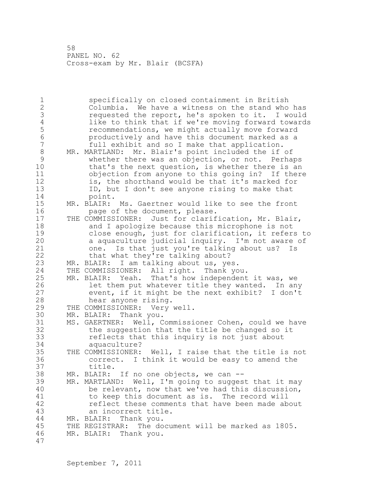1 specifically on closed containment in British 2 Columbia. We have a witness on the stand who has 3 requested the report, he's spoken to it. I would<br>4 like to think that if we're moving forward toward: 4 like to think that if we're moving forward towards<br>5 recommendations, we might actually move forward 5 **12 Ferommendations, we might actually move forward**<br>5 **12 September 10 Forman Productively and have this document marked as a** 6 productively and have this document marked as a full exhibit and so I make that application. 8 MR. MARTLAND: Mr. Blair's point included the if of 9 whether there was an objection, or not. Perhaps<br>10 that's the next question, is whether there is an that's the next question, is whether there is an 11 objection from anyone to this going in? If there 12 is, the shorthand would be that it's marked for 13 ID, but I don't see anyone rising to make that 14 point. 15 MR. BLAIR: Ms. Gaertner would like to see the front 16 page of the document, please. 17 THE COMMISSIONER: Just for clarification, Mr. Blair, 18 and I apologize because this microphone is not 19 close enough, just for clarification, it refers to<br>20 a aquaculture judicial inquiry. I'm not aware of a aquaculture judicial inquiry. I'm not aware of 21 one. Is that just you're talking about us? Is 22 that what they're talking about? 23 MR. BLAIR: I am talking about us, yes. 24 THE COMMISSIONER: All right. Thank you. 25 MR. BLAIR: Yeah. That's how independent it was, we 26 let them put whatever title they wanted. In any<br>27 event, if it might be the next exhibit? I don't event, if it might be the next exhibit? I don't 28 hear anyone rising. 29 THE COMMISSIONER: Very well. 30 MR. BLAIR: Thank you.<br>31 MS. GAERTNER: Well, C 31 MS. GAERTNER: Well, Commissioner Cohen, could we have the suggestion that the title be changed so it 33 reflects that this inquiry is not just about 34 aquaculture? 35 THE COMMISSIONER: Well, I raise that the title is not 36 correct. I think it would be easy to amend the 37 title. 38 MR. BLAIR: If no one objects, we can -- 39 MR. MARTLAND: Well, I'm going to suggest that it may 40 be relevant, now that we've had this discussion, 41 to keep this document as is. The record will<br>42 feflect these comments that have been made ab reflect these comments that have been made about 43 an incorrect title. 44 MR. BLAIR: Thank you. 45 THE REGISTRAR: The document will be marked as 1805. 46 MR. BLAIR: Thank you. 47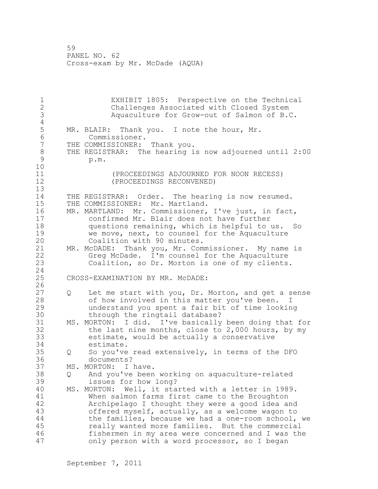1 EXHIBIT 1805: Perspective on the Technical 2 Challenges Associated with Closed System 3 Aquaculture for Grow-out of Salmon of B.C.  $\frac{4}{5}$ 5 MR. BLAIR: Thank you. I note the hour, Mr.<br>6 Commissioner. 6 Commissioner.<br>7 THE COMMISSIONER: THE COMMISSIONER: Thank you. 8 THE REGISTRAR: The hearing is now adjourned until 2:00<br>9 b.m. 9 p.m. 10 11 (PROCEEDINGS ADJOURNED FOR NOON RECESS) 12 (PROCEEDINGS RECONVENED) 13 14 THE REGISTRAR: Order. The hearing is now resumed. 15 THE COMMISSIONER: Mr. Martland. 16 MR. MARTLAND: Mr. Commissioner, I've just, in fact, 17 confirmed Mr. Blair does not have further 18 questions remaining, which is helpful to us. So 19 we move, next, to counsel for the Aquaculture<br>20 Coalition with 90 minutes. Coalition with 90 minutes. 21 MR. McDADE: Thank you, Mr. Commissioner. My name is 22 Greg McDade. I'm counsel for the Aquaculture 23 Coalition, so Dr. Morton is one of my clients. 24 25 CROSS-EXAMINATION BY MR. McDADE:  $\frac{26}{27}$ Q Let me start with you, Dr. Morton, and get a sense 28 of how involved in this matter you've been. I 29 understand you spent a fair bit of time looking 30 through the ringtail database?<br>31 MS. MORTON: I did. I've basically 31 MS. MORTON: I did. I've basically been doing that for<br>32 the last nine months, close to 2,000 hours, by my the last nine months, close to  $2,000$  hours, by my 33 estimate, would be actually a conservative 34 estimate. 35 Q So you've read extensively, in terms of the DFO 36 documents? 37 MS. MORTON: I have. 38 Q And you've been working on aquaculture-related 39 issues for how long? 40 MS. MORTON: Well, it started with a letter in 1989. 41 When salmon farms first came to the Broughton Archipelago I thought they were a good idea and 43 offered myself, actually, as a welcome wagon to 44 the families, because we had a one-room school, we 45 really wanted more families. But the commercial 46 fishermen in my area were concerned and I was the 47 only person with a word processor, so I began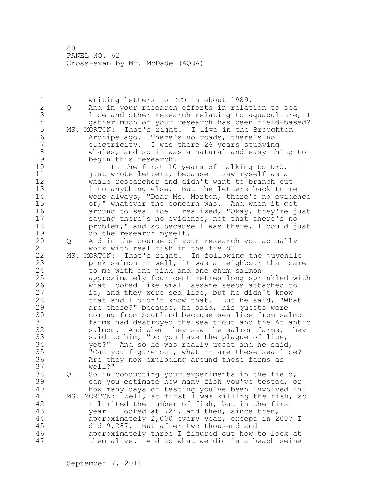1 writing letters to DFO in about 1989.<br>2 0 And in your research efforts in relat 2 Q And in your research efforts in relation to sea 3 lice and other research relating to aquaculture, I<br>4 and of your research has been field-based? 4 gather much of your research has been field-based?<br>5 MS. MORTON: That's right. I live in the Broughton 5 MS. MORTON: That's right. I live in the Broughton<br>6 Archipelago. There's no roads, there's no 6 Archipelago. There's no roads, there's no electricity. I was there 26 years studying 8 whales, and so it was a natural and easy thing to 9 begin this research.<br>10 10 10 10 10 11 10 In the first 10 years of talking to DFO, I 11 just wrote letters, because I saw myself as a 12 whale researcher and didn't want to branch out 13 into anything else. But the letters back to me 14 were always, "Dear Ms. Morton, there's no evidence 15 of," whatever the concern was. And when it got 16 around to sea lice I realized, "Okay, they're just 17 saying there's no evidence, not that there's no 18 problem," and so because I was there, I could just 19 do the research myself.<br>20 0 And in the course of yo 20 Q And in the course of your research you actually 21 work with real fish in the field? 22 MS. MORTON: That's right. In following the juvenile 23 pink salmon -- well, it was a neighbour that came 24 to me with one pink and one chum salmon 25 approximately four centimetres long sprinkled with 26 what looked like small sesame seeds attached to<br>27 it, and they were sea lice, but he didn't know it, and they were sea lice, but he didn't know 28 that and I didn't know that. But he said, "What 29 are these?" because, he said, his guests were 30 coming from Scotland because sea lice from salmon 31 farms had destroyed the sea trout and the Atlantic salmon. And when they saw the salmon farms, they 33 said to him, "Do you have the plague of lice, 34 yet?" And so he was really upset and he said, 35 "Can you figure out, what -- are these sea lice? 36 Are they now exploding around these farms as 37 well?" 38 Q So in conducting your experiments in the field, 39 can you estimate how many fish you've tested, or 40 how many days of testing you've been involved in? 41 MS. MORTON: Well, at first I was killing the fish, so<br>42 Thimited the number of fish, but in the first I limited the number of fish, but in the first 43 year I looked at 724, and then, since then, 44 approximately 2,000 every year, except in 2007 I 45 did 9,287. But after two thousand and 46 approximately three I figured out how to look at 47 them alive. And so what we did is a beach seine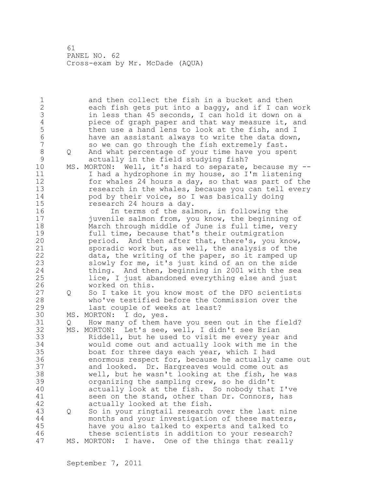1 and then collect the fish in a bucket and then 2 each fish gets put into a baggy, and if I can work 3 in less than 45 seconds, I can hold it down on a<br>4 biece of graph paper and that way measure it, an 4 piece of graph paper and that way measure it, and<br>5 then use a hand lens to look at the fish, and I 5 then use a hand lens to look at the fish, and I<br>6 have an assistant always to write the data down 6 have an assistant always to write the data down,<br>7 so we can go through the fish extremely fast. so we can go through the fish extremely fast. 8 Q And what percentage of your time have you spent 9 actually in the field studying fish?<br>10 MS. MORTON: Well, it's hard to separate, MS. MORTON: Well, it's hard to separate, because my --11 I had a hydrophone in my house, so I'm listening 12 for whales 24 hours a day, so that was part of the 13 research in the whales, because you can tell every 14 pod by their voice, so I was basically doing 15 research 24 hours a day. 16 In terms of the salmon, in following the 17 juvenile salmon from, you know, the beginning of 18 March through middle of June is full time, very 19 full time, because that's their outmigration<br>20 period. And then after that, there's, you k period. And then after that, there's, you know, 21 sporadic work but, as well, the analysis of the 22 data, the writing of the paper, so it ramped up 23 slowly for me, it's just kind of an on the side 24 thing. And then, beginning in 2001 with the sea 25 lice, I just abandoned everything else and just 26 worked on this.<br>27 0 So I take it yo 27 Q So I take it you know most of the DFO scientists 28 who've testified before the Commission over the 29 last couple of weeks at least? 30 MS. MORTON: I do, yes.<br>31 0 How many of them h Q How many of them have you seen out in the field? 32 MS. MORTON: Let's see, well, I didn't see Brian 33 Riddell, but he used to visit me every year and 34 would come out and actually look with me in the 35 boat for three days each year, which I had 36 enormous respect for, because he actually came out 37 and looked. Dr. Hargreaves would come out as 38 well, but he wasn't looking at the fish, he was 39 organizing the sampling crew, so he didn't 40 actually look at the fish. So nobody that I've 41 seen on the stand, other than Dr. Connors, has<br>42 actually looked at the fish. actually looked at the fish. 43 Q So in your ringtail research over the last nine 44 months and your investigation of these matters, 45 have you also talked to experts and talked to 46 these scientists in addition to your research? 47 MS. MORTON: I have. One of the things that really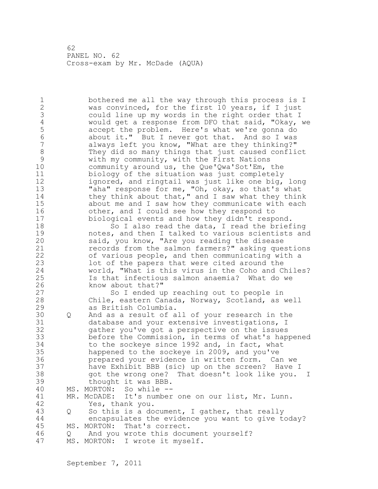1 bothered me all the way through this process is I 2 was convinced, for the first 10 years, if I just 3 could line up my words in the right order that I<br>4 would get a response from DFO that said, "Okay, 4 would get a response from DFO that said, "Okay, we<br>5 accept the problem. Here's what we're gonna do 5 accept the problem. Here's what we're gonna do<br>6 about it." But I never got that. And so I was 6 about it." But I never got that. And so I was always left you know, "What are they thinking?" 8 They did so many things that just caused conflict<br>9 with my community, with the First Nations 9 with my community, with the First Nations<br>10 community around us, the Oue'Owa'Sot'Em, community around us, the Que'Qwa'Sot'Em, the 11 biology of the situation was just completely 12 ignored, and ringtail was just like one big, long 13 "aha" response for me, "Oh, okay, so that's what 14 they think about that," and I saw what they think 15 about me and I saw how they communicate with each 16 other, and I could see how they respond to 17 biological events and how they didn't respond. 18 So I also read the data, I read the briefing 19 notes, and then I talked to various scientists and<br>20 said, you know, "Are you reading the disease said, you know, "Are you reading the disease 21 records from the salmon farmers?" asking questions 22 of various people, and then communicating with a 23 lot of the papers that were cited around the 24 world, "What is this virus in the Coho and Chiles? 25 Is that infectious salmon anaemia? What do we 26 know about that?"<br>27 So I ended u So I ended up reaching out to people in 28 Chile, eastern Canada, Norway, Scotland, as well 29 as British Columbia. 30 Q And as a result of all of your research in the 31 database and your extensive investigations, I 32 gather you've got a perspective on the issues 33 before the Commission, in terms of what's happened 34 to the sockeye since 1992 and, in fact, what 35 happened to the sockeye in 2009, and you've 36 prepared your evidence in written form. Can we 37 have Exhibit BBB (sic) up on the screen? Have I 38 got the wrong one? That doesn't look like you. I 39 thought it was BBB. 40 MS. MORTON: So while -- 41 MR. McDADE: It's number one on our list, Mr. Lunn.<br>42 Yes, thank you. Yes, thank you. 43 Q So this is a document, I gather, that really 44 encapsulates the evidence you want to give today? 45 MS. MORTON: That's correct. 46 Q And you wrote this document yourself? 47 MS. MORTON: I wrote it myself.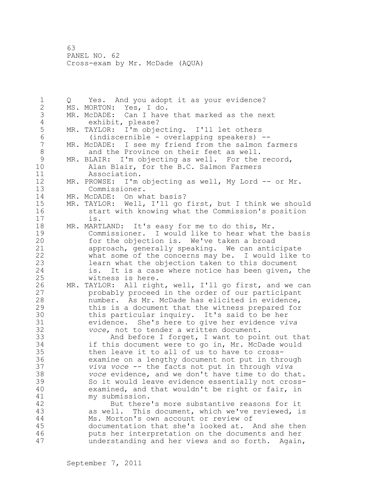1 Q Yes. And you adopt it as your evidence? 2 MS. MORTON: Yes, I do. 3 MR. McDADE: Can I have that marked as the next<br>4 exhibit, please? 4 exhibit, please?<br>5 MR. TAYLOR: I'm obje 5 MR. TAYLOR: I'm objecting. I'll let others 6 (indiscernible - overlapping speakers) -- MR. McDADE: I see my friend from the salmon farmers 8 and the Province on their feet as well.<br>9 MR. BLAIR: I'm objecting as well. For the 9 MR. BLAIR: I'm objecting as well. For the record,<br>10 Alan Blair, for the B.C. Salmon Farmers Alan Blair, for the B.C. Salmon Farmers 11 Association. 12 MR. PROWSE: I'm objecting as well, My Lord -- or Mr. 13 Commissioner. 14 MR. McDADE: On what basis? 15 MR. TAYLOR: Well, I'll go first, but I think we should 16 start with knowing what the Commission's position 17 is. 18 MR. MARTLAND: It's easy for me to do this, Mr. 19 Commissioner. I would like to hear what the basis<br>20 for the objection is. We've taken a broad for the objection is. We've taken a broad 21 approach, generally speaking. We can anticipate 22 what some of the concerns may be. I would like to 23 learn what the objection taken to this document 24 is. It is a case where notice has been given, the 25 witness is here. 26 MR. TAYLOR: All right, well, I'll go first, and we can<br>27 brobably proceed in the order of our participant 27 brobably proceed in the order of our participant<br>28 humber. As Mr. McDade has elicited in evidence. number. As Mr. McDade has elicited in evidence, 29 this is a document that the witness prepared for 30 this particular inquiry. It's said to be her<br>31 evidence. She's here to give her evidence vi 31 evidence. She's here to give her evidence *viva*  voce, not to tender a written document. 33 And before I forget, I want to point out that 34 if this document were to go in, Mr. McDade would 35 then leave it to all of us to have to cross-36 examine on a lengthy document not put in through 37 *viva voce* -- the facts not put in through *viva*  38 *voce* evidence, and we don't have time to do that. 39 So it would leave evidence essentially not cross-40 examined, and that wouldn't be right or fair, in 41 my submission.<br>42 But there But there's more substantive reasons for it 43 as well. This document, which we've reviewed, is 44 Ms. Morton's own account or review of 45 documentation that she's looked at. And she then 46 puts her interpretation on the documents and her 47 understanding and her views and so forth. Again,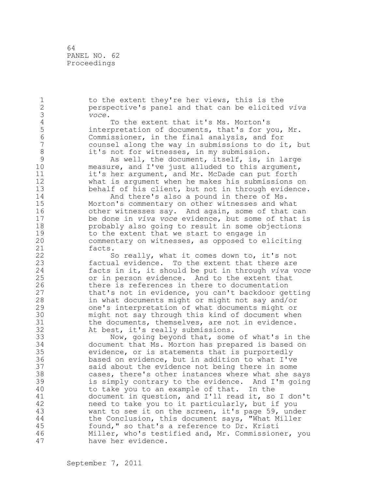64 PANEL NO. 62 Proceedings

1 to the extent they're her views, this is the 2 perspective's panel and that can be elicited *viva*  3 *voce*. 4 To the extent that it's Ms. Morton's<br>5 interpretation of documents, that's for y 5 interpretation of documents, that's for you, Mr.<br>6 Commissioner, in the final analysis, and for 6 Commissioner, in the final analysis, and for counsel along the way in submissions to do it, but 8 it's not for witnesses, in my submission.<br>9 as well, the document, itself, is, i 9 As well, the document, itself, is, in large<br>10 measure, and I've just alluded to this argument, measure, and I've just alluded to this argument, 11 it's her argument, and Mr. McDade can put forth 12 what is argument when he makes his submissions on 13 behalf of his client, but not in through evidence. 14 And there's also a pound in there of Ms. 15 Morton's commentary on other witnesses and what 16 other witnesses say. And again, some of that can 17 be done in *viva voce* evidence, but some of that is 18 probably also going to result in some objections 19 to the extent that we start to engage in<br>20 commentary on witnesses, as opposed to e commentary on witnesses, as opposed to eliciting 21 facts. 22 So really, what it comes down to, it's not 23 factual evidence. To the extent that there are 24 facts in it, it should be put in through *viva voce* 25 or in person evidence. And to the extent that 26 there is references in there to documentation<br>27 that's not in evidence, you can't backdoor ge that's not in evidence, you can't backdoor getting 28 in what documents might or might not say and/or 29 one's interpretation of what documents might or 30 might not say through this kind of document when<br>31 the documents, themselves, are not in evidence. 31 the documents, themselves, are not in evidence.<br>32 At best, it's really submissions. At best, it's really submissions. 33 Now, going beyond that, some of what's in the 34 document that Ms. Morton has prepared is based on 35 evidence, or is statements that is purportedly 36 based on evidence, but in addition to what I've 37 said about the evidence not being there in some 38 cases, there's other instances where what she says 39 is simply contrary to the evidence. And I'm going 40 to take you to an example of that. In the 41 document in question, and I'll read it, so I don't<br>42 meed to take you to it particularly, but if you need to take you to it particularly, but if you 43 want to see it on the screen, it's page 59, under 44 the Conclusion, this document says, "What Miller 45 found," so that's a reference to Dr. Kristi 46 Miller, who's testified and, Mr. Commissioner, you 47 have her evidence.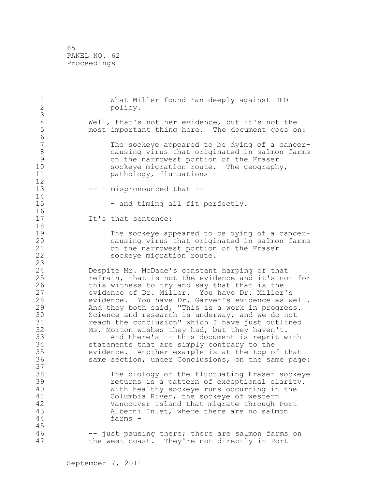65 PANEL NO. 62 Proceedings

| $\frac{1}{2}$<br>$\mathfrak{Z}$                                                              | What Miller found ran deeply against DFO<br>policy.                                                                                                                                                                                                                                                                                                                                                                                                                                                                                                                                                                                                                                                                                                                          |
|----------------------------------------------------------------------------------------------|------------------------------------------------------------------------------------------------------------------------------------------------------------------------------------------------------------------------------------------------------------------------------------------------------------------------------------------------------------------------------------------------------------------------------------------------------------------------------------------------------------------------------------------------------------------------------------------------------------------------------------------------------------------------------------------------------------------------------------------------------------------------------|
| $\overline{4}$<br>5<br>$\overline{6}$                                                        | Well, that's not her evidence, but it's not the<br>most important thing here. The document goes on:                                                                                                                                                                                                                                                                                                                                                                                                                                                                                                                                                                                                                                                                          |
| $\overline{7}$<br>$\,8\,$<br>9<br>10<br>11<br>12                                             | The sockeye appeared to be dying of a cancer-<br>causing virus that originated in salmon farms<br>on the narrowest portion of the Fraser<br>sockeye migration route. The geography,<br>pathology, flutuations -                                                                                                                                                                                                                                                                                                                                                                                                                                                                                                                                                              |
| 13<br>14                                                                                     | -- I mispronounced that --                                                                                                                                                                                                                                                                                                                                                                                                                                                                                                                                                                                                                                                                                                                                                   |
| 15<br>16                                                                                     | - and timing all fit perfectly.                                                                                                                                                                                                                                                                                                                                                                                                                                                                                                                                                                                                                                                                                                                                              |
| 17<br>18                                                                                     | It's that sentence:                                                                                                                                                                                                                                                                                                                                                                                                                                                                                                                                                                                                                                                                                                                                                          |
| 19<br>20<br>21<br>22<br>23                                                                   | The sockeye appeared to be dying of a cancer-<br>causing virus that originated in salmon farms<br>on the narrowest portion of the Fraser<br>sockeye migration route.                                                                                                                                                                                                                                                                                                                                                                                                                                                                                                                                                                                                         |
| 24<br>25<br>26<br>27<br>28<br>29<br>30<br>31<br>32<br>33<br>34<br>35<br>36<br>37<br>38<br>39 | Despite Mr. McDade's constant harping of that<br>refrain, that is not the evidence and it's not for<br>this witness to try and say that that is the<br>evidence of Dr. Miller. You have Dr. Miller's<br>evidence. You have Dr. Garver's evidence as well.<br>And they both said, "This is a work in progress.<br>Science and research is underway, and we do not<br>reach the conclusion" which I have just outlined<br>Ms. Morton wishes they had, but they haven't.<br>And there's -- this document is reprit with<br>statements that are simply contrary to the<br>evidence. Another example is at the top of that<br>same section, under Conclusions, on the same page:<br>The biology of the fluctuating Fraser sockeye<br>returns is a pattern of exceptional clarity. |
| 40<br>41<br>42<br>43<br>44<br>45                                                             | With healthy sockeye runs occurring in the<br>Columbia River, the sockeye of western<br>Vancouver Island that migrate through Port<br>Alberni Inlet, where there are no salmon<br>farms -                                                                                                                                                                                                                                                                                                                                                                                                                                                                                                                                                                                    |
| 46<br>47                                                                                     | -- just pausing there; there are salmon farms on<br>They're not directly in Port<br>the west coast.                                                                                                                                                                                                                                                                                                                                                                                                                                                                                                                                                                                                                                                                          |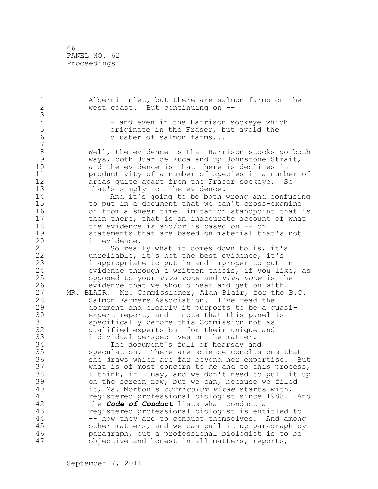66 PANEL NO. 62 Proceedings

1 Alberni Inlet, but there are salmon farms on the 2 west coast. But continuing on -- 3 4 - and even in the Harrison sockeye which<br>5 - originate in the Fraser, but avoid the 5 5 originate in the Fraser, but avoid the<br>6 cluster of salmon farms... cluster of salmon farms... 7 8 Well, the evidence is that Harrison stocks go both<br>9 Ways, both Juan de Fuca and up Johnstone Strait, 9 ways, both Juan de Fuca and up Johnstone Strait,<br>10 and the evidence is that there is declines in and the evidence is that there is declines in 11 productivity of a number of species in a number of 12 areas quite apart from the Fraser sockeye. So<br>13 bhat's simply not the evidence. that's simply not the evidence. 14 And it's going to be both wrong and confusing 15 to put in a document that we can't cross-examine 16 on from a sheer time limitation standpoint that is 17 then there, that is an inaccurate account of what 18 the evidence is and/or is based on -- on 19 statements that are based on material that's not<br>20 in evidence. in evidence. 21 So really what it comes down to is, it's 22 unreliable, it's not the best evidence, it's 23 inappropriate to put in and improper to put in<br>24 evidence through a written thesis, if you like evidence through a written thesis, if you like, as 25 opposed to your *viva voce* and *viva voce* is the 26 evidence that we should hear and get on with.<br>27 MR. BLAIR: Mr. Commissioner, Alan Blair, for the MR. BLAIR: Mr. Commissioner, Alan Blair, for the B.C. 28 Salmon Farmers Association. I've read the 29 document and clearly it purports to be a quasi-30 expert report, and I note that this panel is<br>31 specifically before this Commission not as 31 specifically before this Commission not as<br>32 qualified experts but for their unique and qualified experts but for their unique and 33 individual perspectives on the matter. 34 The document's full of hearsay and 35 speculation. There are science conclusions that 36 she draws which are far beyond her expertise. But 37 what is of most concern to me and to this process, 38 I think, if I may, and we don't need to pull it up 39 on the screen now, but we can, because we filed 40 it, Ms. Morton's *curriculum vitae* starts with, 41 registered professional biologist since 1988. And<br>42 the **Code of Conduct** lists what conduct a the **Code of Conduct** lists what conduct a 43 registered professional biologist is entitled to 44 -- how they are to conduct themselves. And among 45 other matters, and we can pull it up paragraph by 46 paragraph, but a professional biologist is to be 47 objective and honest in all matters, reports,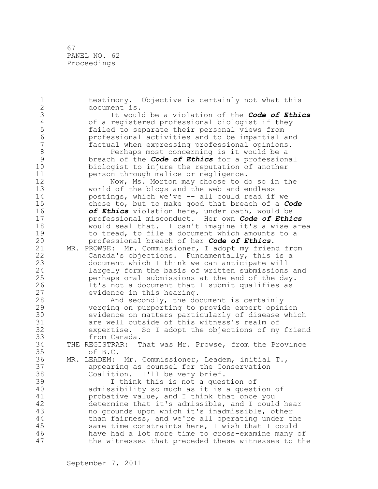67 PANEL NO. 62 Proceedings

1 testimony. Objective is certainly not what this 2 document is. 3 It would be a violation of the *Code of Ethics* 4 of a registered professional biologist if they 5 failed to separate their personal views from 6 professional activities and to be impartial and factual when expressing professional opinions. 8 Perhaps most concerning is it would be a<br>9 breach of the **Code of Ethics** for a profession 9 breach of the *Code of Ethics* for a professional biologist to injure the reputation of another 11 person through malice or negligence. 12 Now, Ms. Morton may choose to do so in the<br>13 world of the blogs and the web and endless world of the blogs and the web and endless 14 postings, which we've -- all could read if we 15 chose to, but to make good that breach of a *Code*  16 **of Ethics** violation here, under oath, would be<br>17 **orderstand misconduct.** Her own **Code of Ethi** 17 professional misconduct. Her own *Code of Ethics* 18 would seal that. I can't imagine it's a wise area 19 to tread, to file a document which amounts to a<br>20 **beloge of the Code of Ethics.** 20 professional breach of her *Code of Ethics*. 21 MR. PROWSE: Mr. Commissioner, I adopt my friend from 22 Canada's objections. Fundamentally, this is a 23 document which I think we can anticipate will 24 largely form the basis of written submissions and 25 perhaps oral submissions at the end of the day. 26 It's not a document that I submit qualifies as<br>27 evidence in this hearing. 27 evidence in this hearing.<br>28 Mnd secondly, the do And secondly, the document is certainly 29 verging on purporting to provide expert opinion 30 evidence on matters particularly of disease which<br>31 are well outside of this witness's realm of 31 are well outside of this witness's realm of<br>32 expertise. So I adopt the objections of my expertise. So I adopt the objections of my friend 33 from Canada. 34 THE REGISTRAR: That was Mr. Prowse, from the Province 35 of B.C. 36 MR. LEADEM: Mr. Commissioner, Leadem, initial T., 37 appearing as counsel for the Conservation 38 Coalition. I'll be very brief. 39 I think this is not a question of 40 admissibility so much as it is a question of 41 **probative value, and I think that once you**<br>42 determine that it's admissible, and I could determine that it's admissible, and I could hear 43 no grounds upon which it's inadmissible, other 44 than fairness, and we're all operating under the 45 same time constraints here, I wish that I could 46 have had a lot more time to cross-examine many of 47 the witnesses that preceded these witnesses to the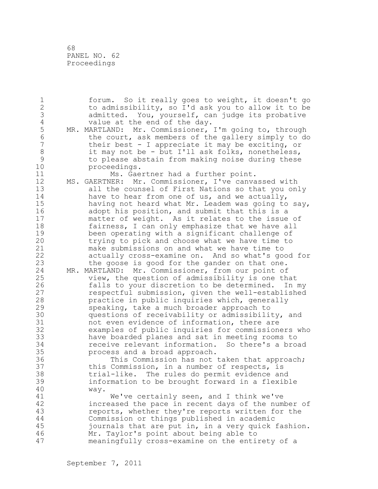68 PANEL NO. 62 Proceedings

1 forum. So it really goes to weight, it doesn't go 2 to admissibility, so I'd ask you to allow it to be 3 admitted. You, yourself, can judge its probative<br>4 value at the end of the day. 4 value at the end of the day.<br>5 MR. MARTLAND: Mr. Commissioner, 5 MR. MARTLAND: Mr. Commissioner, I'm going to, through<br>6 the court, ask members of the gallery simply to do 6 the court, ask members of the gallery simply to do<br>7 their best - I appreciate it may be exciting, or their best - I appreciate it may be exciting, or 8 it may not be - but I'll ask folks, nonetheless,<br>9 to please abstain from making noise during these 9 to please abstain from making noise during these proceedings. 11 Ms. Gaertner had a further point. 12 MS. GAERTNER: Mr. Commissioner, I've canvassed with 13 all the counsel of First Nations so that you only 14 have to hear from one of us, and we actually, 15 having not heard what Mr. Leadem was going to say, 16 adopt his position, and submit that this is a 17 matter of weight. As it relates to the issue of 18 fairness, I can only emphasize that we have all 19 been operating with a significant challenge of<br>20 trying to pick and choose what we have time to trying to pick and choose what we have time to 21 make submissions on and what we have time to 22 actually cross-examine on. And so what's good for 23 the goose is good for the gander on that one. 24 MR. MARTLAND: Mr. Commissioner, from our point of 25 view, the question of admissibility is one that 26 falls to your discretion to be determined. In my<br>27 sespectful submission, given the well-established respectful submission, given the well-established 28 practice in public inquiries which, generally 29 speaking, take a much broader approach to 30 questions of receivability or admissibility, and<br>31 hot even evidence of information, there are 31 not even evidence of information, there are<br>32 examples of public inquiries for commission examples of public inquiries for commissioners who 33 have boarded planes and sat in meeting rooms to 34 receive relevant information. So there's a broad 35 process and a broad approach. 36 This Commission has not taken that approach; 37 this Commission, in a number of respects, is 38 trial-like. The rules do permit evidence and 39 information to be brought forward in a flexible 40 way. 41 We've certainly seen, and I think we've<br>42 increased the pace in recent days of the num increased the pace in recent days of the number of 43 reports, whether they're reports written for the 44 Commission or things published in academic 45 journals that are put in, in a very quick fashion. 46 Mr. Taylor's point about being able to 47 meaningfully cross-examine on the entirety of a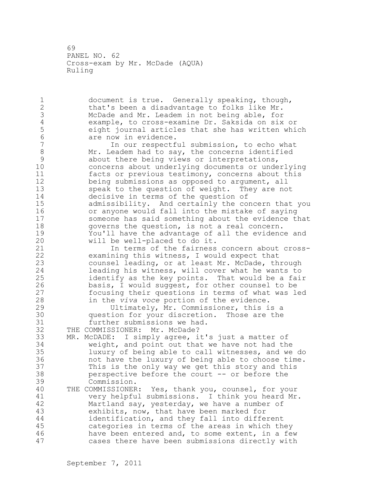1 document is true. Generally speaking, though, 2 that's been a disadvantage to folks like Mr. 3 McDade and Mr. Leadem in not being able, for 4 example, to cross-examine Dr. Saksida on six or 5 eight journal articles that she has written which 6 are now in evidence.<br>7 1n our respectf In our respectful submission, to echo what 8 Mr. Leadem had to say, the concerns identified<br>9 about there being views or interpretations, 9 about there being views or interpretations,<br>10 concerns about underlying documents or unde concerns about underlying documents or underlying 11 facts or previous testimony, concerns about this 12 being submissions as opposed to argument, all 13 speak to the question of weight. They are not 14 decisive in terms of the question of 15 admissibility. And certainly the concern that you 16 or anyone would fall into the mistake of saying 17 someone has said something about the evidence that 18 governs the question, is not a real concern. 19 You'll have the advantage of all the evidence and<br>20 will be well-placed to do it. will be well-placed to do it. 21 In terms of the fairness concern about cross-22 examining this witness, I would expect that 23 counsel leading, or at least Mr. McDade, through 24 leading his witness, will cover what he wants to 25 identify as the key points. That would be a fair 26 basis, I would suggest, for other counsel to be<br>27 focusing their questions in terms of what was le focusing their questions in terms of what was led 28 in the *viva voce* portion of the evidence. 29 Ultimately, Mr. Commissioner, this is a 30 question for your discretion. Those are the<br>31 further submissions we had. 31 further submissions we had.<br>32 THE COMMISSIONER: Mr. McDade? THE COMMISSIONER: Mr. McDade? 33 MR. McDADE: I simply agree, it's just a matter of 34 weight, and point out that we have not had the 35 luxury of being able to call witnesses, and we do 36 not have the luxury of being able to choose time. 37 This is the only way we get this story and this 38 perspective before the court -- or before the 39 Commission. 40 THE COMMISSIONER: Yes, thank you, counsel, for your 41 very helpful submissions. I think you heard Mr.<br>42 Martland sav, vesterdav, we have a number of Martland say, yesterday, we have a number of 43 exhibits, now, that have been marked for 44 identification, and they fall into different 45 categories in terms of the areas in which they 46 have been entered and, to some extent, in a few 47 cases there have been submissions directly with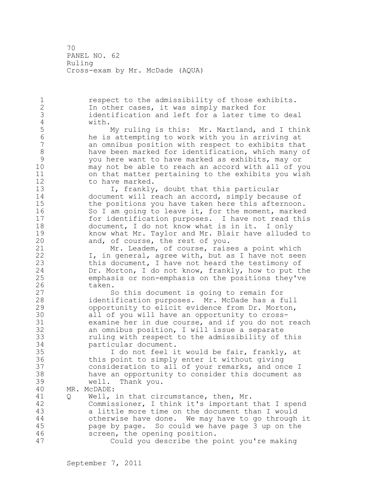1 respect to the admissibility of those exhibits. 2 In other cases, it was simply marked for 3 identification and left for a later time to deal 4 with. 5 My ruling is this: Mr. Martland, and I think<br>6 he is attempting to work with you in arriving at 6 he is attempting to work with you in arriving at an omnibus position with respect to exhibits that 8 have been marked for identification, which many of<br>9 vou here want to have marked as exhibits, may or 9 you here want to have marked as exhibits, may or may not be able to reach an accord with all of you 11 on that matter pertaining to the exhibits you wish 12 to have marked. 13 I, frankly, doubt that this particular 14 document will reach an accord, simply because of 15 the positions you have taken here this afternoon. 16 So I am going to leave it, for the moment, marked 17 for identification purposes. I have not read this 18 document, I do not know what is in it. I only 19 know what Mr. Taylor and Mr. Blair have alluded to<br>20 and, of course, the rest of you. and, of course, the rest of you. 21 Mr. Leadem, of course, raises a point which 22 I, in general, agree with, but as I have not seen 23 this document, I have not heard the testimony of 24 Dr. Morton, I do not know, frankly, how to put the 25 emphasis or non-emphasis on the positions they've 26 taken.<br>27 S So this document is going to remain for 28 identification purposes. Mr. McDade has a full 29 opportunity to elicit evidence from Dr. Morton, 30 all of you will have an opportunity to cross-<br>31 examine her in due course, and if you do not examine her in due course, and if you do not reach 32 an omnibus position, I will issue a separate 33 ruling with respect to the admissibility of this 34 particular document. 35 I do not feel it would be fair, frankly, at 36 this point to simply enter it without giving 37 consideration to all of your remarks, and once I 38 have an opportunity to consider this document as 39 well. Thank you. 40 MR. McDADE: 41 Q Well, in that circumstance, then, Mr.<br>42 Commissioner, I think it's important Commissioner, I think it's important that I spend 43 a little more time on the document than I would 44 otherwise have done. We may have to go through it 45 page by page. So could we have page 3 up on the 46 screen, the opening position. 47 Could you describe the point you're making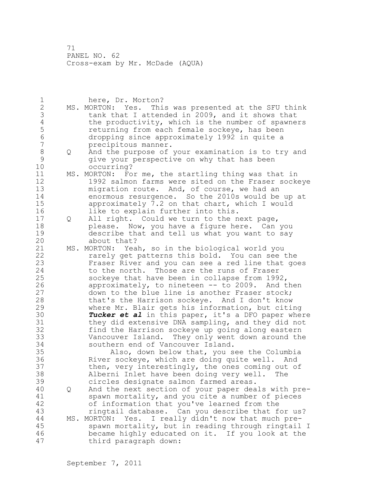1 here, Dr. Morton? 2 MS. MORTON: Yes. This was presented at the SFU think 3 tank that I attended in 2009, and it shows that<br>4 the productivity, which is the number of spawne 4 the productivity, which is the number of spawners<br>5 ceturning from each female sockeye, has been 5 5 returning from each female sockeye, has been<br>6 6 dropping since approximately 1992 in quite a 6 dropping since approximately 1992 in quite a 7 precipitous manner. 8 Q And the purpose of your examination is to try and<br>9 3 Give your perspective on why that has been 9 give your perspective on why that has been occurring? 11 MS. MORTON: For me, the startling thing was that in 12 1992 salmon farms were sited on the Fraser sockeye 13 migration route. And, of course, we had an 14 enormous resurgence. So the 2010s would be up at 15 approximately 7.2 on that chart, which I would 16 like to explain further into this. 17 Q All right. Could we turn to the next page, 18 please. Now, you have a figure here. Can you 19 describe that and tell us what you want to say about that? 21 MS. MORTON: Yeah, so in the biological world you 22 rarely get patterns this bold. You can see the 23 Fraser River and you can see a red line that goes 24 to the north. Those are the runs of Fraser 25 sockeye that have been in collapse from 1992, 26 approximately, to nineteen -- to 2009. And then<br>27 down to the blue line is another Fraser stock; down to the blue line is another Fraser stock; 28 that's the Harrison sockeye. And I don't know 29 where Mr. Blair gets his information, but citing 30 **Tucker et al** in this paper, it's a DFO paper where<br>31 they did extensive DNA sampling, and they did not 31 they did extensive DNA sampling, and they did not<br>32 find the Harrison sockeye up going along eastern find the Harrison sockeye up going along eastern 33 Vancouver Island. They only went down around the 34 southern end of Vancouver Island. 35 Also, down below that, you see the Columbia 36 River sockeye, which are doing quite well. And 37 then, very interestingly, the ones coming out of 38 Alberni Inlet have been doing very well. The 39 circles designate salmon farmed areas. 40 Q And the next section of your paper deals with pre-41 spawn mortality, and you cite a number of pieces<br>42 of information that you've learned from the of information that you've learned from the 43 ringtail database. Can you describe that for us? 44 MS. MORTON: Yes. I really didn't now that much pre-45 spawn mortality, but in reading through ringtail I 46 became highly educated on it. If you look at the 47 third paragraph down: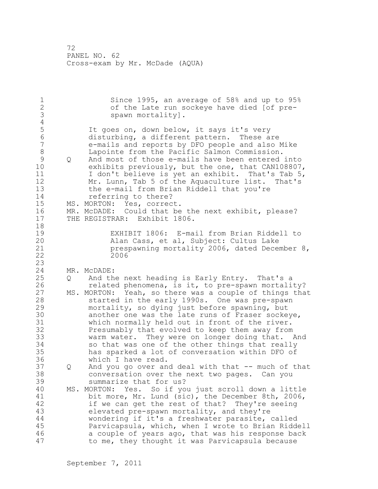1 Since 1995, an average of 58% and up to 95%<br>2 of the Late run sockeye have died [of preof the Late run sockeye have died [of pre-3 spawn mortality].  $\frac{4}{5}$ 5 It goes on, down below, it says it's very 6 disturbing, a different pattern. These are 7 e-mails and reports by DFO people and also Mike 8 Lapointe from the Pacific Salmon Commission. 9 Q And most of those e-mails have been entered into<br>10 exhibits previously, but the one, that CAN108807 exhibits previously, but the one, that CAN108807, 11 I don't believe is yet an exhibit. That's Tab 5, 12 Mr. Lunn, Tab 5 of the Aquaculture list. That's 13 the e-mail from Brian Riddell that you're 14 referring to there? 15 MS. MORTON: Yes, correct. 16 MR. McDADE: Could that be the next exhibit, please? 17 THE REGISTRAR: Exhibit 1806. 18 19 EXHIBIT 1806: E-mail from Brian Riddell to<br>20 Alan Cass, et al, Subject: Cultus Lake Alan Cass, et al, Subject: Cultus Lake 21 prespawning mortality 2006, dated December 8, 22 2006 23 24 MR. McDADE: 25 Q And the next heading is Early Entry. That's a 26 related phenomena, is it, to pre-spawn mortality?<br>27 MS. MORTON: Yeah, so there was a couple of things tha MS. MORTON: Yeah, so there was a couple of things that 28 started in the early 1990s. One was pre-spawn 29 mortality, so dying just before spawning, but 30 another one was the late runs of Fraser sockeye,<br>31 which normally held out in front of the river. which normally held out in front of the river. 32 Presumably that evolved to keep them away from 33 warm water. They were on longer doing that. And 34 so that was one of the other things that really 35 has sparked a lot of conversation within DFO of 36 which I have read. 37 Q And you go over and deal with that -- much of that 38 conversation over the next two pages. Can you 39 summarize that for us? 40 MS. MORTON: Yes. So if you just scroll down a little 41 bit more, Mr. Lund (sic), the December 8th, 2006,<br>42 if we can get the rest of that? They're seeing if we can get the rest of that? They're seeing 43 elevated pre-spawn mortality, and they're 44 wondering if it's a freshwater parasite, called 45 Parvicapsula, which, when I wrote to Brian Riddell 46 a couple of years ago, that was his response back 47 to me, they thought it was Parvicapsula because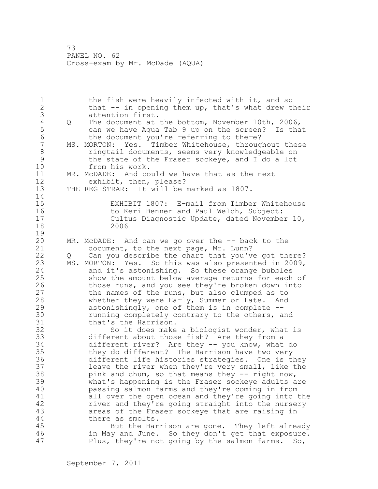1 the fish were heavily infected with it, and so 2 that -- in opening them up, that's what drew their 3 attention first.<br>4 Q The document at 4 Q The document at the bottom, November 10th, 2006,<br>5 can we have Aqua Tab 9 up on the screen? Is tha 5 can we have Aqua Tab 9 up on the screen? Is that<br>6 the document you're referring to there? 6 the document you're referring to there?<br>7 MS. MORTON: Yes. Timber Whitehouse, through MS. MORTON: Yes. Timber Whitehouse, throughout these 8 **8** ringtail documents, seems very knowledgeable on 9 the state of the Fraser sockeye, and I do a lot<br>10 from his work. from his work. 11 MR. McDADE: And could we have that as the next 12 exhibit, then, please? 13 THE REGISTRAR: It will be marked as 1807. 14 15 EXHIBIT 1807: E-mail from Timber Whitehouse 16 to Keri Benner and Paul Welch, Subject: 17 Cultus Diagnostic Update, dated November 10, 18 2006  $\frac{19}{20}$  $MR. MCDADE:$  And can we go over the  $--$  back to the 21 document, to the next page, Mr. Lunn? 22 Q Can you describe the chart that you've got there? 23 MS. MORTON: Yes. So this was also presented in 2009, 24 and it's astonishing. So these orange bubbles 25 show the amount below average returns for each of 26 those runs, and you see they're broken down into<br>27 the names of the runs, but also clumped as to the names of the runs, but also clumped as to 28 whether they were Early, Summer or Late. And 29 astonishingly, one of them is in complete -- 30 running completely contrary to the others, and<br>31 that's the Harrison. 31 that's the Harrison.<br>32 So it does make So it does make a biologist wonder, what is 33 different about those fish? Are they from a 34 different river? Are they -- you know, what do 35 they do different? The Harrison have two very 36 different life histories strategies. One is they 37 leave the river when they're very small, like the 38 pink and chum, so that means they -- right now, 39 what's happening is the Fraser sockeye adults are 40 passing salmon farms and they're coming in from 41 all over the open ocean and they're going into the<br>42 fiver and they're going straight into the nursery river and they're going straight into the nursery 43 areas of the Fraser sockeye that are raising in 44 there as smolts. 45 But the Harrison are gone. They left already 46 in May and June. So they don't get that exposure. 47 Plus, they're not going by the salmon farms. So,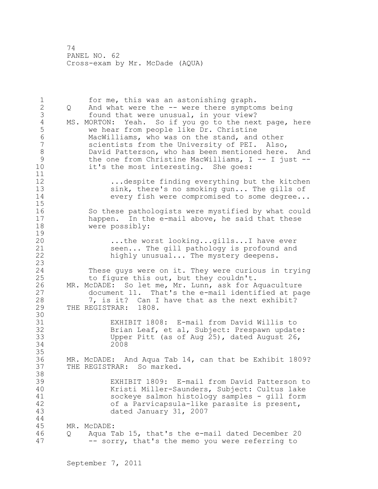1 for me, this was an astonishing graph. 2 Q And what were the -- were there symptoms being 3 found that were unusual, in your view?<br>4 MS. MORTON: Yeah. So if you go to the nex 4 MS. MORTON: Yeah. So if you go to the next page, here<br>5 we hear from people like Dr. Christine 5 we hear from people like Dr. Christine<br>6 MacWilliams, who was on the stand, and 6 MacWilliams, who was on the stand, and other scientists from the University of PEI. Also, 8 David Patterson, who has been mentioned here. And<br>9 the one from Christine MacWilliams, I -- I just --9 the one from Christine MacWilliams, I -- I just --<br>10 it's the most interesting. She goes: it's the most interesting. She goes: 11 12 ...despite finding everything but the kitchen sink, there's no smoking gun... The gills of 14 every fish were compromised to some degree... 15 16 So these pathologists were mystified by what could 17 happen. In the e-mail above, he said that these 18 were possibly:  $\frac{19}{20}$ ...the worst looking...gills...I have ever 21 seen... The gill pathology is profound and 22 highly unusual... The mystery deepens. 23 24 These guys were on it. They were curious in trying 25 to figure this out, but they couldn't. 26 MR. McDADE: So let me, Mr. Lunn, ask for Aquaculture<br>27 document 11. That's the e-mail identified at pac document 11. That's the e-mail identified at page 28 7, is it? Can I have that as the next exhibit? 29 THE REGISTRAR: 1808. 30<br>31 31 EXHIBIT 1808: E-mail from David Willis to Brian Leaf, et al, Subject: Prespawn update: 33 Upper Pitt (as of Aug 25), dated August 26, 34 2008 35 36 MR. McDADE: And Aqua Tab 14, can that be Exhibit 1809? 37 THE REGISTRAR: So marked. 38 39 EXHIBIT 1809: E-mail from David Patterson to 40 Kristi Miller-Saunders, Subject: Cultus lake 41 sockeye salmon histology samples - gill form<br>42 of a Parvicapsula-like parasite is present. of a Parvicapsula-like parasite is present, 43 dated January 31, 2007 44 45 MR. McDADE: 46 Q Aqua Tab 15, that's the e-mail dated December 20 47 -- sorry, that's the memo you were referring to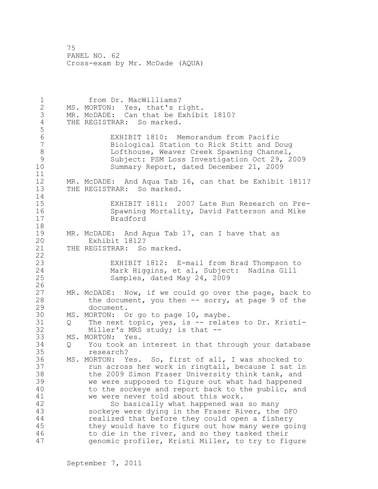1 from Dr. MacWilliams? 2 MS. MORTON: Yes, that's right. 3 MR. McDADE: Can that be Exhibit 1810?<br>4 THE REGISTRAR: So marked. THE REGISTRAR: So marked. 5 6 EXHIBIT 1810: Memorandum from Pacific 7 Biological Station to Rick Stitt and Doug 8 Lofthouse, Weaver Creek Spawning Channel,<br>9 Subject: PSM Loss Investigation Oct 29, 2 9 Subject: PSM Loss Investigation Oct 29, 2009 Summary Report, dated December 21, 2009 11 12 MR. McDADE: And Aqua Tab 16, can that be Exhibit 1811? 13 THE REGISTRAR: So marked. 14 15 EXHIBIT 1811: 2007 Late Run Research on Pre-16 Spawning Mortality, David Patterson and Mike 17 Bradford 18 19 MR. McDADE: And Aqua Tab 17, can I have that as<br>20 Exhibit 1812? Exhibit 1812? 21 THE REGISTRAR: So marked. 22 23 EXHIBIT 1812: E-mail from Brad Thompson to 24 Mark Higgins, et al, Subject: Nadina Gill 25 Samples, dated May 24, 2009  $\frac{26}{27}$ MR. McDADE: Now, if we could go over the page, back to 28 the document, you then -- sorry, at page 9 of the 29 document. 30 MS. MORTON: Or go to page 10, maybe.<br>31 O The next topic, ves, is -- relat Q The next topic, yes, is -- relates to Dr. Kristi-32 Miller's MRS study; is that -- 33 MS. MORTON: Yes. 34 Q You took an interest in that through your database 35 research? 36 MS. MORTON: Yes. So, first of all, I was shocked to 37 run across her work in ringtail, because I sat in 38 the 2009 Simon Fraser University think tank, and 39 we were supposed to figure out what had happened 40 to the sockeye and report back to the public, and 41 we were never told about this work.<br>42 So basically what happened was So basically what happened was so many 43 sockeye were dying in the Fraser River, the DFO 44 realized that before they could open a fishery 45 they would have to figure out how many were going 46 to die in the river, and so they tasked their 47 genomic profiler, Kristi Miller, to try to figure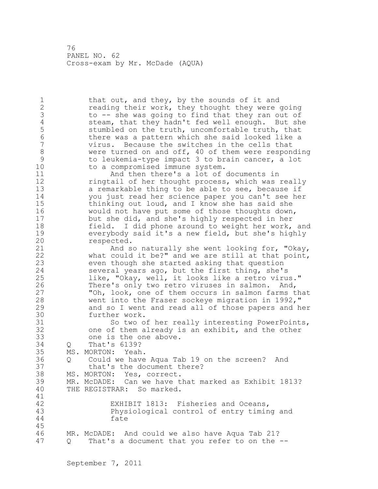1 that out, and they, by the sounds of it and 2 reading their work, they thought they were going 3 to -- she was going to find that they ran out of<br>4 steam, that they hadn't fed well enough. But sh 4 steam, that they hadn't fed well enough. But she<br>5 stumbled on the truth, uncomfortable truth, that 5 stumbled on the truth, uncomfortable truth, that<br>6 there was a pattern which she said looked like a 6 there was a pattern which she said looked like a virus. Because the switches in the cells that 8 were turned on and off, 40 of them were responding<br>9 to leukemia-type impact 3 to brain cancer, a lot 9 to leukemia-type impact 3 to brain cancer, a lot<br>10 to a compromised immune system. to a compromised immune system. 11 And then there's a lot of documents in 12 **ringtail of her thought process, which was really** 13 a remarkable thing to be able to see, because if 14 you just read her science paper you can't see her 15 thinking out loud, and I know she has said she 16 would not have put some of those thoughts down, 17 but she did, and she's highly respected in her 18 field. I did phone around to weight her work, and 19 everybody said it's a new field, but she's highly respected. 21 And so naturally she went looking for, "Okay, 22 what could it be?" and we are still at that point, 23 even though she started asking that question 24 several years ago, but the first thing, she's 25 like, "Okay, well, it looks like a retro virus." 26 There's only two retro viruses in salmon. And,<br>27 The Look, one of them occurs in salmon farms t "Oh, look, one of them occurs in salmon farms that 28 went into the Fraser sockeye migration in 1992," 29 and so I went and read all of those papers and her 30 further work.<br>31 So two o 31 So two of her really interesting PowerPoints,<br>32 one of them already is an exhibit, and the other one of them already is an exhibit, and the other 33 one is the one above. 34 Q That's 6139? 35 MS. MORTON: Yeah. 36 Q Could we have Aqua Tab 19 on the screen? And 37 that's the document there? 38 MS. MORTON: Yes, correct. 39 MR. McDADE: Can we have that marked as Exhibit 1813? 40 THE REGISTRAR: So marked. 41<br>42 EXHIBIT 1813: Fisheries and Oceans, 43 Physiological control of entry timing and 44 fate 45 46 MR. McDADE: And could we also have Aqua Tab 21? 47 Q That's a document that you refer to on the --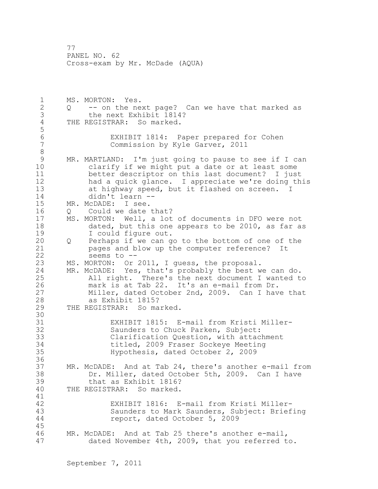1 MS. MORTON: Yes. 2 Q -- on the next page? Can we have that marked as 3 the next Exhibit 1814?<br>4 THE REGISTRAR: So marked. THE REGISTRAR: So marked. 5 6 EXHIBIT 1814: Paper prepared for Cohen Commission by Kyle Garver, 2011 8 9 MR. MARTLAND: I'm just going to pause to see if I can<br>10 clarify if we might put a date or at least some clarify if we might put a date or at least some 11 better descriptor on this last document? I just 12 had a quick glance. I appreciate we're doing this 13 at highway speed, but it flashed on screen. I 14 didn't learn -- 15 MR. McDADE: I see. 16 Q Could we date that? 17 MS. MORTON: Well, a lot of documents in DFO were not 18 dated, but this one appears to be 2010, as far as 19 I could figure out.<br>20 O Perhaps if we can q 20 Q Perhaps if we can go to the bottom of one of the 21 pages and blow up the computer reference? It 22 seems to -- 23 MS. MORTON: Or 2011, I guess, the proposal. 24 MR. McDADE: Yes, that's probably the best we can do. 25 All right. There's the next document I wanted to 26 mark is at Tab 22. It's an e-mail from Dr.<br>27 Miller, dated October 2nd, 2009. Can I hav Miller, dated October 2nd, 2009. Can I have that 28 as Exhibit 1815? 29 THE REGISTRAR: So marked. 30<br>31 31 EXHIBIT 1815: E-mail from Kristi Miller-<br>32 Saunders to Chuck Parken, Subject: Saunders to Chuck Parken, Subject: 33 Clarification Question, with attachment 34 titled, 2009 Fraser Sockeye Meeting 35 Hypothesis, dated October 2, 2009 36 37 MR. McDADE: And at Tab 24, there's another e-mail from 38 Dr. Miller, dated October 5th, 2009. Can I have 39 that as Exhibit 1816? 40 THE REGISTRAR: So marked. 41<br>42 EXHIBIT 1816: E-mail from Kristi Miller-43 Saunders to Mark Saunders, Subject: Briefing 44 report, dated October 5, 2009 45 46 MR. McDADE: And at Tab 25 there's another e-mail, 47 dated November 4th, 2009, that you referred to.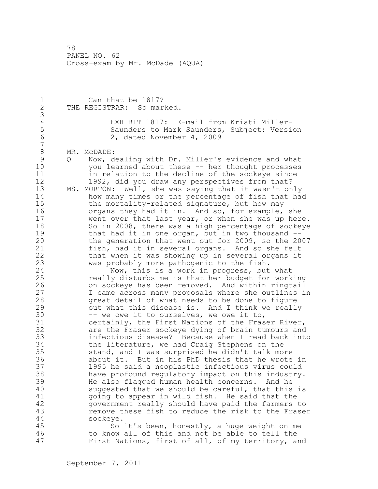1 Can that be 1817? 2 THE REGISTRAR: So marked. 3 4 EXHIBIT 1817: E-mail from Kristi Miller-<br>5 Saunders to Mark Saunders, Subject: Versi 5 5 Saunders to Mark Saunders, Subject: Version<br>6 2. dated November 4, 2009 2, dated November 4, 2009 7 8 MR. McDADE:<br>9 0 Now, d 9 Q Now, dealing with Dr. Miller's evidence and what<br>10 vou learned about these -- her thought processes you learned about these -- her thought processes 11 in relation to the decline of the sockeye since 12 1992, did you draw any perspectives from that? 13 MS. MORTON: Well, she was saying that it wasn't only 14 how many times or the percentage of fish that had 15 the mortality-related signature, but how may 16 organs they had it in. And so, for example, she 17 went over that last year, or when she was up here. 18 So in 2008, there was a high percentage of sockeye 19 that had it in one organ, but in two thousand --<br>20 the generation that went out for 2009, so the 20 the generation that went out for 2009, so the 2007 21 fish, had it in several organs. And so she felt 22 that when it was showing up in several organs it 23 was probably more pathogenic to the fish. 24 Now, this is a work in progress, but what 25 really disturbs me is that her budget for working 26 on sockeye has been removed. And within ringtail<br>27 1 Came across many proposals where she outlines is I came across many proposals where she outlines in 28 great detail of what needs to be done to figure 29 out what this disease is. And I think we really 30 -- we owe it to ourselves, we owe it to,<br>31 certainly, the First Nations of the Fras certainly, the First Nations of the Fraser River, 32 are the Fraser sockeye dying of brain tumours and 33 infectious disease? Because when I read back into 34 the literature, we had Craig Stephens on the 35 stand, and I was surprised he didn't talk more 36 about it. But in his PhD thesis that he wrote in 37 1995 he said a neoplastic infectious virus could 38 have profound regulatory impact on this industry. 39 He also flagged human health concerns. And he 40 suggested that we should be careful, that this is 41 going to appear in wild fish. He said that the<br>42 government really should have paid the farmers government really should have paid the farmers to 43 remove these fish to reduce the risk to the Fraser 44 sockeye. 45 So it's been, honestly, a huge weight on me 46 to know all of this and not be able to tell the 47 First Nations, first of all, of my territory, and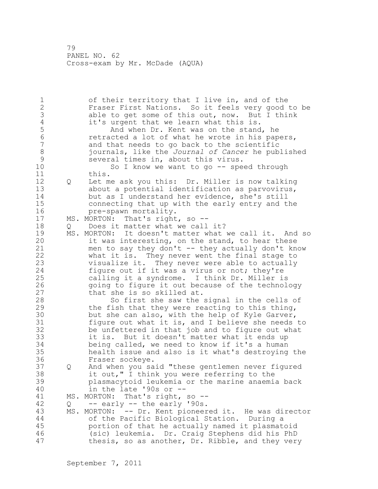1 of their territory that I live in, and of the 2 Fraser First Nations. So it feels very good to be 3 able to get some of this out, now. But I think<br>4 it's urgent that we learn what this is. 4 it's urgent that we learn what this is.<br>5 And when Dr. Kent was on the stand 5 6 And when Dr. Kent was on the stand, he<br>6 6 Tetracted a lot of what he wrote in his pap 6 6 retracted a lot of what he wrote in his papers,<br>7 and that needs to go back to the scientific and that needs to go back to the scientific 8 journals, like the *Journal of Cancer* he published 9 several times in, about this virus.<br>10 So I know we want to go -- spe So I know we want to go  $-$ - speed through 11 this. 12 Q Let me ask you this: Dr. Miller is now talking 13 about a potential identification as parvovirus, 14 but as I understand her evidence, she's still 15 connecting that up with the early entry and the 16 pre-spawn mortality. 17 MS. MORTON: That's right, so -- 18 Q Does it matter what we call it? 19 MS. MORTON: It doesn't matter what we call it. And so<br>20 it was interesting, on the stand, to hear these it was interesting, on the stand, to hear these 21 men to say they don't -- they actually don't know 22 what it is. They never went the final stage to 23 visualize it. They never were able to actually 24 figure out if it was a virus or not; they're 25 calling it a syndrome. I think Dr. Miller is 26 going to figure it out because of the technology<br>27 that she is so skilled at. that she is so skilled at. 28 So first she saw the signal in the cells of 29 the fish that they were reacting to this thing, 30 but she can also, with the help of Kyle Garver, 31 figure out what it is, and I believe she needs to 32 be unfettered in that job and to figure out what 33 it is. But it doesn't matter what it ends up 34 being called, we need to know if it's a human 35 health issue and also is it what's destroying the 36 Fraser sockeye. 37 Q And when you said "these gentlemen never figured 38 it out," I think you were referring to the 39 plasmacytoid leukemia or the marine anaemia back 40 in the late '90s or -- 41 MS. MORTON: That's right, so --<br>42 0 -- early -- the early '90s.  $Q$  -- early -- the early '90s. 43 MS. MORTON: -- Dr. Kent pioneered it. He was director 44 of the Pacific Biological Station. During a 45 portion of that he actually named it plasmatoid 46 (sic) leukemia. Dr. Craig Stephens did his PhD 47 thesis, so as another, Dr. Ribble, and they very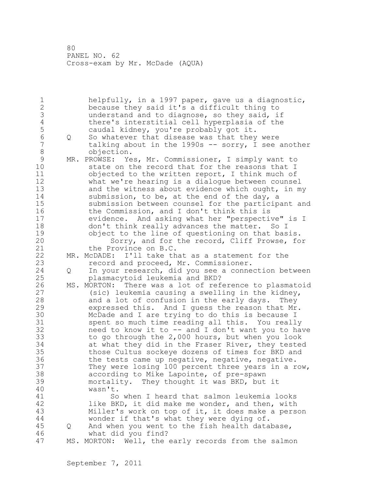1 helpfully, in a 1997 paper, gave us a diagnostic, 2 because they said it's a difficult thing to 3 understand and to diagnose, so they said, if<br>4 there's interstitial cell hyperplasia of the 4 there's interstitial cell hyperplasia of the<br>5 caudal kidney, you're probably got it. 5 caudal kidney, you're probably got it. 6 Q So whatever that disease was that they were<br>7 talking about in the 1990s -- sorry, I see talking about in the 1990s  $-$ - sorry, I see another 8 objection. 9 MR. PROWSE: Yes, Mr. Commissioner, I simply want to<br>10 State on the record that for the reasons that I state on the record that for the reasons that I 11 objected to the written report, I think much of 12 what we're hearing is a dialogue between counsel 13 and the witness about evidence which ought, in my 14 submission, to be, at the end of the day, a 15 submission between counsel for the participant and 16 the Commission, and I don't think this is 17 evidence. And asking what her "perspective" is I 18 don't think really advances the matter. So I 19 object to the line of questioning on that basis.<br>20 Sorry, and for the record, Cliff Prowse, fo Sorry, and for the record, Cliff Prowse, for 21 the Province on B.C. 22 MR. McDADE: I'll take that as a statement for the 23 record and proceed, Mr. Commissioner. 24 Q In your research, did you see a connection between 25 plasmacytoid leukemia and BKD? 26 MS. MORTON: There was a lot of reference to plasmatoid<br>27 (sic) leukemia causing a swelling in the kidney,  $(sic)$  leukemia causing a swelling in the kidney, 28 and a lot of confusion in the early days. They 29 expressed this. And I guess the reason that Mr. 30 McDade and I are trying to do this is because I<br>31 Spent so much time reading all this. You really 31 spent so much time reading all this. You really<br>32 heed to know it to -- and I don't want you to ha need to know it to  $--$  and I don't want you to have 33 to go through the 2,000 hours, but when you look 34 at what they did in the Fraser River, they tested 35 those Cultus sockeye dozens of times for BKD and 36 the tests came up negative, negative, negative. 37 They were losing 100 percent three years in a row, 38 according to Mike Lapointe, of pre-spawn 39 mortality. They thought it was BKD, but it 40 wasn't. 41 So when I heard that salmon leukemia looks<br>42 like BKD, it did make me wonder, and then, with like BKD, it did make me wonder, and then, with 43 Miller's work on top of it, it does make a person 44 wonder if that's what they were dying of. 45 Q And when you went to the fish health database, 46 what did you find? 47 MS. MORTON: Well, the early records from the salmon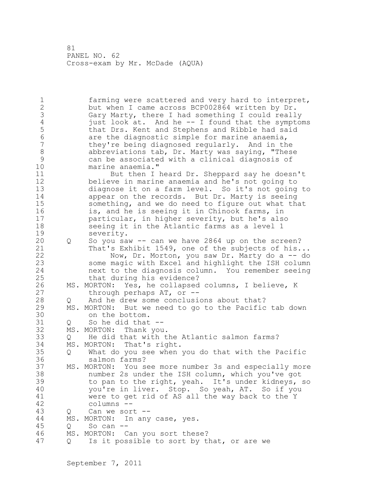1 farming were scattered and very hard to interpret, 2 but when I came across BCP002864 written by Dr. 3 Gary Marty, there I had something I could really<br>4 iust look at. And he -- I found that the symptor 4 just look at. And he -- I found that the symptoms<br>5 that Drs. Kent and Stephens and Ribble had said 5 that Drs. Kent and Stephens and Ribble had said 6 are the diagnostic simple for marine anaemia, they're being diagnosed regularly. And in the 8 abbreviations tab, Dr. Marty was saying, "These<br>9 can be associated with a clinical diagnosis of 9 can be associated with a clinical diagnosis of marine anaemia." 11 But then I heard Dr. Sheppard say he doesn't 12 believe in marine anaemia and he's not going to 13 diagnose it on a farm level. So it's not going to 14 appear on the records. But Dr. Marty is seeing 15 something, and we do need to figure out what that 16 is, and he is seeing it in Chinook farms, in 17 particular, in higher severity, but he's also 18 seeing it in the Atlantic farms as a level 1 19 severity.<br>20 O So you sa 20 Q So you saw -- can we have 2864 up on the screen? 21 That's Exhibit 1549, one of the subjects of his... 22 Now, Dr. Morton, you saw Dr. Marty do a -- do 23 some magic with Excel and highlight the ISH column 24 next to the diagnosis column. You remember seeing 25 that during his evidence? 26 MS. MORTON: Yes, he collapsed columns, I believe, K<br>27 through perhaps AT, or -through perhaps  $AT$ , or  $-$ -28 Q And he drew some conclusions about that? 29 MS. MORTON: But we need to go to the Pacific tab down 30 on the bottom.<br>31 0 So he did that  $Q$  So he did that  $-$ 32 MS. MORTON: Thank you. 33 Q He did that with the Atlantic salmon farms? 34 MS. MORTON: That's right. 35 Q What do you see when you do that with the Pacific 36 salmon farms? 37 MS. MORTON: You see more number 3s and especially more 38 number 2s under the ISH column, which you've got 39 to pan to the right, yeah. It's under kidneys, so 40 you're in liver. Stop. So yeah, AT. So if you 41 were to get rid of AS all the way back to the Y columns --43 Q Can we sort -- 44 MS. MORTON: In any case, yes. 45 Q So can -- 46 MS. MORTON: Can you sort these? 47 Q Is it possible to sort by that, or are we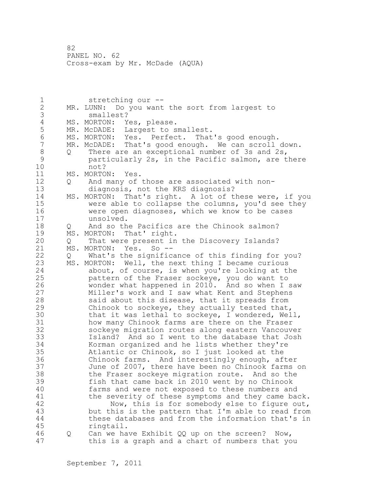1 stretching our -- 2 MR. LUNN: Do you want the sort from largest to 3 smallest? 4 MS. MORTON: Yes, please.<br>5 MR. McDADE: Largest to s 5 MR. McDADE: Largest to smallest.<br>6 MS. MORTON: Yes. Perfect. That 6 MS. MORTON: Yes. Perfect. That's good enough. MR. McDADE: That's good enough. We can scroll down. 8 Q There are an exceptional number of 3s and 2s,<br>9 anticularly 2s, in the Pacific salmon, are t 9 particularly 2s, in the Pacific salmon, are there<br>10 mot? not? 11 MS. MORTON: Yes. 12 Q And many of those are associated with non-13 diagnosis, not the KRS diagnosis? 14 MS. MORTON: That's right. A lot of these were, if you 15 were able to collapse the columns, you'd see they 16 were open diagnoses, which we know to be cases 17 unsolved. 18 O And so the Pacifics are the Chinook salmon? 19 MS. MORTON: That' right.<br>20 0 That were present in 20 Q That were present in the Discovery Islands? 21 MS. MORTON: Yes. So -- 22 Q What's the significance of this finding for you? 23 MS. MORTON: Well, the next thing I became curious 24 about, of course, is when you're looking at the 25 pattern of the Fraser sockeye, you do want to 26 wonder what happened in 2010. And so when I saw<br>27 Miller's work and I saw what Kent and Stephens Miller's work and I saw what Kent and Stephens 28 said about this disease, that it spreads from 29 Chinook to sockeye, they actually tested that, 30 that it was lethal to sockeye, I wondered, Well,<br>31 how many Chinook farms are there on the Fraser how many Chinook farms are there on the Fraser 32 sockeye migration routes along eastern Vancouver 33 Island? And so I went to the database that Josh 34 Korman organized and he lists whether they're 35 Atlantic or Chinook, so I just looked at the 36 Chinook farms. And interestingly enough, after 37 June of 2007, there have been no Chinook farms on 38 the Fraser sockeye migration route. And so the 39 fish that came back in 2010 went by no Chinook 40 farms and were not exposed to these numbers and 41 the severity of these symptoms and they came back.<br>42 Now, this is for somebody else to figure out, Now, this is for somebody else to figure out, 43 but this is the pattern that I'm able to read from 44 these databases and from the information that's in 45 ringtail. 46 Q Can we have Exhibit QQ up on the screen? Now, 47 this is a graph and a chart of numbers that you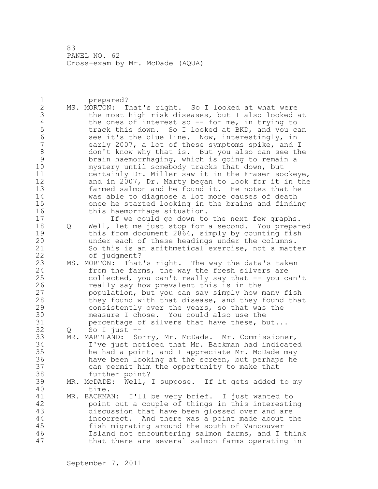1 prepared? 2 MS. MORTON: That's right. So I looked at what were 3 the most high risk diseases, but I also looked at<br>4 the ones of interest so -- for me, in trying to 4 the ones of interest so -- for me, in trying to<br>5 track this down. So I looked at BKD, and you co 5 track this down. So I looked at BKD, and you can<br>6 see it's the blue line. Now, interestingly, in 6 see it's the blue line. Now, interestingly, in<br>7 and 19007, a lot of these symptoms spike, and early 2007, a lot of these symptoms spike, and I 8 don't know why that is. But you also can see the 9 brain haemorrhaging, which is going to remain a mystery until somebody tracks that down, but 11 certainly Dr. Miller saw it in the Fraser sockeye, 12 and in 2007, Dr. Marty began to look for it in the 13 farmed salmon and he found it. He notes that he 14 was able to diagnose a lot more causes of death 15 once he started looking in the brains and finding 16 this haemorrhage situation. 17 If we could go down to the next few graphs. 18 Q Well, let me just stop for a second. You prepared 19 this from document 2864, simply by counting fish<br>20 mder each of these headings under the columns. under each of these headings under the columns. 21 So this is an arithmetical exercise, not a matter 22 of judgment? 23 MS. MORTON: That's right. The way the data's taken 24 from the farms, the way the fresh silvers are 25 collected, you can't really say that -- you can't 26 really say how prevalent this is in the<br>27 population, but you can say simply how n population, but you can say simply how many fish 28 they found with that disease, and they found that 29 consistently over the years, so that was the 30 measure I chose. You could also use the<br>31 bercentage of silvers that have these, b  $31$  percentage of silvers that have these, but...<br> $32$  0 So I just  $Q$  So I just  $-$ 33 MR. MARTLAND: Sorry, Mr. McDade. Mr. Commissioner, 34 I've just noticed that Mr. Backman had indicated 35 he had a point, and I appreciate Mr. McDade may 36 have been looking at the screen, but perhaps he 37 can permit him the opportunity to make that 38 further point? 39 MR. McDADE: Well, I suppose. If it gets added to my 40 time. 41 MR. BACKMAN: I'll be very brief. I just wanted to point out a couple of things in this interesting 43 discussion that have been glossed over and are 44 incorrect. And there was a point made about the 45 fish migrating around the south of Vancouver 46 Island not encountering salmon farms, and I think 47 that there are several salmon farms operating in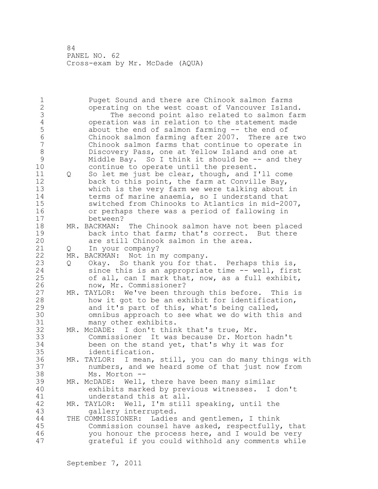1 Puget Sound and there are Chinook salmon farms 2 operating on the west coast of Vancouver Island. 3 The second point also related to salmon farm<br>4 operation was in relation to the statement made 4 operation was in relation to the statement made<br>5 about the end of salmon farming -- the end of 5 about the end of salmon farming -- the end of<br>6 Chinook salmon farming after 2007. There are 6 Chinook salmon farming after  $2007$ . There are two<br>7 Chinook salmon farms that continue to operate in Chinook salmon farms that continue to operate in 8 Discovery Pass, one at Yellow Island and one at 9 Middle Bay. So I think it should be  $-$  and they<br>10 continue to operate until the present. continue to operate until the present. 11 Q So let me just be clear, though, and I'll come 12 back to this point, the farm at Conville Bay, 13 which is the very farm we were talking about in 14 terms of marine anaemia, so I understand that 15 switched from Chinooks to Atlantics in mid-2007, 16 or perhaps there was a period of fallowing in 17 between? 18 MR. BACKMAN: The Chinook salmon have not been placed 19 back into that farm; that's correct. But there<br>20 are still Chinook salmon in the area. are still Chinook salmon in the area. 21 Q In your company? 22 MR. BACKMAN: Not in my company. 23 Q Okay. So thank you for that. Perhaps this is, 24 since this is an appropriate time -- well, first 25 of all, can I mark that, now, as a full exhibit, 26 now, Mr. Commissioner?<br>27 MR. TAYLOR: We've been thr MR. TAYLOR: We've been through this before. This is 28 how it got to be an exhibit for identification, 29 and it's part of this, what's being called, 30 omnibus approach to see what we do with this and many other exhibits. 32 MR. McDADE: I don't think that's true, Mr. 33 Commissioner It was because Dr. Morton hadn't 34 been on the stand yet, that's why it was for 35 identification. 36 MR. TAYLOR: I mean, still, you can do many things with 37 numbers, and we heard some of that just now from 38 Ms. Morton -- 39 MR. McDADE: Well, there have been many similar 40 exhibits marked by previous witnesses. I don't 41 understand this at all.<br>42 MR. TAYLOR: Well, I'm still MR. TAYLOR: Well, I'm still speaking, until the 43 gallery interrupted. 44 THE COMMISSIONER: Ladies and gentlemen, I think 45 Commission counsel have asked, respectfully, that 46 you honour the process here, and I would be very 47 grateful if you could withhold any comments while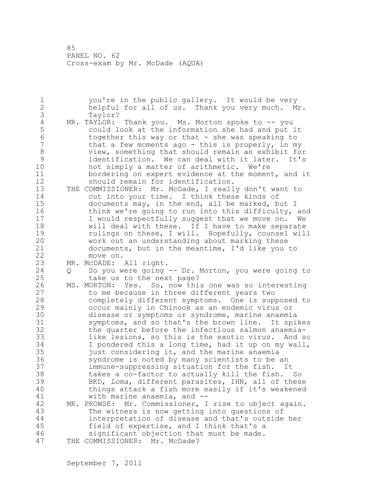1 you're in the public gallery. It would be very 2 helpful for all of us. Thank you very much. Mr. 3 Taylor?<br>4 MR. TAYLOR: 4 MR. TAYLOR: Thank you. Ms. Morton spoke to -- you<br>5 could look at the information she had and put : 5 could look at the information she had and put it 6 together this way or that - she was speaking to<br>7 that a few moments ago - this is properly, in my that a few moments ago - this is properly, in my 8 view, something that should remain an exhibit for 9 identification. We can deal with it later. It's not simply a matter of arithmetic. We're 11 bordering on expert evidence at the moment, and it 12 should remain for identification. 13 THE COMMISSIONER: Mr. McDade, I really don't want to 14 cut into your time. I think these kinds of 15 documents may, in the end, all be marked, but I 16 think we're going to run into this difficulty, and 17 I would respectfully suggest that we move on. We 18 will deal with these. If I have to make separate 19 19 rulings on these, I will. Hopefully, counsel will<br>20 work out an understanding about marking these work out an understanding about marking these 21 documents, but in the meantime, I'd like you to 22 move on. 23 MR. McDADE: All right. 24 Q So you were going -- Dr. Morton, you were going to 25 take us to the next page? 26 MS. MORTON: Yes. So, now this one was so interesting<br>27 to me because in three different years two to me because in three different years two 28 completely different symptoms. One is supposed to 29 occur mainly in Chinook as an endemic virus or 30 disease or symptoms or syndrome, marine anaemia<br>31 symptoms, and so that's the brown line. It spi symptoms, and so that's the brown line. It spikes 32 the quarter before the infectious salmon anaemia-33 like lesions, so this is the exotic virus. And so 34 I pondered this a long time, had it up on my wall, 35 just considering it, and the marine anaemia 36 syndrome is noted by many scientists to be an 37 immune-suppressing situation for the fish. It 38 takes a co-factor to actually kill the fish. So 39 BKD, *Loma*, different parasites, IHN, all of these 40 things attack a fish more easily if it's weakened 41 with marine anaemia, and --<br>42 MR. PROWSE: Mr. Commissioner, I MR. PROWSE: Mr. Commissioner, I rise to object again. 43 The witness is now getting into questions of 44 interpretation of disease and that's outside her 45 field of expertise, and I think that's a 46 significant objection that must be made. 47 THE COMMISSIONER: Mr. McDade?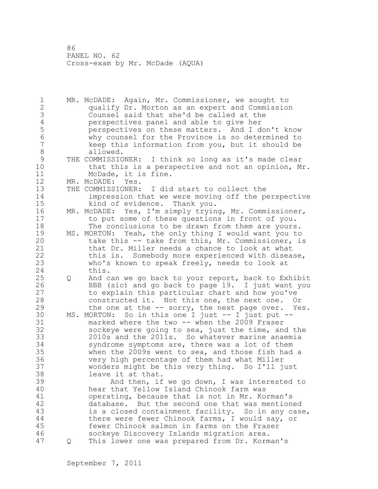1 MR. McDADE: Again, Mr. Commissioner, we sought to 2 qualify Dr. Morton as an expert and Commission 3 Counsel said that she'd be called at the 4 perspectives panel and able to give her<br>5 perspectives on these matters. And I den 5 perspectives on these matters. And I don't know 6 why counsel for the Province is so determined to keep this information from you, but it should be 8 allowed. 9 THE COMMISSIONER: I think so long as it's made clear<br>10 that this is a perspective and not an opinion, M that this is a perspective and not an opinion, Mr. 11 McDade, it is fine. 12 MR. McDADE: Yes. 13 THE COMMISSIONER: I did start to collect the 14 impression that we were moving off the perspective 15 kind of evidence. Thank you. 16 MR. McDADE: Yes, I'm simply trying, Mr. Commissioner, 17 to put some of these questions in front of you. 18 The conclusions to be drawn from them are yours. 19 MS. MORTON: Yeah, the only thing I would want you to<br>20 take this -- take from this, Mr. Commissioner, im take this -- take from this, Mr. Commissioner, is 21 that Dr. Miller needs a chance to look at what 22 this is. Somebody more experienced with disease, 23 who's known to speak freely, needs to look at 24 this. 25 Q And can we go back to your report, back to Exhibit 26 BBB (sic) and go back to page 19. I just want you<br>27 to explain this particular chart and how you've to explain this particular chart and how you've 28 constructed it. Not this one, the next one. Or 29 the one at the -- sorry, the next page over. Yes. 30 MS. MORTON: So in this one I just -- I just put --<br>31 marked where the two -- when the 2009 Fraser 31 marked where the two -- when the 2009 Fraser<br>32 sockeve were going to sea, just the time, and sockeye were going to sea, just the time, and the 33 2010s and the 2011s. So whatever marine anaemia 34 syndrome symptoms are, there was a lot of them 35 when the 2009s went to sea, and those fish had a 36 very high percentage of them had what Miller 37 wonders might be this very thing. So I'll just 38 leave it at that. 39 And then, if we go down, I was interested to 40 hear that Yellow Island Chinook farm was 41 operating, because that is not in Mr. Korman's<br>42 database. But the second one that was mention database. But the second one that was mentioned 43 is a closed containment facility. So in any case, 44 there were fewer Chinook farms, I would say, or 45 fewer Chinook salmon in farms on the Fraser 46 sockeye Discovery Islands migration area. 47 Q This lower one was prepared from Dr. Korman's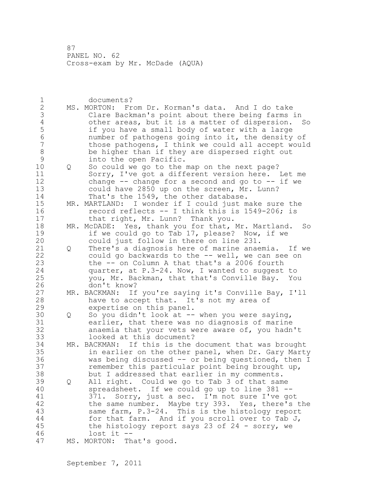1 documents? 2 MS. MORTON: From Dr. Korman's data. And I do take 3 Clare Backman's point about there being farms in<br>4 other areas, but it is a matter of dispersion. 4 other areas, but it is a matter of dispersion. So<br>5 if you have a small body of water with a large 5 if you have a small body of water with a large<br>6 mumber of pathogens going into it, the density 6 number of pathogens going into it, the density of those pathogens, I think we could all accept would 8 be higher than if they are dispersed right out 9 into the open Pacific.<br>10 0 So could we go to the 10 Q So could we go to the map on the next page? 11 Sorry, I've got a different version here. Let me 12 change -- change for a second and go to -- if we 13 could have 2850 up on the screen, Mr. Lunn? 14 That's the 1549, the other database. 15 MR. MARTLAND: I wonder if I could just make sure the 16 record reflects -- I think this is 1549-206; is 17 that right, Mr. Lunn? Thank you. 18 MR. McDADE: Yes, thank you for that, Mr. Martland. So 19 if we could go to Tab 17, please? Now, if we<br>20 could just follow in there on line 231. could just follow in there on line 231. 21 Q There's a diagnosis here of marine anaemia. If we 22 could go backwards to the -- well, we can see on 23 the -- on Column A that that's a 2006 fourth 24 quarter, at P.3-24. Now, I wanted to suggest to 25 you, Mr. Backman, that that's Conville Bay. You 26 don't know?<br>27 MR. BACKMAN: If MR. BACKMAN: If you're saying it's Conville Bay, I'll 28 have to accept that. It's not my area of 29 expertise on this panel. 30 Q So you didn't look at -- when you were saying,<br>31 earlier, that there was no diagnosis of marine earlier, that there was no diagnosis of marine 32 anaemia that your vets were aware of, you hadn't 33 looked at this document? 34 MR. BACKMAN: If this is the document that was brought 35 in earlier on the other panel, when Dr. Gary Marty 36 was being discussed -- or being questioned, then I 37 remember this particular point being brought up, 38 but I addressed that earlier in my comments. 39 Q All right. Could we go to Tab 3 of that same 40 spreadsheet. If we could go up to line 381 -- 41 371. Sorry, just a sec. I'm not sure I've got 42 the same number. Maybe try 393. Yes, there's the 43 same farm, P.3-24. This is the histology report 44 for that farm. And if you scroll over to Tab J, 45 the histology report says 23 of 24 - sorry, we 46 lost it -- 47 MS. MORTON: That's good.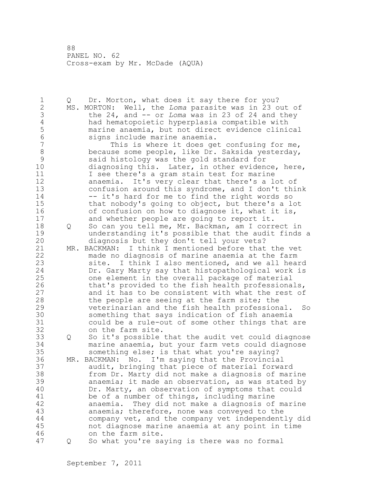1 Q Dr. Morton, what does it say there for you? 2 MS. MORTON: Well, the *Loma* parasite was in 23 out of 3 the 24, and -- or *Loma* was in 23 of 24 and they 4 had hematopoietic hyperplasia compatible with 5 marine anaemia, but not direct evidence clinical 6 signs include marine anaemia. This is where it does get confusing for me, 8 because some people, like Dr. Saksida yesterday,<br>9 said histology was the gold standard for 9 said histology was the gold standard for diagnosing this. Later, in other evidence, here, 11 I see there's a gram stain test for marine 12 anaemia. It's very clear that there's a lot of 13 confusion around this syndrome, and I don't think 14 -- it's hard for me to find the right words so 15 that nobody's going to object, but there's a lot 16 of confusion on how to diagnose it, what it is, 17 and whether people are going to report it. 18 Q So can you tell me, Mr. Backman, am I correct in 19 19 understanding it's possible that the audit finds a<br>20 diagnosis but they don't tell your yets? diagnosis but they don't tell your vets? 21 MR. BACKMAN: I think I mentioned before that the vet 22 made no diagnosis of marine anaemia at the farm 23 site. I think I also mentioned, and we all heard 24 Dr. Gary Marty say that histopathological work is 25 one element in the overall package of material 26 that's provided to the fish health professionals,<br>27 and it has to be consistent with what the rest of and it has to be consistent with what the rest of 28 the people are seeing at the farm site; the 29 veterinarian and the fish health professional. So 30 something that says indication of fish anaemia<br>31 could be a rule-out of some other things that could be a rule-out of some other things that are 32 on the farm site. 33 Q So it's possible that the audit vet could diagnose 34 marine anaemia, but your farm vets could diagnose 35 something else; is that what you're saying? 36 MR. BACKMAN: No. I'm saying that the Provincial 37 audit, bringing that piece of material forward 38 from Dr. Marty did not make a diagnosis of marine 39 anaemia; it made an observation, as was stated by 40 Dr. Marty, an observation of symptoms that could 41 be of a number of things, including marine<br>42 anaemia. They did not make a diagnosis of anaemia. They did not make a diagnosis of marine 43 anaemia; therefore, none was conveyed to the 44 company vet, and the company vet independently did 45 not diagnose marine anaemia at any point in time 46 on the farm site. 47 Q So what you're saying is there was no formal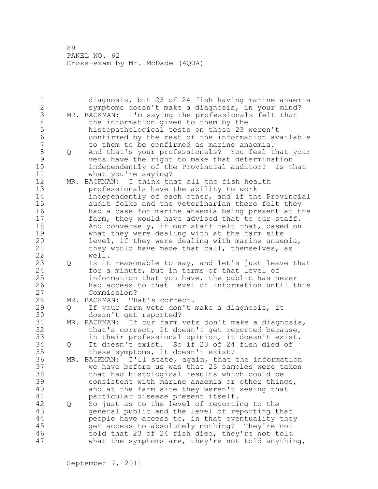1 diagnosis, but 23 of 24 fish having marine anaemia 2 symptoms doesn't make a diagnosis, in your mind? 3 MR. BACKMAN: I'm saying the professionals felt that<br>4 the information given to them by the 4 the information given to them by the<br>5 histopathological tests on those 23 5 histopathological tests on those 23 weren't 6 confirmed by the rest of the information available to them to be confirmed as marine anaemia. 8 Q And that's your professionals? You feel that your 9 vets have the right to make that determination independently of the Provincial auditor? Is that 11 what you're saying? 12 MR. BACKMAN: I think that all the fish health 13 professionals have the ability to work 14 independently of each other, and if the Provincial 15 audit folks and the veterinarian there felt they 16 had a case for marine anaemia being present at the 17 farm, they would have advised that to our staff. 18 And conversely, if our staff felt that, based on 19 what they were dealing with at the farm site<br>20 level, if they were dealing with marine anae level, if they were dealing with marine anaemia, 21 they would have made that call, themselves, as 22 well. 23 Q Is it reasonable to say, and let's just leave that 24 for a minute, but in terms of that level of 25 information that you have, the public has never 26 had access to that level of information until this Commission? 28 MR. BACKMAN: That's correct. 29 Q If your farm vets don't make a diagnosis, it 30 doesn't get reported?<br>31 MR. BACKMAN: If our farm 31 MR. BACKMAN: If our farm vets don't make a diagnosis,<br>32 that's correct, it doesn't get reported because, that's correct, it doesn't get reported because, 33 in their professional opinion, it doesn't exist. 34 Q It doesn't exist. So if 23 of 24 fish died of 35 these symptoms, it doesn't exist? 36 MR. BACKMAN: I'll state, again, that the information 37 we have before us was that 23 samples were taken 38 that had histological results which could be 39 consistent with marine anaemia or other things, 40 and at the farm site they weren't seeing that 41 particular disease present itself.<br>42 0 So just as to the level of reporti 42 Q So just as to the level of reporting to the 43 general public and the level of reporting that 44 people have access to, in that eventuality they 45 get access to absolutely nothing? They're not 46 told that 23 of 24 fish died, they're not told 47 what the symptoms are, they're not told anything,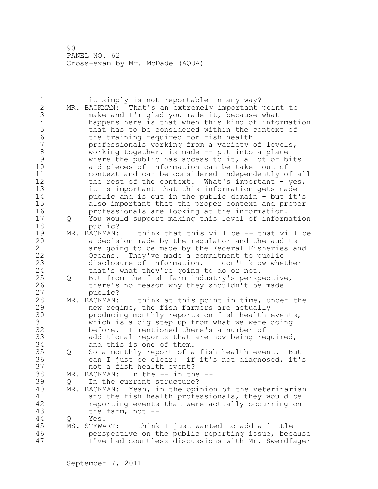| $\mathbf 1$<br>$\overline{2}$<br>3<br>$\sqrt{4}$<br>5<br>6<br>$\overline{7}$<br>8<br>9<br>10<br>11<br>12<br>13<br>14<br>15 |          | it simply is not reportable in any way?<br>MR. BACKMAN: That's an extremely important point to<br>make and I'm glad you made it, because what<br>happens here is that when this kind of information<br>that has to be considered within the context of<br>the training required for fish health<br>professionals working from a variety of levels,<br>working together, is made -- put into a place<br>where the public has access to it, a lot of bits<br>and pieces of information can be taken out of<br>context and can be considered independently of all<br>the rest of the context. What's important - yes,<br>it is important that this information gets made<br>public and is out in the public domain - but it's<br>also important that the proper context and proper |
|----------------------------------------------------------------------------------------------------------------------------|----------|---------------------------------------------------------------------------------------------------------------------------------------------------------------------------------------------------------------------------------------------------------------------------------------------------------------------------------------------------------------------------------------------------------------------------------------------------------------------------------------------------------------------------------------------------------------------------------------------------------------------------------------------------------------------------------------------------------------------------------------------------------------------------------|
| 16<br>17                                                                                                                   | Q        | professionals are looking at the information.<br>You would support making this level of information                                                                                                                                                                                                                                                                                                                                                                                                                                                                                                                                                                                                                                                                             |
| 18<br>19<br>20<br>21<br>22<br>23<br>24                                                                                     |          | public?<br>MR. BACKMAN: I think that this will be -- that will be<br>a decision made by the regulator and the audits<br>are going to be made by the Federal Fisheries and<br>Oceans. They've made a commitment to public<br>disclosure of information. I don't know whether<br>that's what they're going to do or not.                                                                                                                                                                                                                                                                                                                                                                                                                                                          |
| 25<br>26<br>27                                                                                                             | Q        | But from the fish farm industry's perspective,<br>there's no reason why they shouldn't be made<br>public?                                                                                                                                                                                                                                                                                                                                                                                                                                                                                                                                                                                                                                                                       |
| 28<br>29<br>30<br>31<br>32<br>33<br>34                                                                                     |          | MR. BACKMAN: I think at this point in time, under the<br>new regime, the fish farmers are actually<br>producing monthly reports on fish health events,<br>which is a big step up from what we were doing<br>before. I mentioned there's a number of<br>additional reports that are now being required,<br>and this is one of them.                                                                                                                                                                                                                                                                                                                                                                                                                                              |
| 35<br>36<br>37                                                                                                             | Q        | So a monthly report of a fish health event.<br>But<br>can I just be clear: if it's not diagnosed,<br>it's<br>not a fish health event?                                                                                                                                                                                                                                                                                                                                                                                                                                                                                                                                                                                                                                           |
| 38<br>39<br>40<br>41<br>42<br>43                                                                                           | Q<br>MR. | In the $--$ in the $--$<br>MR. BACKMAN:<br>In the current structure?<br>Yeah, in the opinion of the veterinarian<br>BACKMAN:<br>and the fish health professionals, they would be<br>reporting events that were actually occurring on<br>the farm, not $--$                                                                                                                                                                                                                                                                                                                                                                                                                                                                                                                      |
| 44<br>45<br>46<br>47                                                                                                       | Q<br>MS. | Yes.<br>STEWART:<br>I think I just wanted to add a little<br>perspective on the public reporting issue, because<br>I've had countless discussions with Mr. Swerdfager                                                                                                                                                                                                                                                                                                                                                                                                                                                                                                                                                                                                           |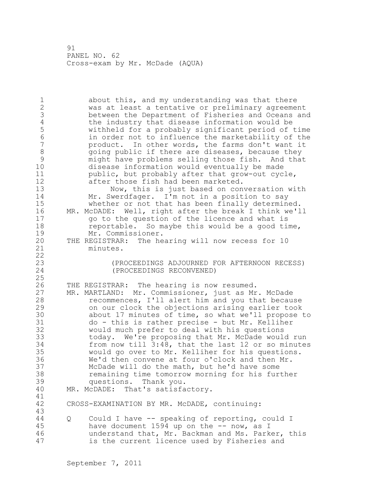1 about this, and my understanding was that there 2 was at least a tentative or preliminary agreement 3 between the Department of Fisheries and Oceans and 4 the industry that disease information would be<br>5 withheld for a probably significant period of 5 withheld for a probably significant period of time 6 in order not to influence the marketability of the product. In other words, the farms don't want it 8 8 going public if there are diseases, because they<br>9 might have problems selling those fish. And tha 9 might have problems selling those fish. And that disease information would eventually be made 11 public, but probably after that grow-out cycle, 12 after those fish had been marketed. 13 Now, this is just based on conversation with 14 Mr. Swerdfager. I'm not in a position to say 15 whether or not that has been finally determined. 16 MR. McDADE: Well, right after the break I think we'll 17 go to the question of the licence and what is 18 **reportable.** So maybe this would be a good time, 19 Mr. Commissioner.<br>20 THE REGISTRAR: The he THE REGISTRAR: The hearing will now recess for 10 21 minutes. 22 23 (PROCEEDINGS ADJOURNED FOR AFTERNOON RECESS) (PROCEEDINGS RECONVENED) 25 26 THE REGISTRAR: The hearing is now resumed.<br>27 MR. MARTLAND: Mr. Commissioner, just as Mr 27 MR. MARTLAND: Mr. Commissioner, just as Mr. McDade<br>28 Tecommences, I'll alert him and you that becau recommences, I'll alert him and you that because 29 on our clock the objections arising earlier took 30 about 17 minutes of time, so what we'll propose to<br>31 do - this is rather precise - but Mr. Kelliher 31 do - this is rather precise - but Mr. Kelliher would much prefer to deal with his questions 33 today. We're proposing that Mr. McDade would run 34 from now till 3:48, that the last 12 or so minutes 35 would go over to Mr. Kelliher for his questions. 36 We'd then convene at four o'clock and then Mr. 37 McDade will do the math, but he'd have some 38 remaining time tomorrow morning for his further 39 questions. Thank you. 40 MR. McDADE: That's satisfactory. 41<br>42 CROSS-EXAMINATION BY MR. McDADE, continuing: 43 44 Q Could I have -- speaking of reporting, could I 45 have document 1594 up on the -- now, as I 46 understand that, Mr. Backman and Ms. Parker, this 47 is the current licence used by Fisheries and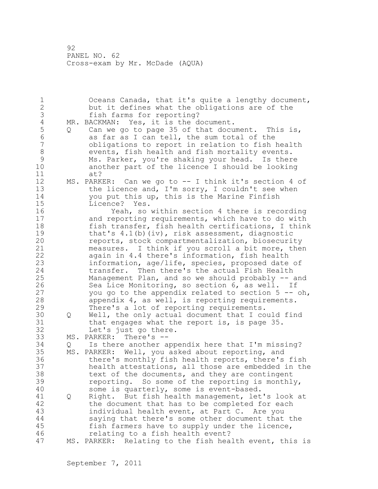1 Oceans Canada, that it's quite a lengthy document, 2 but it defines what the obligations are of the 3 fish farms for reporting?<br>4 MR. BACKMAN: Yes, it is the d 4 MR. BACKMAN: Yes, it is the document.<br>5 0 Can we go to page 35 of that docu 5 Q Can we go to page 35 of that document. This is,<br>6 as far as I can tell, the sum total of the 6 as far as I can tell, the sum total of the obligations to report in relation to fish health 8 events, fish health and fish mortality events.<br>9 Ms. Parker, you're shaking your head. Is ther 9 Ms. Parker, you're shaking your head. Is there another part of the licence I should be looking 11 at? 12 MS. PARKER: Can we go to -- I think it's section 4 of 13 the licence and, I'm sorry, I couldn't see when 14 you put this up, this is the Marine Finfish 15 Licence? Yes. 16 Yeah, so within section 4 there is recording 17 and reporting requirements, which have to do with 18 fish transfer, fish health certifications, I think 19 that's 4.1(b)(iv), risk assessment, diagnostic<br>20 feports, stock compartmentalization, biosecuri reports, stock compartmentalization, biosecurity 21 measures. I think if you scroll a bit more, then 22 again in 4.4 there's information, fish health 23 information, age/life, species, proposed date of 24 transfer. Then there's the actual Fish Health 25 Management Plan, and so we should probably -- and 26 Sea Lice Monitoring, so section 6, as well. If<br>27 vou go to the appendix related to section 5 -you go to the appendix related to section  $5 - -$  oh, 28 appendix 4, as well, is reporting requirements. 29 There's a lot of reporting requirements. 30 Q Well, the only actual document that I could find<br>31 that engages what the report is, is page 35. that engages what the report is, is page  $35$ . 32 Let's just go there. 33 MS. PARKER: There's -- 34 Q Is there another appendix here that I'm missing? 35 MS. PARKER: Well, you asked about reporting, and 36 there's monthly fish health reports, there's fish 37 health attestations, all those are embedded in the 38 text of the documents, and they are contingent 39 reporting. So some of the reporting is monthly, 40 some is quarterly, some is event-based. 41 Q Right. But fish health management, let's look at<br>42 the document that has to be completed for each the document that has to be completed for each 43 individual health event, at Part C. Are you 44 saying that there's some other document that the 45 fish farmers have to supply under the licence, 46 relating to a fish health event? 47 MS. PARKER: Relating to the fish health event, this is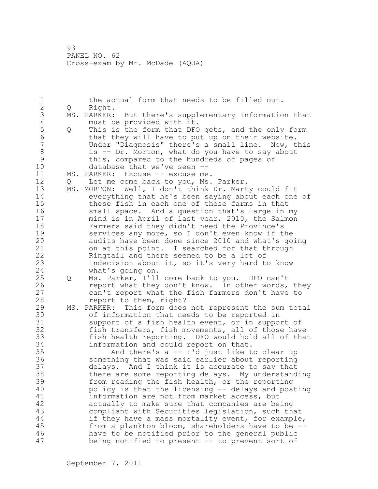1 the actual form that needs to be filled out.<br>2 0 Right. 2 Q Right. 3 MS. PARKER: But there's supplementary information that<br>4 must be provided with it. 4 must be provided with it.<br>5 0 This is the form that DFO 5 Q This is the form that DFO gets, and the only form<br>6 that they will have to put up on their website. 6 that they will have to put up on their website.<br>7 The Under "Diagnosis" there's a small line. Now, t Under "Diagnosis" there's a small line. Now, this 8 is -- Dr. Morton, what do you have to say about<br>9 this, compared to the hundreds of pages of 9 this, compared to the hundreds of pages of<br>10 database that we've seen -database that we've seen --11 MS. PARKER: Excuse -- excuse me. 12 Q Let me come back to you, Ms. Parker. 13 MS. MORTON: Well, I don't think Dr. Marty could fit 14 everything that he's been saying about each one of 15 these fish in each one of these farms in that 16 small space. And a question that's large in my 17 mind is in April of last year, 2010, the Salmon 18 Farmers said they didn't need the Province's 19 services any more, so I don't even know if the<br>20 audits have been done since 2010 and what's go audits have been done since 2010 and what's going 21 on at this point. I searched for that through 22 Ringtail and there seemed to be a lot of 23 indecision about it, so it's very hard to know 24 what's going on. 25 Q Ms. Parker, I'll come back to you. DFO can't 26 report what they don't know. In other words, they<br>27 can't report what the fish farmers don't have to can't report what the fish farmers don't have to 28 report to them, right? 29 MS. PARKER: This form does not represent the sum total 30 of information that needs to be reported in<br>31 support of a fish health event, or in suppo: support of a fish health event, or in support of 32 fish transfers, fish movements, all of those have 33 fish health reporting. DFO would hold all of that 34 information and could report on that. 35 And there's a -- I'd just like to clear up 36 something that was said earlier about reporting 37 delays. And I think it is accurate to say that 38 there are some reporting delays. My understanding 39 from reading the fish health, or the reporting 40 policy is that the licensing -- delays and posting 41 information are not from market access, but<br>42 actually to make sure that companies are be actually to make sure that companies are being 43 compliant with Securities legislation, such that 44 if they have a mass mortality event, for example, 45 from a plankton bloom, shareholders have to be -- 46 have to be notified prior to the general public 47 being notified to present -- to prevent sort of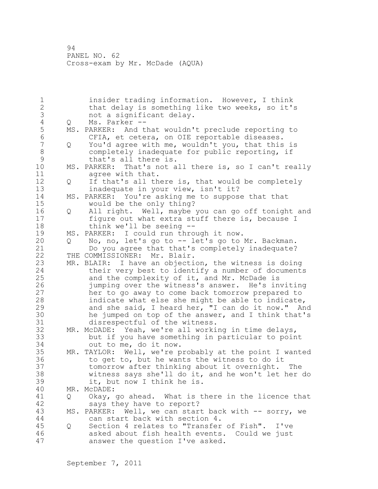1 insider trading information. However, I think 2 that delay is something like two weeks, so it's 3 not a significant delay.<br>4 Q Ms. Parker --4 Q Ms. Parker --<br>5 MS. PARKER: And t 5 MS. PARKER: And that wouldn't preclude reporting to<br>6 CFIA, et cetera, on OIE reportable diseases. 6 CFIA, et cetera, on OIE reportable diseases.<br>7 0 You'd agree with me, wouldn't you, that this 7 Q You'd agree with me, wouldn't you, that this is 8 completely inadequate for public reporting, if<br>9 that's all there is. 9 that's all there is.<br>10 MS. PARKER: That's not a MS. PARKER: That's not all there is, so I can't really 11 agree with that. 12 Q If that's all there is, that would be completely 13 inadequate in your view, isn't it? 14 MS. PARKER: You're asking me to suppose that that 15 would be the only thing? 16 Q All right. Well, maybe you can go off tonight and 17 figure out what extra stuff there is, because I 18 think we'll be seeing -- 19 MS. PARKER: I could run through it now.<br>20 0 No, no, let's go to -- let's go to 20 Q No, no, let's go to -- let's go to Mr. Backman. 21 Do you agree that that's completely inadequate? 22 THE COMMISSIONER: Mr. Blair. 23 MR. BLAIR: I have an objection, the witness is doing 24 their very best to identify a number of documents 25 and the complexity of it, and Mr. McDade is 26 iumping over the witness's answer. He's inviting<br>27 her to go away to come back tomorrow prepared to her to go away to come back tomorrow prepared to 28 indicate what else she might be able to indicate, 29 and she said, I heard her, "I can do it now." And 30 he jumped on top of the answer, and I think that's<br>31 disrespectful of the witness. 31 disrespectful of the witness.<br>32 MR. McDADE: Yeah, we're all worki MR. McDADE: Yeah, we're all working in time delays, 33 but if you have something in particular to point 34 out to me, do it now. 35 MR. TAYLOR: Well, we're probably at the point I wanted 36 to get to, but he wants the witness to do it 37 tomorrow after thinking about it overnight. The 38 witness says she'll do it, and he won't let her do 39 it, but now I think he is. 40 MR. McDADE: 41 Q Okay, go ahead. What is there in the licence that<br>42 savs they have to report? says they have to report? 43 MS. PARKER: Well, we can start back with -- sorry, we 44 can start back with section 4. 45 Q Section 4 relates to "Transfer of Fish". I've 46 asked about fish health events. Could we just 47 answer the question I've asked.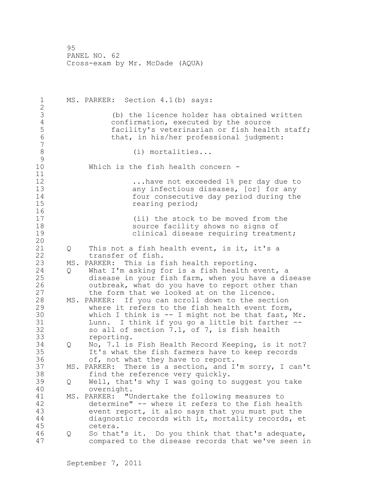| $\mathbf 1$<br>$\overline{2}$                                |                   | MS. PARKER: Section 4.1(b) says:                                                                                                                                                                                                                                                                                                                             |
|--------------------------------------------------------------|-------------------|--------------------------------------------------------------------------------------------------------------------------------------------------------------------------------------------------------------------------------------------------------------------------------------------------------------------------------------------------------------|
| 3<br>$\overline{4}$<br>5<br>$6\phantom{a}$<br>$\overline{7}$ |                   | (b) the licence holder has obtained written<br>confirmation, executed by the source<br>facility's veterinarian or fish health staff;<br>that, in his/her professional judgment:                                                                                                                                                                              |
| $8\,$<br>9                                                   |                   | $(i)$ mortalities                                                                                                                                                                                                                                                                                                                                            |
| 10<br>11                                                     |                   | Which is the fish health concern -                                                                                                                                                                                                                                                                                                                           |
| 12<br>13<br>14<br>15<br>16                                   |                   | have not exceeded 1% per day due to<br>any infectious diseases, [or] for any<br>four consecutive day period during the<br>rearing period;                                                                                                                                                                                                                    |
| 17<br>18<br>19<br>20                                         |                   | (ii) the stock to be moved from the<br>source facility shows no signs of<br>clinical disease requiring treatment;                                                                                                                                                                                                                                            |
| 21<br>22                                                     | Q                 | This not a fish health event, is it, it's a<br>transfer of fish.                                                                                                                                                                                                                                                                                             |
| 23<br>24<br>25                                               | Q                 | MS. PARKER: This is fish health reporting.<br>What I'm asking for is a fish health event, a<br>disease in your fish farm, when you have a disease                                                                                                                                                                                                            |
| 26<br>27<br>28<br>29<br>30<br>31<br>32                       |                   | outbreak, what do you have to report other than<br>the form that we looked at on the licence.<br>MS. PARKER: If you can scroll down to the section<br>where it refers to the fish health event form,<br>which I think is $-$ I might not be that fast, Mr.<br>Lunn. I think if you go a little bit farther --<br>so all of section 7.1, of 7, is fish health |
| 33<br>34<br>35<br>36                                         | $Q \qquad \qquad$ | reporting.<br>No, 7.1 is Fish Health Record Keeping, is it not?<br>It's what the fish farmers have to keep records<br>of, not what they have to report.                                                                                                                                                                                                      |
| 37<br>38                                                     |                   | MS. PARKER: There is a section, and I'm sorry, I can't<br>find the reference very quickly.                                                                                                                                                                                                                                                                   |
| 39<br>40                                                     | Q                 | Well, that's why I was going to suggest you take<br>overnight.                                                                                                                                                                                                                                                                                               |
| 41<br>42<br>43<br>44<br>45                                   |                   | MS. PARKER: "Undertake the following measures to<br>determine" -- where it refers to the fish health<br>event report, it also says that you must put the<br>diagnostic records with it, mortality records, et<br>cetera.                                                                                                                                     |
| 46<br>47                                                     | Q                 | So that's it. Do you think that that's adequate,<br>compared to the disease records that we've seen in                                                                                                                                                                                                                                                       |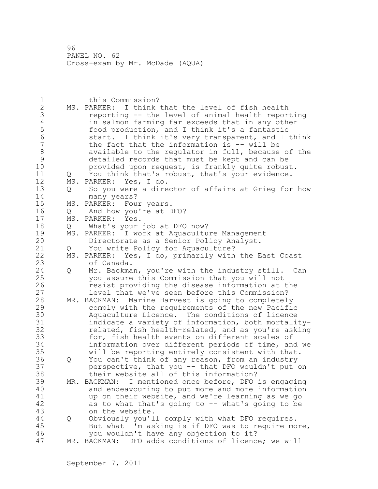| $\mathbf 1$    |     | this Commission?                                        |
|----------------|-----|---------------------------------------------------------|
| $\mathbf{2}$   |     | MS. PARKER: I think that the level of fish health       |
| 3              |     | reporting -- the level of animal health reporting       |
| $\sqrt{4}$     |     | in salmon farming far exceeds that in any other         |
| 5              |     | food production, and I think it's a fantastic           |
| $\sqrt{6}$     |     | start. I think it's very transparent, and I think       |
| $\overline{7}$ |     | the fact that the information is -- will be             |
| $\,8\,$        |     | available to the regulator in full, because of the      |
| $\mathsf{S}$   |     | detailed records that must be kept and can be           |
| 10             |     | provided upon request, is frankly quite robust.         |
| 11             | Q   | You think that's robust, that's your evidence.          |
| 12             | MS. | PARKER: Yes, I do.                                      |
| 13             | Q   | So you were a director of affairs at Grieg for how      |
| 14             |     |                                                         |
| 15             |     | many years?                                             |
|                |     | MS. PARKER: Four years.                                 |
| 16             | Q   | And how you're at DFO?                                  |
| 17             | MS. | PARKER: Yes.                                            |
| 18             | Q   | What's your job at DFO now?                             |
| 19             | MS. | PARKER: I work at Aquaculture Management                |
| 20             |     | Directorate as a Senior Policy Analyst.                 |
| 21             | Q   | You write Policy for Aquaculture?                       |
| 22             |     | MS. PARKER: Yes, I do, primarily with the East Coast    |
| 23             |     | of Canada.                                              |
| 24             | Q   | Mr. Backman, you're with the industry still. Can        |
| 25             |     | you assure this Commission that you will not            |
| 26             |     | resist providing the disease information at the         |
| 27             |     | level that we've seen before this Commission?           |
| 28             |     | MR. BACKMAN: Marine Harvest is going to completely      |
| 29             |     | comply with the requirements of the new Pacific         |
| 30             |     | Aquaculture Licence. The conditions of licence          |
| 31             |     | indicate a variety of information, both mortality-      |
| 32             |     | related, fish health-related, and as you're asking      |
| 33             |     | for, fish health events on different scales of          |
| 34             |     | information over different periods of time, and we      |
| 35             |     | will be reporting entirely consistent with that.        |
| 36             | Q   | You can't think of any reason, from an industry         |
| 37             |     | perspective, that you -- that DFO wouldn't put on       |
| 38             |     | their website all of this information?                  |
| 39             | MR. | I mentioned once before, DFO is engaging<br>BACKMAN:    |
| 40             |     | and endeavouring to put more and more information       |
| 41             |     | up on their website, and we're learning as we go        |
|                |     |                                                         |
| 42             |     | as to what that's going to -- what's going to be        |
| 43             |     | on the website.                                         |
| 44             | Q   | Obviously you'll comply with what DFO requires.         |
| 45             |     | But what I'm asking is if DFO was to require more,      |
| 46             |     | you wouldn't have any objection to it?                  |
| 47             |     | MR. BACKMAN:<br>DFO adds conditions of licence; we will |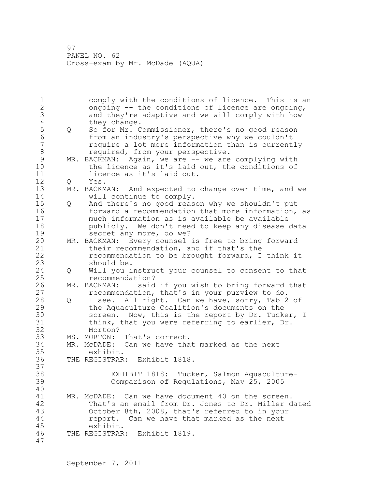1 comply with the conditions of licence. This is an 2 ongoing -- the conditions of licence are ongoing, 3 and they're adaptive and we will comply with how<br>4 they change. 4 they change.<br>5 Q So for Mr. C 5 Q So for Mr. Commissioner, there's no good reason<br>6 from an industry's perspective why we couldn't 6 from an industry's perspective why we couldn't require a lot more information than is currently 8 required, from your perspective.<br>9 MR. BACKMAN: Again, we are -- we are 9 MR. BACKMAN: Again, we are -- we are complying with<br>10 the licence as it's laid out, the conditions of the licence as it's laid out, the conditions of 11 licence as it's laid out. 12 Q Yes. 13 MR. BACKMAN: And expected to change over time, and we 14 will continue to comply. 15 Q And there's no good reason why we shouldn't put 16 forward a recommendation that more information, as 17 much information as is available be available 18 publicly. We don't need to keep any disease data 19 secret any more, do we?<br>20 MR. BACKMAN: Every counsel MR. BACKMAN: Every counsel is free to bring forward 21 their recommendation, and if that's the 22 recommendation to be brought forward, I think it 23 should be. 24 Q Will you instruct your counsel to consent to that 25 recommendation? 26 MR. BACKMAN: I said if you wish to bring forward that<br>27 fecommendation, that's in your purview to do. recommendation, that's in your purview to do. 28 Q I see. All right. Can we have, sorry, Tab 2 of 29 the Aquaculture Coalition's documents on the 30 screen. Now, this is the report by Dr. Tucker, I<br>31 think, that you were referring to earlier, Dr. think, that you were referring to earlier, Dr. 32 Morton? 33 MS. MORTON: That's correct. 34 MR. McDADE: Can we have that marked as the next 35 exhibit. 36 THE REGISTRAR: Exhibit 1818. 37 38 EXHIBIT 1818: Tucker, Salmon Aquaculture-39 Comparison of Regulations, May 25, 2005 40 41 MR. McDADE: Can we have document 40 on the screen.<br>42 That's an email from Dr. Jones to Dr. Miller d That's an email from Dr. Jones to Dr. Miller dated 43 October 8th, 2008, that's referred to in your 44 report. Can we have that marked as the next 45 exhibit. 46 THE REGISTRAR: Exhibit 1819. 47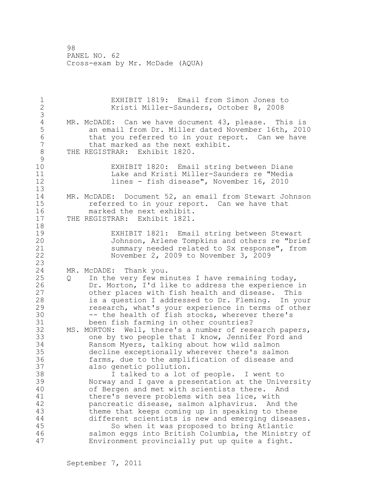1 EXHIBIT 1819: Email from Simon Jones to 2 Kristi Miller-Saunders, October 8, 2008 3 4 MR. McDADE: Can we have document 43, please. This is<br>5 an email from Dr. Miller dated November 16th, 201 5 an email from Dr. Miller dated November 16th, 2010 6 that you referred to in your report. Can we have<br>7 that marked as the next exhibit. that marked as the next exhibit. 8 THE REGISTRAR: Exhibit 1820.  $\begin{array}{c} 9 \\ 10 \end{array}$ EXHIBIT 1820: Email string between Diane 11 Lake and Kristi Miller-Saunders re "Media 12 lines - fish disease", November 16, 2010 13 14 MR. McDADE: Document 52, an email from Stewart Johnson 15 referred to in your report. Can we have that 16 marked the next exhibit. 17 THE REGISTRAR: Exhibit 1821. 18 19 EXHIBIT 1821: Email string between Stewart<br>20 Johnson, Arlene Tompkins and others re "bri-Johnson, Arlene Tompkins and others re "brief 21 summary needed related to Sx response", from 22 November 2, 2009 to November 3, 2009 23 24 MR. McDADE: Thank you. 25 Q In the very few minutes I have remaining today, 26 Dr. Morton, I'd like to address the experience in<br>27 other places with fish health and disease. This other places with fish health and disease. This 28 is a question I addressed to Dr. Fleming. In your 29 research, what's your experience in terms of other 30 -- the health of fish stocks, wherever there's<br>31 been fish farming in other countries? been fish farming in other countries? 32 MS. MORTON: Well, there's a number of research papers, 33 one by two people that I know, Jennifer Ford and 34 Ransom Myers, talking about how wild salmon 35 decline exceptionally wherever there's salmon 36 farms, due to the amplification of disease and 37 also genetic pollution. 38 I talked to a lot of people. I went to 39 Norway and I gave a presentation at the University 40 of Bergen and met with scientists there. And 41 there's severe problems with sea lice, with<br>42 pancreatic disease, salmon alphavirus. And pancreatic disease, salmon alphavirus. And the 43 theme that keeps coming up in speaking to these 44 different scientists is new and emerging diseases. 45 So when it was proposed to bring Atlantic 46 salmon eggs into British Columbia, the Ministry of 47 Environment provincially put up quite a fight.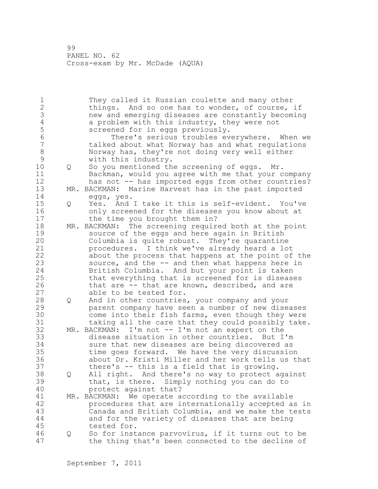1 They called it Russian roulette and many other 2 things. And so one has to wonder, of course, if 3 new and emerging diseases are constantly becoming<br>4 a problem with this industry, they were not 4 a problem with this industry, they were not<br>5 screened for in eqgs previously. 5 screened for in eggs previously.<br>6 There's serious troubles ev 6 There's serious troubles everywhere. When we talked about what Norway has and what regulations 8 Norway has, they're not doing very well either 9 with this industry.<br>10 0 So you mentioned th 0 So you mentioned the screening of eggs. Mr. 11 Backman, would you agree with me that your company 12 has not -- has imported eggs from other countries? 13 MR. BACKMAN: Marine Harvest has in the past imported 14 eggs, yes. 15 Q Yes. And I take it this is self-evident. You've 16 only screened for the diseases you know about at 17 the time you brought them in? 18 MR. BACKMAN: The screening required both at the point 19 source of the eggs and here again in British<br>20 Columbia is quite robust. They're quarantine Columbia is quite robust. They're quarantine 21 procedures. I think we've already heard a lot 22 about the process that happens at the point of the 23 source, and the -- and then what happens here in 24 British Columbia. And but your point is taken 25 that everything that is screened for is diseases 26 that are -- that are known, described, and are 27 able to be tested for. able to be tested for. 28 Q And in other countries, your company and your 29 parent company have seen a number of new diseases 30 come into their fish farms, even though they were<br>31 taking all the care that they could possibly take taking all the care that they could possibly take. 32 MR. BACKMAN: I'm not -- I'm not an expert on the 33 disease situation in other countries. But I'm 34 sure that new diseases are being discovered as 35 time goes forward. We have the very discussion 36 about Dr. Kristi Miller and her work tells us that 37 there's -- this is a field that is growing. 38 Q All right. And there's no way to protect against 39 that, is there. Simply nothing you can do to 40 protect against that? 41 MR. BACKMAN: We operate according to the available<br>42 **The according of the available** 42 accepted a procedures that are internationally accepted as in 43 Canada and British Columbia, and we make the tests 44 and for the variety of diseases that are being 45 tested for. 46 Q So for instance parvovirus, if it turns out to be 47 the thing that's been connected to the decline of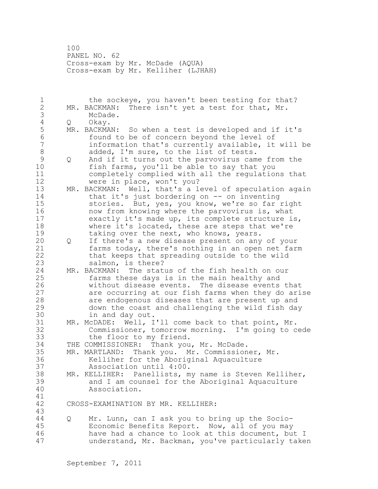100 PANEL NO. 62 Cross-exam by Mr. McDade (AQUA) Cross-exam by Mr. Kelliher (LJHAH)

1 the sockeye, you haven't been testing for that? 2 MR. BACKMAN: There isn't yet a test for that, Mr. 3 McDade.<br>4 Q Okay. 4 Q Okay.<br>5 MR. BACKMA 5 MR. BACKMAN: So when a test is developed and if it's<br>6 found to be of concern bevond the level of 6 found to be of concern beyond the level of<br>7 information that's currently available, it information that's currently available, it will be 8 added, I'm sure, to the list of tests.<br>9 0 And if it turns out the parvovirus cam 9 Q And if it turns out the parvovirus came from the<br>10 fish farms, vou'll be able to sav that you fish farms, you'll be able to say that you 11 completely complied with all the regulations that 12 were in place, won't you? 13 MR. BACKMAN: Well, that's a level of speculation again 14 that it's just bordering on -- on inventing 15 stories. But, yes, you know, we're so far right 16 now from knowing where the parvovirus is, what 17 exactly it's made up, its complete structure is, 18 where it's located, these are steps that we're 19 taking over the next, who knows, years.<br>20 0 If there's a new disease present on any 20 Q If there's a new disease present on any of your 21 farms today, there's nothing in an open net farm 22 that keeps that spreading outside to the wild 23 salmon, is there?<br>24 MR. BACKMAN: The stat 24 MR. BACKMAN: The status of the fish health on our 25 farms these days is in the main healthy and 26 without disease events. The disease events that<br>27 are occurring at our fish farms when they do ari are occurring at our fish farms when they do arise 28 are endogenous diseases that are present up and 29 down the coast and challenging the wild fish day 30 in and day out.<br>31 MR. McDADE: Well, I MR. McDADE: Well, I'll come back to that point, Mr. 32 Commissioner, tomorrow morning. I'm going to cede 33 the floor to my friend. 34 THE COMMISSIONER: Thank you, Mr. McDade. 35 MR. MARTLAND: Thank you. Mr. Commissioner, Mr. 36 Kelliher for the Aboriginal Aquaculture 37 Association until 4:00. 38 MR. KELLIHER: Panellists, my name is Steven Kelliher, 39 and I am counsel for the Aboriginal Aquaculture 40 Association. 41<br>42 CROSS-EXAMINATION BY MR. KELLIHER: 43 44 Q Mr. Lunn, can I ask you to bring up the Socio-45 Economic Benefits Report. Now, all of you may 46 have had a chance to look at this document, but I 47 understand, Mr. Backman, you've particularly taken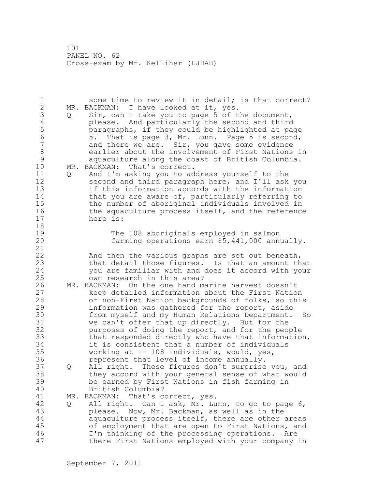101 PANEL NO. 62 Cross-exam by Mr. Kelliher (LJHAH)

| $\mathbf 1$<br>$\overline{2}$<br>3<br>$\sqrt{4}$<br>5<br>$6\phantom{a}$<br>7<br>8<br>9<br>10<br>11<br>12<br>13<br>14<br>15<br>16 | Q<br>Q | some time to review it in detail; is that correct?<br>MR. BACKMAN: I have looked at it, yes.<br>Sir, can I take you to page 5 of the document,<br>please. And particularly the second and third<br>paragraphs, if they could be highlighted at page<br>That is page 3, Mr. Lunn. Page 5 is second,<br>5.<br>and there we are. Sir, you gave some evidence<br>earlier about the involvement of First Nations in<br>aquaculture along the coast of British Columbia.<br>MR. BACKMAN:<br>That's correct.<br>And I'm asking you to address yourself to the<br>second and third paragraph here, and I'll ask you<br>if this information accords with the information<br>that you are aware of, particularly referring to<br>the number of aboriginal individuals involved in<br>the aquaculture process itself, and the reference |
|----------------------------------------------------------------------------------------------------------------------------------|--------|------------------------------------------------------------------------------------------------------------------------------------------------------------------------------------------------------------------------------------------------------------------------------------------------------------------------------------------------------------------------------------------------------------------------------------------------------------------------------------------------------------------------------------------------------------------------------------------------------------------------------------------------------------------------------------------------------------------------------------------------------------------------------------------------------------------------------|
| 17<br>18<br>19<br>20<br>21<br>22<br>23<br>24<br>25                                                                               |        | here is:<br>The 108 aboriginals employed in salmon<br>farming operations earn \$5,441,000 annually.<br>And then the various graphs are set out beneath,<br>that detail those figures. Is that an amount that<br>you are familiar with and does it accord with your<br>own research in this area?                                                                                                                                                                                                                                                                                                                                                                                                                                                                                                                             |
| 26<br>27<br>28<br>29<br>30<br>31<br>32<br>33<br>34<br>35<br>36                                                                   |        | MR. BACKMAN: On the one hand marine harvest doesn't<br>keep detailed information about the First Nation<br>or non-First Nation backgrounds of folks, so this<br>information was gathered for the report, aside<br>from myself and my Human Relations Department. So<br>we can't offer that up directly. But for the<br>purposes of doing the report, and for the people<br>that responded directly who have that information,<br>it is consistent that a number of individuals<br>working at -- 108 individuals, would, yes,<br>represent that level of income annually.                                                                                                                                                                                                                                                     |
| 37<br>38<br>39<br>40                                                                                                             | Q      | All right. These figures don't surprise you, and<br>they accord with your general sense of what would<br>be earned by First Nations in fish farming in<br>British Columbia?                                                                                                                                                                                                                                                                                                                                                                                                                                                                                                                                                                                                                                                  |
| 41<br>42<br>43<br>44<br>45<br>46<br>47                                                                                           | Q      | MR. BACKMAN:<br>That's correct, yes.<br>All right. Can I ask, Mr. Lunn, to go to page 6,<br>please. Now, Mr. Backman, as well as in the<br>aquaculture process itself, there are other areas<br>of employment that are open to First Nations, and<br>I'm thinking of the processing operations. Are<br>there First Nations employed with your company in                                                                                                                                                                                                                                                                                                                                                                                                                                                                     |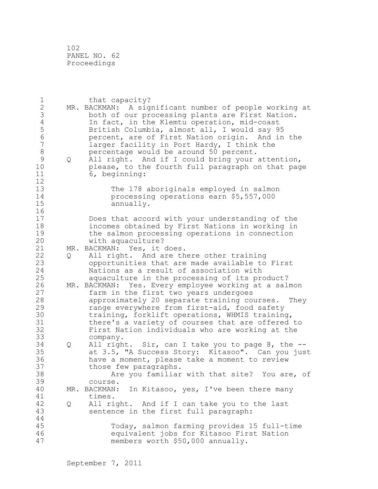| $\mathbf 1$      |     | that capacity?                                         |
|------------------|-----|--------------------------------------------------------|
| $\sqrt{2}$       |     | MR. BACKMAN: A significant number of people working at |
| 3                |     | both of our processing plants are First Nation.        |
| $\sqrt{4}$       |     | In fact, in the Klemtu operation, mid-coast            |
| 5                |     | British Columbia, almost all, I would say 95           |
| $\sqrt{6}$       |     | percent, are of First Nation origin. And in the        |
| $\boldsymbol{7}$ |     |                                                        |
|                  |     | larger facility in Port Hardy, I think the             |
| $\,8\,$          |     | percentage would be around 50 percent.                 |
| $\mathsf 9$      | Q   | All right. And if I could bring your attention,        |
| 10               |     | please, to the fourth full paragraph on that page      |
| 11               |     | 6, beginning:                                          |
| 12               |     |                                                        |
| 13               |     | The 178 aboriginals employed in salmon                 |
| 14               |     | processing operations earn \$5,557,000                 |
| 15               |     | annually.                                              |
| 16               |     |                                                        |
| 17               |     | Does that accord with your understanding of the        |
| 18               |     |                                                        |
|                  |     | incomes obtained by First Nations in working in        |
| 19               |     | the salmon processing operations in connection         |
| 20               |     | with aquaculture?                                      |
| 21               | MR. | BACKMAN: Yes, it does.                                 |
| 22               | Q   | All right. And are there other training                |
| 23               |     | opportunities that are made available to First         |
| 24               |     | Nations as a result of association with                |
| 25               |     | aquaculture in the processing of its product?          |
| 26               |     | MR. BACKMAN: Yes. Every employee working at a salmon   |
| 27               |     | farm in the first two years undergoes                  |
| 28               |     | approximately 20 separate training courses.<br>They    |
| 29               |     | range everywhere from first-aid, food safety           |
| 30               |     | training, forklift operations, WHMIS training,         |
| 31               |     | there's a variety of courses that are offered to       |
|                  |     |                                                        |
| 32               |     | First Nation individuals who are working at the        |
| 33               |     | company.                                               |
| 34               | Q   | All right. Sir, can I take you to page 8, the --       |
| 35               |     | at 3.5, "A Success Story: Kitasoo". Can you just       |
| 36               |     | have a moment, please take a moment to review          |
| 37               |     | those few paragraphs.                                  |
| 38               |     | Are you familiar with that site? You are, of           |
| 39               |     | course.                                                |
| 40               |     | In Kitasoo, yes, I've been there many<br>MR. BACKMAN:  |
| 41               |     | times.                                                 |
| 42               | Q   | All right. And if I can take you to the last           |
| 43               |     | sentence in the first full paragraph:                  |
| 44               |     |                                                        |
| 45               |     |                                                        |
|                  |     | Today, salmon farming provides 15 full-time            |
| 46               |     | equivalent jobs for Kitasoo First Nation               |
| 47               |     | members worth \$50,000 annually.                       |
|                  |     |                                                        |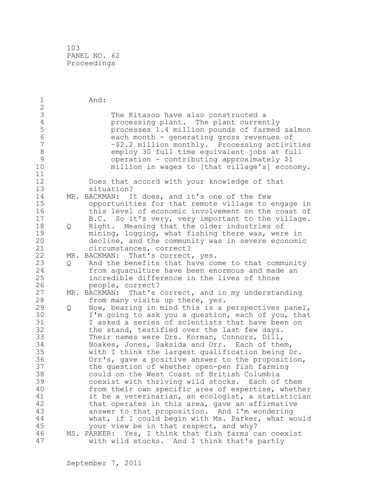| $\mathbf 1$    |   | And:                                                                                         |
|----------------|---|----------------------------------------------------------------------------------------------|
| $\overline{2}$ |   |                                                                                              |
| 3              |   | The Kitasoo have also constructed a                                                          |
| $\overline{4}$ |   | processing plant. The plant currently                                                        |
| 5              |   | processes 1.4 million pounds of farmed salmon                                                |
| $6\phantom{a}$ |   | each month - generating gross revenues of                                                    |
| 7              |   | $\sim$ \$2.2 million monthly. Processing activities                                          |
| 8              |   | employ 30 full time equivalent jobs at full                                                  |
| $\mathcal{G}$  |   | operation - contributing approximately \$1                                                   |
| 10             |   | million in wages to [that village's] economy.                                                |
| 11             |   |                                                                                              |
| 12             |   | Does that accord with your knowledge of that                                                 |
| 13             |   | situation?                                                                                   |
| 14             |   | MR. BACKMAN: It does, and it's one of the few                                                |
| 15             |   | opportunities for that remote village to engage in                                           |
| 16             |   | this level of economic involvement on the coast of                                           |
| 17             |   | B.C. So it's very, very important to the village.                                            |
| 18             | Q | Right. Meaning that the older industries of                                                  |
| 19             |   | mining, logging, what fishing there was, were in                                             |
| 20             |   | decline, and the community was in severe economic                                            |
| 21             |   | circumstances, correct?                                                                      |
| 22             |   | MR. BACKMAN:<br>That's correct, yes.                                                         |
| 23             | Q | And the benefits that have come to that community                                            |
| 24             |   | from aquaculture have been enormous and made an                                              |
| 25             |   | incredible difference in the lives of those                                                  |
| 26             |   | people, correct?                                                                             |
| 27             |   | MR. BACKMAN: That's correct, and in my understanding                                         |
| 28             |   | from many visits up there, yes.                                                              |
| 29             | Q | Now, bearing in mind this is a perspectives panel,                                           |
| 30             |   | I'm going to ask you a question, each of you, that                                           |
| 31             |   | I asked a series of scientists that have been on                                             |
| 32             |   |                                                                                              |
| 33             |   | the stand, testified over the last few days.<br>Their names were Drs. Korman, Connors, Dill, |
| 34             |   |                                                                                              |
| 35             |   | Noakes, Jones, Saksida and Orr. Each of them,                                                |
| 36             |   | with I think the largest qualification being Dr.                                             |
| 37             |   | Orr's, gave a positive answer to the proposition,                                            |
|                |   | the question of whether open-pen fish farming                                                |
| 38             |   | could on the West Coast of British Columbia                                                  |
| 39             |   | coexist with thriving wild stocks.<br>Each of them                                           |
| 40             |   | from their own specific area of expertise, whether                                           |
| 41             |   | it be a veterinarian, an ecologist, a statistician                                           |
| 42             |   | that operates in this area, gave an affirmative                                              |
| 43             |   | answer to that proposition. And I'm wondering                                                |
| 44             |   | what, if I could begin with Ms. Parker, what would                                           |
| 45             |   | your view be in that respect, and why?                                                       |
| 46             |   | MS. PARKER: Yes, I think that fish farms can coexist                                         |
| 47             |   | with wild stocks. And I think that's partly                                                  |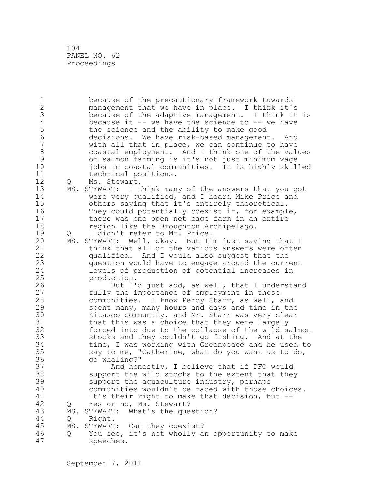1 because of the precautionary framework towards 2 management that we have in place. I think it's 3 because of the adaptive management. I think it is<br>4 because it -- we have the science to -- we have 4 because it  $-$  we have the science to  $-$  we have 5 the science and the ability to make good 5 the science and the ability to make good<br>6 decisions. We have risk-based management 6 decisions. We have risk-based management. And with all that in place, we can continue to have 8 coastal employment. And I think one of the values 9 of salmon farming is it's not just minimum wage iobs in coastal communities. It is highly skilled 11 technical positions. 12 Q Ms. Stewart. 13 MS. STEWART: I think many of the answers that you got 14 were very qualified, and I heard Mike Price and 15 others saying that it's entirely theoretical. 16 They could potentially coexist if, for example, 17 there was one open net cage farm in an entire 18 region like the Broughton Archipelago. 19 Q I didn't refer to Mr. Price.<br>20 MS. STEWART: Well, okav. But I' MS. STEWART: Well, okay. But I'm just saying that I 21 think that all of the various answers were often 22 qualified. And I would also suggest that the 23 question would have to engage around the current 24 levels of production of potential increases in 25 production. 26 But I'd just add, as well, that I understand<br>27 fully the importance of employment in those fully the importance of employment in those 28 communities. I know Percy Starr, as well, and 29 spent many, many hours and days and time in the 30 Kitasoo community, and Mr. Starr was very clear<br>31 that this was a choice that they were largely 31 that this was a choice that they were largely<br>32 forced into due to the collapse of the wild sa forced into due to the collapse of the wild salmon 33 stocks and they couldn't go fishing. And at the 34 time, I was working with Greenpeace and he used to 35 say to me, "Catherine, what do you want us to do, 36 go whaling?" 37 And honestly, I believe that if DFO would 38 support the wild stocks to the extent that they 39 support the aquaculture industry, perhaps 40 communities wouldn't be faced with those choices. 41 It's their right to make that decision, but --<br>42 0 Yes or no, Ms. Stewart? Q Yes or no, Ms. Stewart? 43 MS. STEWART: What's the question? 44 Q Right. 45 MS. STEWART: Can they coexist? 46 Q You see, it's not wholly an opportunity to make 47 speeches.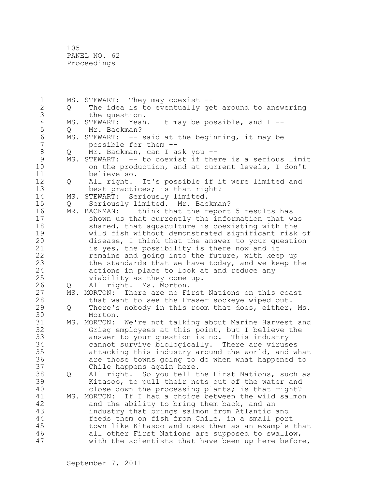1 MS. STEWART: They may coexist -- 2 Q The idea is to eventually get around to answering 3 the question.<br>4 MS. STEWART: Yeah 4 MS. STEWART: Yeah. It may be possible, and I --<br>5 0 Mr. Backman? 5 Q Mr. Backman?<br>6 MS. STEWART: -- : 6 MS. STEWART: -- said at the beginning, it may be<br>7 mossible for them -possible for them --8 Q Mr. Backman, can I ask you --<br>9 MS. STEWART: -- to coexist if the 9 MS. STEWART: -- to coexist if there is a serious limit<br>10 on the production, and at current levels, I don't on the production, and at current levels, I don't 11 believe so. 12 Q All right. It's possible if it were limited and 13 best practices; is that right? 14 MS. STEWART: Seriously limited. 15 Q Seriously limited. Mr. Backman? 16 MR. BACKMAN: I think that the report 5 results has<br>17 Shown us that currently the information that w shown us that currently the information that was 18 shared, that aquaculture is coexisting with the 19 wild fish without demonstrated significant risk of<br>20 disease, I think that the answer to your question disease, I think that the answer to your question 21 is yes, the possibility is there now and it 22 remains and going into the future, with keep up 23 the standards that we have today, and we keep the 24 actions in place to look at and reduce any 25 viability as they come up. 26 Q All right. Ms. Morton.<br>27 MS. MORTON: There are no Fi 27 MS. MORTON: There are no First Nations on this coast<br>28 that want to see the Fraser sockeve wiped out. that want to see the Fraser sockeye wiped out. 29 Q There's nobody in this room that does, either, Ms. 30 Morton.<br>31 MS. MORTON: 31 MS. MORTON: We're not talking about Marine Harvest and<br>32 Grieg emplovees at this point, but I believe the Grieg employees at this point, but I believe the 33 answer to your question is no. This industry 34 cannot survive biologically. There are viruses 35 attacking this industry around the world, and what 36 are those towns going to do when what happened to 37 Chile happens again here. 38 Q All right. So you tell the First Nations, such as 39 Kitasoo, to pull their nets out of the water and 40 close down the processing plants; is that right? 41 MS. MORTON: If I had a choice between the wild salmon<br>42 and the ability to bring them back, and an and the ability to bring them back, and an 43 industry that brings salmon from Atlantic and 44 feeds them on fish from Chile, in a small port 45 town like Kitasoo and uses them as an example that 46 all other First Nations are supposed to swallow, 47 with the scientists that have been up here before,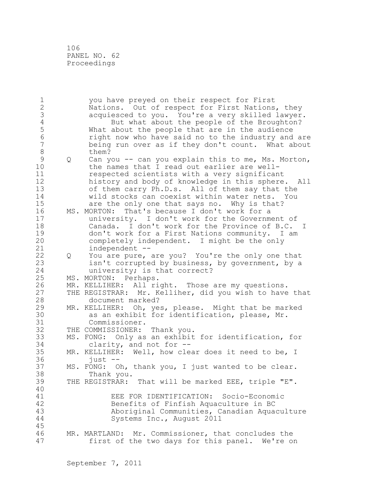| $\mathbf 1$      |   | you have preyed on their respect for First             |
|------------------|---|--------------------------------------------------------|
| $\sqrt{2}$       |   | Nations. Out of respect for First Nations, they        |
| $\mathfrak{Z}$   |   | acquiesced to you. You're a very skilled lawyer.       |
| $\sqrt{4}$       |   | But what about the people of the Broughton?            |
| 5                |   | What about the people that are in the audience         |
| $\sqrt{6}$       |   | right now who have said no to the industry and are     |
| $\boldsymbol{7}$ |   | being run over as if they don't count. What about      |
| $\,8\,$          |   | them?                                                  |
| $\mathcal{G}$    | Q | Can you -- can you explain this to me, Ms. Morton,     |
| 10               |   | the names that I read out earlier are well-            |
| 11               |   | respected scientists with a very significant           |
| 12               |   | history and body of knowledge in this sphere. All      |
| 13               |   | of them carry Ph.D.s. All of them say that the         |
| 14               |   | wild stocks can coexist within water nets. You         |
| 15               |   | are the only one that says no. Why is that?            |
| 16               |   | MS. MORTON: That's because I don't work for a          |
| 17               |   | university. I don't work for the Government of         |
| 18               |   | Canada. I don't work for the Province of B.C. I        |
| 19               |   | don't work for a First Nations community. I am         |
| 20               |   | completely independent. I might be the only            |
| 21               |   | independent --                                         |
| 22               | Q | You are pure, are you? You're the only one that        |
| 23               |   | isn't corrupted by business, by government, by a       |
| 24               |   | university; is that correct?                           |
| 25               |   | MS. MORTON: Perhaps.                                   |
| 26               |   | MR. KELLIHER: All right. Those are my questions.       |
| 27               |   | THE REGISTRAR: Mr. Kelliher, did you wish to have that |
| 28               |   | document marked?                                       |
| 29               |   | MR. KELLIHER: Oh, yes, please. Might that be marked    |
| 30               |   | as an exhibit for identification, please, Mr.          |
| 31               |   | Commissioner.                                          |
| 32               |   | THE COMMISSIONER: Thank you.                           |
| 33               |   | MS. FONG: Only as an exhibit for identification, for   |
| 34               |   | clarity, and not for --                                |
| 35               |   | MR. KELLIHER: Well, how clear does it need to be, I    |
| 36               |   | $just$ --                                              |
| 37               |   | MS. FONG: Oh, thank you, I just wanted to be clear.    |
| 38               |   | Thank you.                                             |
| 39               |   | THE REGISTRAR: That will be marked EEE, triple "E".    |
| 40               |   |                                                        |
| 41               |   | EEE FOR IDENTIFICATION: Socio-Economic                 |
| 42               |   | Benefits of Finfish Aquaculture in BC                  |
| 43               |   | Aboriginal Communities, Canadian Aquaculture           |
| 44               |   | Systems Inc., August 2011                              |
| 45               |   |                                                        |
| 46               |   | MR. MARTLAND: Mr. Commissioner, that concludes the     |
| 47               |   | first of the two days for this panel. We're on         |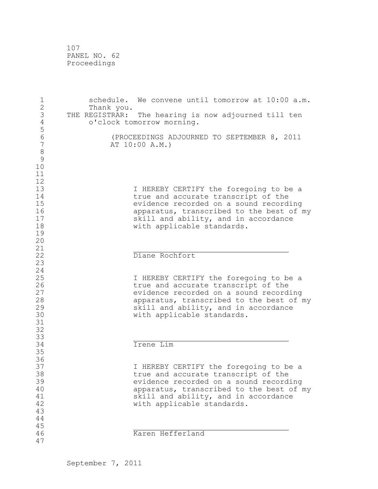| $\mathbf 1$<br>$\overline{2}$                            | Thank you.     | schedule. We convene until tomorrow at 10:00 a.m.                                                                                                                                                                                         |
|----------------------------------------------------------|----------------|-------------------------------------------------------------------------------------------------------------------------------------------------------------------------------------------------------------------------------------------|
| $\mathfrak{Z}$<br>$\sqrt{4}$                             | THE REGISTRAR: | The hearing is now adjourned till ten<br>o'clock tomorrow morning.                                                                                                                                                                        |
| 5<br>$\sqrt{6}$<br>$\overline{7}$<br>8<br>9              |                | (PROCEEDINGS ADJOURNED TO SEPTEMBER 8, 2011<br>AT 10:00 A.M.)                                                                                                                                                                             |
| 10<br>11<br>12<br>13<br>14<br>15<br>16<br>17<br>18<br>19 |                | I HEREBY CERTIFY the foregoing to be a<br>true and accurate transcript of the<br>evidence recorded on a sound recording<br>apparatus, transcribed to the best of my<br>skill and ability, and in accordance<br>with applicable standards. |
| 20<br>21<br>22<br>23                                     |                | Diane Rochfort                                                                                                                                                                                                                            |
| 24<br>25<br>26<br>27<br>28<br>29<br>30<br>31             |                | I HEREBY CERTIFY the foregoing to be a<br>true and accurate transcript of the<br>evidence recorded on a sound recording<br>apparatus, transcribed to the best of my<br>skill and ability, and in accordance<br>with applicable standards. |
| 32<br>33                                                 |                |                                                                                                                                                                                                                                           |
| 34<br>35                                                 |                | Irene Lim                                                                                                                                                                                                                                 |
| 36<br>37<br>38<br>39<br>40<br>41<br>42<br>43             |                | I HEREBY CERTIFY the foregoing to be a<br>true and accurate transcript of the<br>evidence recorded on a sound recording<br>apparatus, transcribed to the best of my<br>skill and ability, and in accordance<br>with applicable standards. |
| 44<br>45<br>46<br>47                                     |                | Karen Hefferland                                                                                                                                                                                                                          |